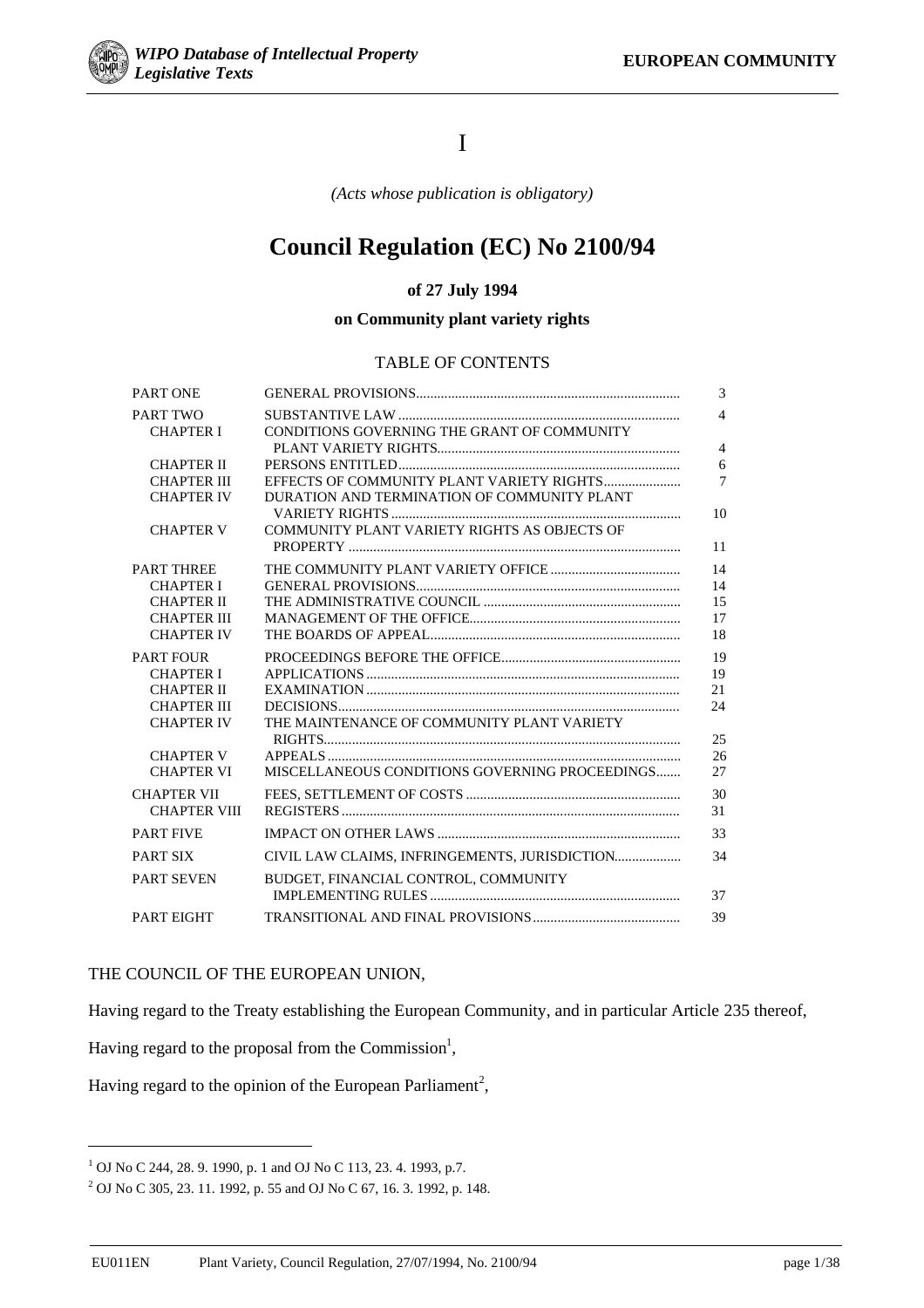

I

*(Acts whose publication is obligatory)*

# **Council Regulation (EC) No 2100/94**

## **of 27 July 1994**

#### **on Community plant variety rights**

#### TABLE OF CONTENTS

| <b>PART ONE</b>              |                                                | 3                                |
|------------------------------|------------------------------------------------|----------------------------------|
| PART TWO<br><b>CHAPTER I</b> | CONDITIONS GOVERNING THE GRANT OF COMMUNITY    | $\overline{4}$<br>$\overline{4}$ |
| <b>CHAPTER II</b>            |                                                | 6                                |
| <b>CHAPTER III</b>           | EFFECTS OF COMMUNITY PLANT VARIETY RIGHTS      | 7                                |
| <b>CHAPTER IV</b>            | DURATION AND TERMINATION OF COMMUNITY PLANT    | 10                               |
| <b>CHAPTER V</b>             | COMMUNITY PLANT VARIETY RIGHTS AS OBJECTS OF   | 11                               |
| <b>PART THREE</b>            |                                                | 14                               |
| <b>CHAPTER I</b>             |                                                | 14                               |
| <b>CHAPTER II</b>            |                                                | 15                               |
| <b>CHAPTER III</b>           |                                                | 17                               |
| <b>CHAPTER IV</b>            |                                                | 18                               |
| <b>PART FOUR</b>             |                                                | 19                               |
| <b>CHAPTER I</b>             |                                                | 19                               |
| <b>CHAPTER II</b>            |                                                | 2.1                              |
| <b>CHAPTER III</b>           |                                                | 24                               |
| <b>CHAPTER IV</b>            | THE MAINTENANCE OF COMMUNITY PLANT VARIETY     |                                  |
|                              |                                                | 25                               |
| <b>CHAPTER V</b>             |                                                | 26                               |
| <b>CHAPTER VI</b>            | MISCELLANEOUS CONDITIONS GOVERNING PROCEEDINGS | 27                               |
| <b>CHAPTER VII</b>           |                                                | 30                               |
| <b>CHAPTER VIII</b>          |                                                | 31                               |
| <b>PART FIVE</b>             |                                                | 33                               |
| PART SIX                     | CIVIL LAW CLAIMS, INFRINGEMENTS, JURISDICTION  | 34                               |
| <b>PART SEVEN</b>            | BUDGET, FINANCIAL CONTROL, COMMUNITY           | 37                               |
| <b>PART EIGHT</b>            |                                                | 39                               |
|                              |                                                |                                  |

#### THE COUNCIL OF THE EUROPEAN UNION,

Having regard to the Treaty establishing the European Community, and in particular Article 235 thereof,

Having regard to the proposal from the Commission<sup>1</sup>,

Having regard to the opinion of the European Parliament<sup>2</sup>,

 $\overline{\phantom{a}}$ 

<sup>1</sup> OJ No C 244, 28. 9. 1990, p. 1 and OJ No C 113, 23. 4. 1993, p.7.

<sup>2</sup> OJ No C 305, 23. 11. 1992, p. 55 and OJ No C 67, 16. 3. 1992, p. 148.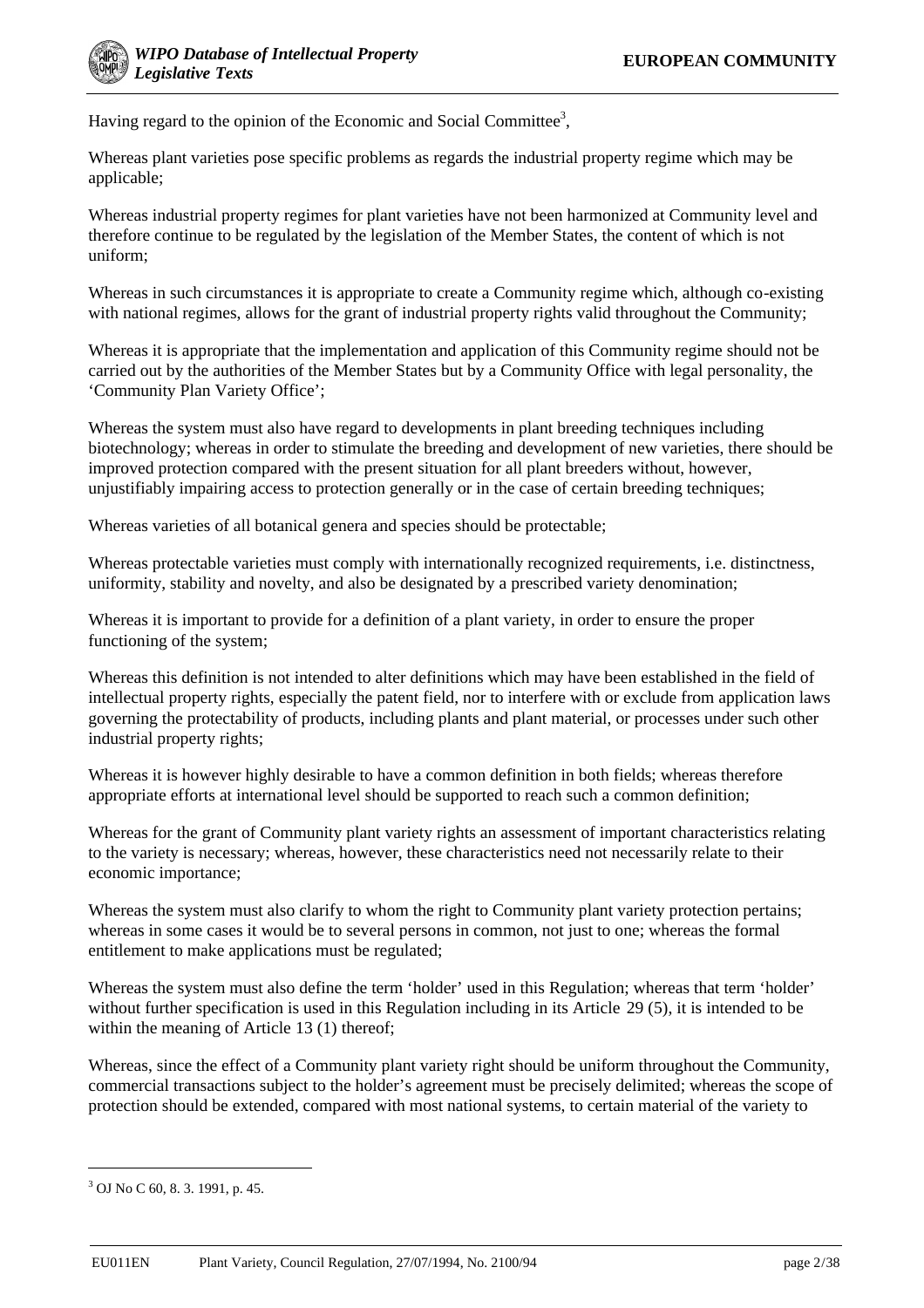

Having regard to the opinion of the Economic and Social Committee<sup>3</sup>,

Whereas plant varieties pose specific problems as regards the industrial property regime which may be applicable;

Whereas industrial property regimes for plant varieties have not been harmonized at Community level and therefore continue to be regulated by the legislation of the Member States, the content of which is not uniform;

Whereas in such circumstances it is appropriate to create a Community regime which, although co-existing with national regimes, allows for the grant of industrial property rights valid throughout the Community;

Whereas it is appropriate that the implementation and application of this Community regime should not be carried out by the authorities of the Member States but by a Community Office with legal personality, the 'Community Plan Variety Office';

Whereas the system must also have regard to developments in plant breeding techniques including biotechnology; whereas in order to stimulate the breeding and development of new varieties, there should be improved protection compared with the present situation for all plant breeders without, however, unjustifiably impairing access to protection generally or in the case of certain breeding techniques;

Whereas varieties of all botanical genera and species should be protectable;

Whereas protectable varieties must comply with internationally recognized requirements, i.e. distinctness, uniformity, stability and novelty, and also be designated by a prescribed variety denomination;

Whereas it is important to provide for a definition of a plant variety, in order to ensure the proper functioning of the system;

Whereas this definition is not intended to alter definitions which may have been established in the field of intellectual property rights, especially the patent field, nor to interfere with or exclude from application laws governing the protectability of products, including plants and plant material, or processes under such other industrial property rights;

Whereas it is however highly desirable to have a common definition in both fields; whereas therefore appropriate efforts at international level should be supported to reach such a common definition;

Whereas for the grant of Community plant variety rights an assessment of important characteristics relating to the variety is necessary; whereas, however, these characteristics need not necessarily relate to their economic importance;

Whereas the system must also clarify to whom the right to Community plant variety protection pertains; whereas in some cases it would be to several persons in common, not just to one; whereas the formal entitlement to make applications must be regulated;

Whereas the system must also define the term 'holder' used in this Regulation; whereas that term 'holder' without further specification is used in this Regulation including in its Article 29 (5), it is intended to be within the meaning of Article 13 (1) thereof;

Whereas, since the effect of a Community plant variety right should be uniform throughout the Community, commercial transactions subject to the holder's agreement must be precisely delimited; whereas the scope of protection should be extended, compared with most national systems, to certain material of the variety to

**.** 

<sup>3</sup> OJ No C 60, 8. 3. 1991, p. 45.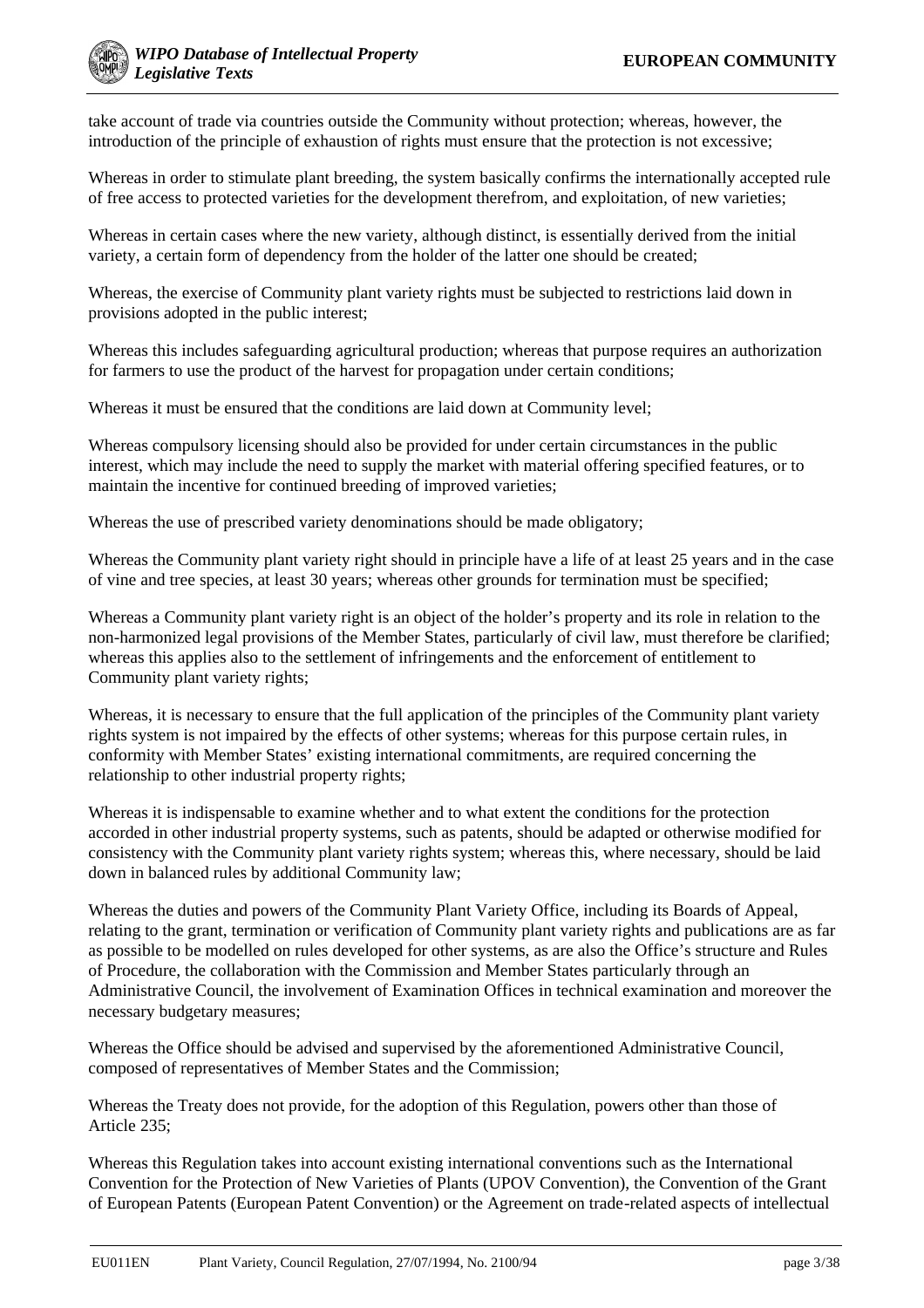

take account of trade via countries outside the Community without protection; whereas, however, the introduction of the principle of exhaustion of rights must ensure that the protection is not excessive;

Whereas in order to stimulate plant breeding, the system basically confirms the internationally accepted rule of free access to protected varieties for the development therefrom, and exploitation, of new varieties;

Whereas in certain cases where the new variety, although distinct, is essentially derived from the initial variety, a certain form of dependency from the holder of the latter one should be created;

Whereas, the exercise of Community plant variety rights must be subjected to restrictions laid down in provisions adopted in the public interest;

Whereas this includes safeguarding agricultural production; whereas that purpose requires an authorization for farmers to use the product of the harvest for propagation under certain conditions;

Whereas it must be ensured that the conditions are laid down at Community level;

Whereas compulsory licensing should also be provided for under certain circumstances in the public interest, which may include the need to supply the market with material offering specified features, or to maintain the incentive for continued breeding of improved varieties;

Whereas the use of prescribed variety denominations should be made obligatory;

Whereas the Community plant variety right should in principle have a life of at least 25 years and in the case of vine and tree species, at least 30 years; whereas other grounds for termination must be specified;

Whereas a Community plant variety right is an object of the holder's property and its role in relation to the non-harmonized legal provisions of the Member States, particularly of civil law, must therefore be clarified; whereas this applies also to the settlement of infringements and the enforcement of entitlement to Community plant variety rights;

Whereas, it is necessary to ensure that the full application of the principles of the Community plant variety rights system is not impaired by the effects of other systems; whereas for this purpose certain rules, in conformity with Member States' existing international commitments, are required concerning the relationship to other industrial property rights;

Whereas it is indispensable to examine whether and to what extent the conditions for the protection accorded in other industrial property systems, such as patents, should be adapted or otherwise modified for consistency with the Community plant variety rights system; whereas this, where necessary, should be laid down in balanced rules by additional Community law;

Whereas the duties and powers of the Community Plant Variety Office, including its Boards of Appeal, relating to the grant, termination or verification of Community plant variety rights and publications are as far as possible to be modelled on rules developed for other systems, as are also the Office's structure and Rules of Procedure, the collaboration with the Commission and Member States particularly through an Administrative Council, the involvement of Examination Offices in technical examination and moreover the necessary budgetary measures;

Whereas the Office should be advised and supervised by the aforementioned Administrative Council, composed of representatives of Member States and the Commission;

Whereas the Treaty does not provide, for the adoption of this Regulation, powers other than those of Article 235;

Whereas this Regulation takes into account existing international conventions such as the International Convention for the Protection of New Varieties of Plants (UPOV Convention), the Convention of the Grant of European Patents (European Patent Convention) or the Agreement on trade-related aspects of intellectual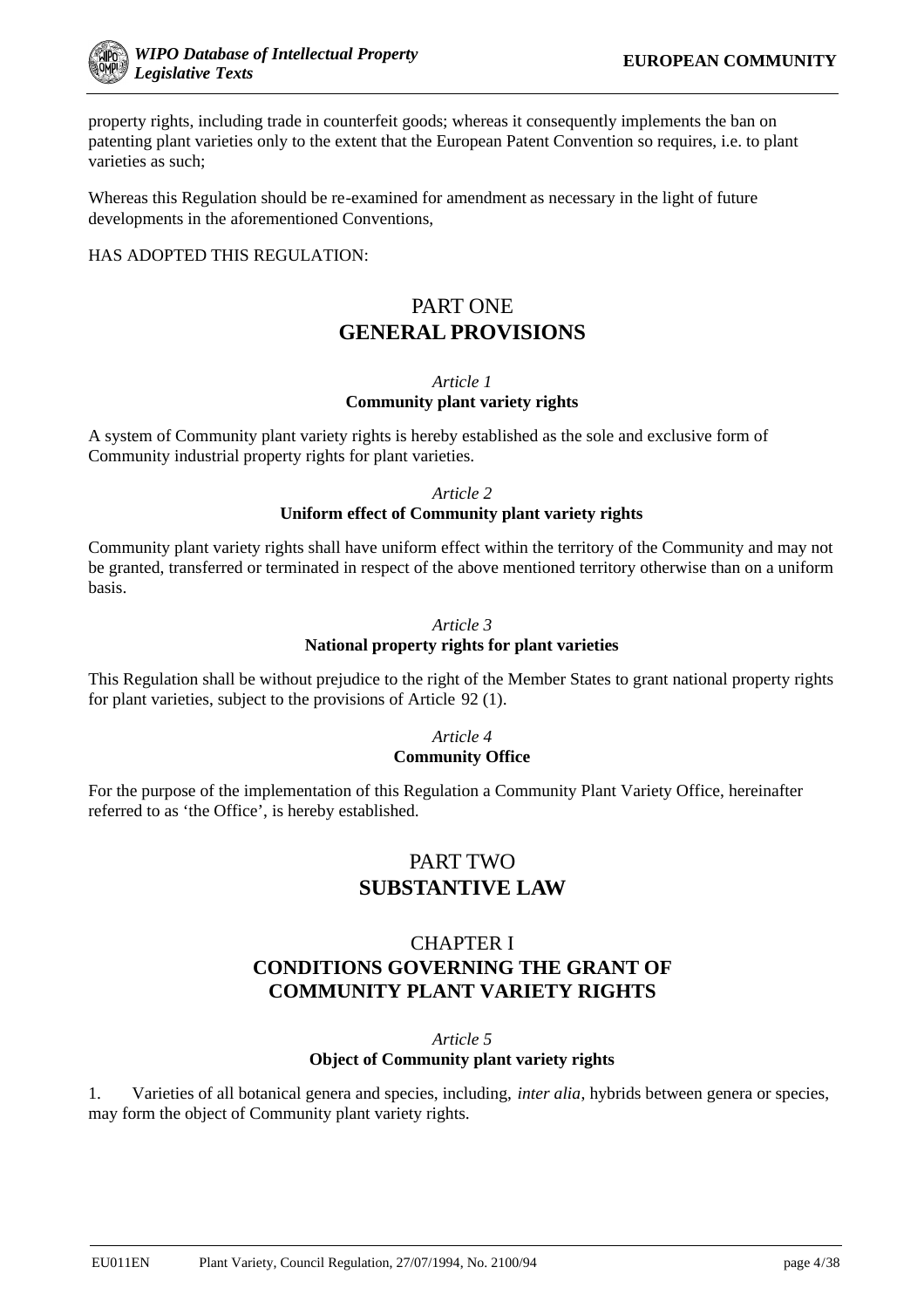

property rights, including trade in counterfeit goods; whereas it consequently implements the ban on patenting plant varieties only to the extent that the European Patent Convention so requires, i.e. to plant varieties as such;

Whereas this Regulation should be re-examined for amendment as necessary in the light of future developments in the aforementioned Conventions,

HAS ADOPTED THIS REGULATION:

## PART ONE **GENERAL PROVISIONS**

#### *Article 1*

#### **Community plant variety rights**

A system of Community plant variety rights is hereby established as the sole and exclusive form of Community industrial property rights for plant varieties.

*Article 2*

#### **Uniform effect of Community plant variety rights**

Community plant variety rights shall have uniform effect within the territory of the Community and may not be granted, transferred or terminated in respect of the above mentioned territory otherwise than on a uniform basis.

## *Article 3*

#### **National property rights for plant varieties**

This Regulation shall be without prejudice to the right of the Member States to grant national property rights for plant varieties, subject to the provisions of Article 92 (1).

#### *Article 4* **Community Office**

For the purpose of the implementation of this Regulation a Community Plant Variety Office, hereinafter referred to as 'the Office', is hereby established.

## PART TWO **SUBSTANTIVE LAW**

## CHAPTER I **CONDITIONS GOVERNING THE GRANT OF COMMUNITY PLANT VARIETY RIGHTS**

*Article 5*

## **Object of Community plant variety rights**

1. Varieties of all botanical genera and species, including, *inter alia*, hybrids between genera or species, may form the object of Community plant variety rights.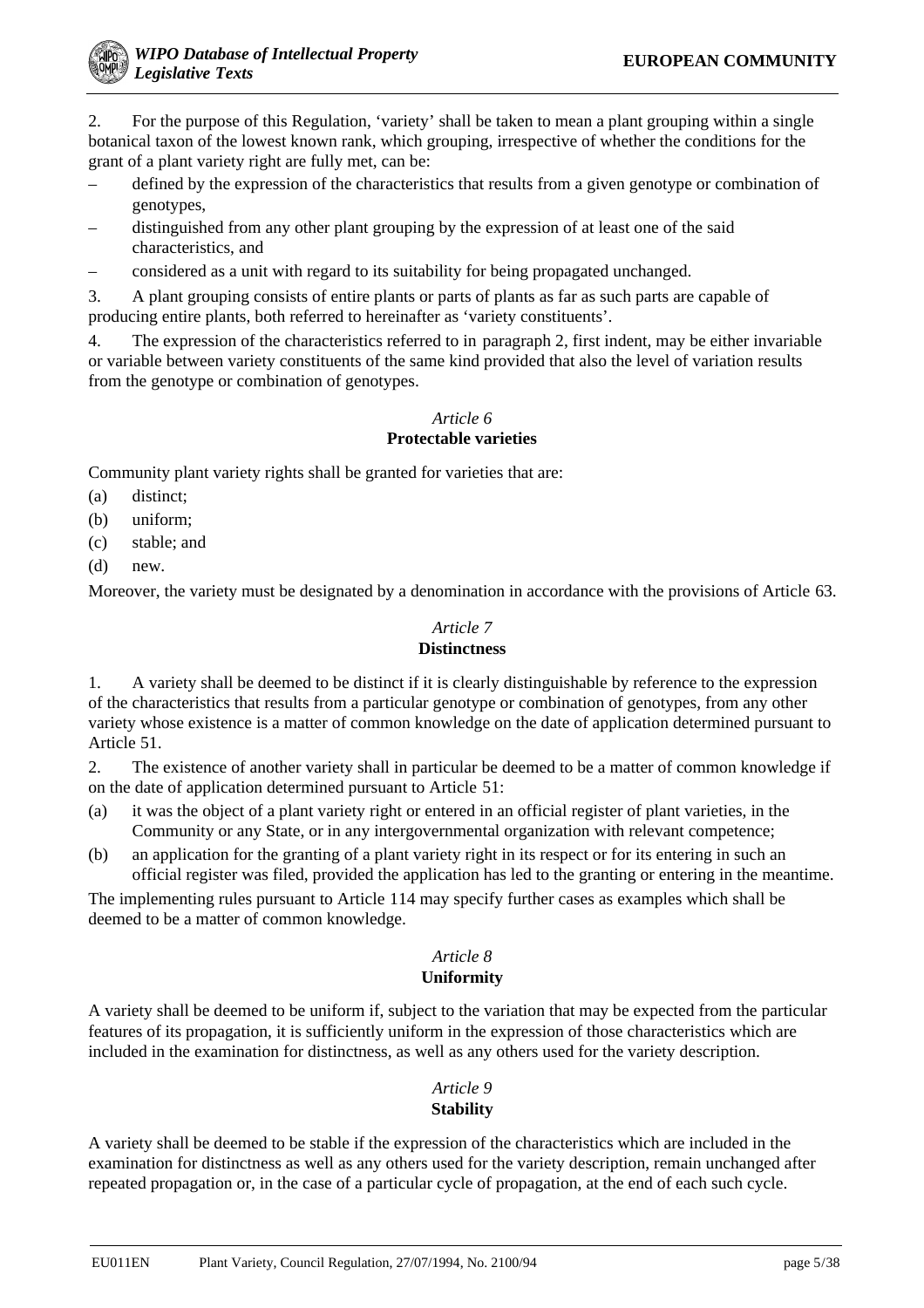2. For the purpose of this Regulation, 'variety' shall be taken to mean a plant grouping within a single botanical taxon of the lowest known rank, which grouping, irrespective of whether the conditions for the grant of a plant variety right are fully met, can be:

- defined by the expression of the characteristics that results from a given genotype or combination of genotypes,
- distinguished from any other plant grouping by the expression of at least one of the said characteristics, and
- considered as a unit with regard to its suitability for being propagated unchanged.

3. A plant grouping consists of entire plants or parts of plants as far as such parts are capable of producing entire plants, both referred to hereinafter as 'variety constituents'.

4. The expression of the characteristics referred to in paragraph 2, first indent, may be either invariable or variable between variety constituents of the same kind provided that also the level of variation results from the genotype or combination of genotypes.

## *Article 6*

#### **Protectable varieties**

Community plant variety rights shall be granted for varieties that are:

(a) distinct;

(b) uniform;

- (c) stable; and
- (d) new.

Moreover, the variety must be designated by a denomination in accordance with the provisions of Article 63.

## *Article 7*

#### **Distinctness**

1. A variety shall be deemed to be distinct if it is clearly distinguishable by reference to the expression of the characteristics that results from a particular genotype or combination of genotypes, from any other variety whose existence is a matter of common knowledge on the date of application determined pursuant to Article 51.

2. The existence of another variety shall in particular be deemed to be a matter of common knowledge if on the date of application determined pursuant to Article 51:

- (a) it was the object of a plant variety right or entered in an official register of plant varieties, in the Community or any State, or in any intergovernmental organization with relevant competence;
- (b) an application for the granting of a plant variety right in its respect or for its entering in such an official register was filed, provided the application has led to the granting or entering in the meantime.

The implementing rules pursuant to Article 114 may specify further cases as examples which shall be deemed to be a matter of common knowledge.

## *Article 8*

## **Uniformity**

A variety shall be deemed to be uniform if, subject to the variation that may be expected from the particular features of its propagation, it is sufficiently uniform in the expression of those characteristics which are included in the examination for distinctness, as well as any others used for the variety description.

## *Article 9*

## **Stability**

A variety shall be deemed to be stable if the expression of the characteristics which are included in the examination for distinctness as well as any others used for the variety description, remain unchanged after repeated propagation or, in the case of a particular cycle of propagation, at the end of each such cycle.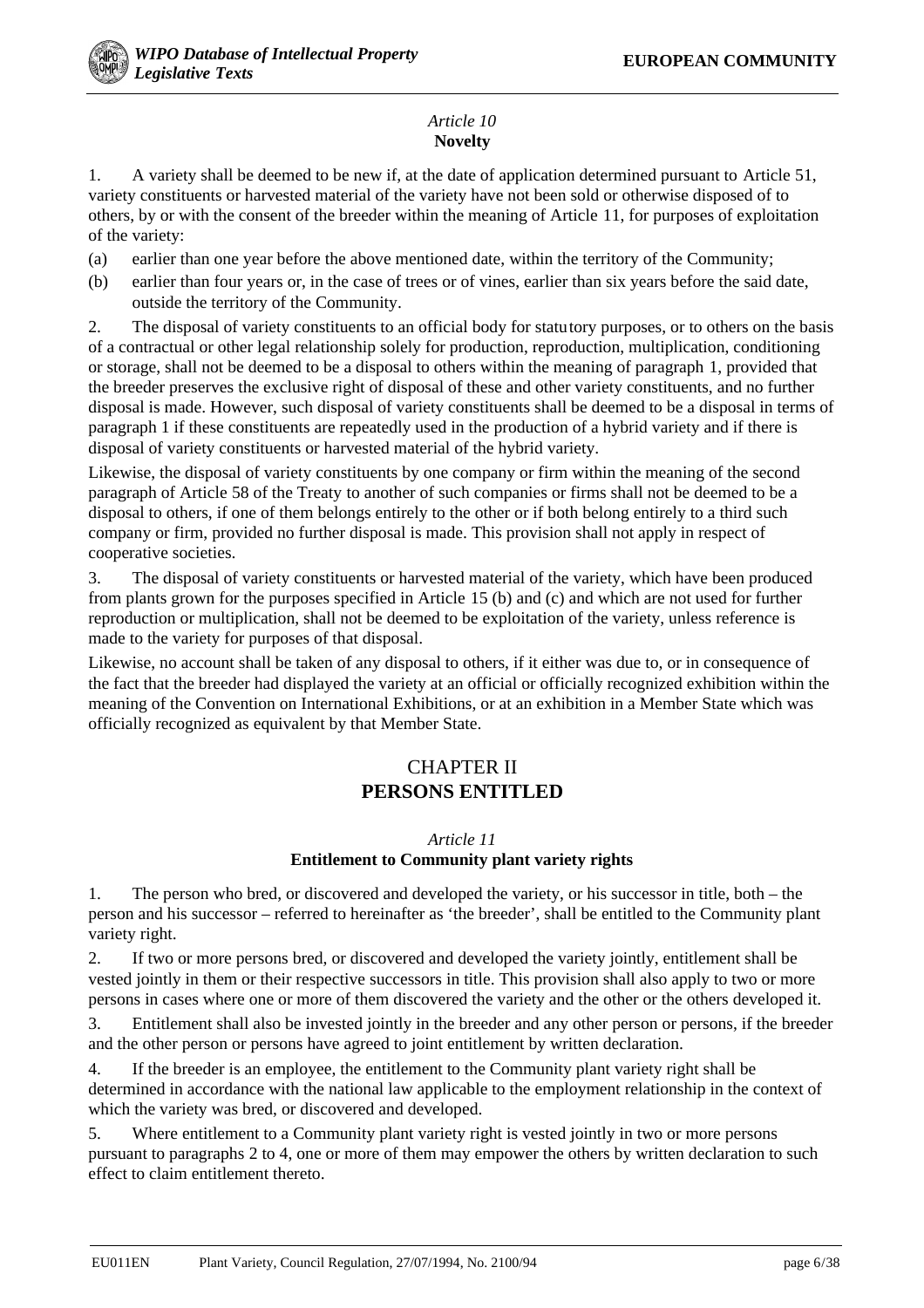### *Article 10* **Novelty**

1. A variety shall be deemed to be new if, at the date of application determined pursuant to Article 51, variety constituents or harvested material of the variety have not been sold or otherwise disposed of to others, by or with the consent of the breeder within the meaning of Article 11, for purposes of exploitation of the variety:

- (a) earlier than one year before the above mentioned date, within the territory of the Community;
- (b) earlier than four years or, in the case of trees or of vines, earlier than six years before the said date, outside the territory of the Community.

2. The disposal of variety constituents to an official body for statutory purposes, or to others on the basis of a contractual or other legal relationship solely for production, reproduction, multiplication, conditioning or storage, shall not be deemed to be a disposal to others within the meaning of paragraph 1, provided that the breeder preserves the exclusive right of disposal of these and other variety constituents, and no further disposal is made. However, such disposal of variety constituents shall be deemed to be a disposal in terms of paragraph 1 if these constituents are repeatedly used in the production of a hybrid variety and if there is disposal of variety constituents or harvested material of the hybrid variety.

Likewise, the disposal of variety constituents by one company or firm within the meaning of the second paragraph of Article 58 of the Treaty to another of such companies or firms shall not be deemed to be a disposal to others, if one of them belongs entirely to the other or if both belong entirely to a third such company or firm, provided no further disposal is made. This provision shall not apply in respect of cooperative societies.

3. The disposal of variety constituents or harvested material of the variety, which have been produced from plants grown for the purposes specified in Article 15 (b) and (c) and which are not used for further reproduction or multiplication, shall not be deemed to be exploitation of the variety, unless reference is made to the variety for purposes of that disposal.

Likewise, no account shall be taken of any disposal to others, if it either was due to, or in consequence of the fact that the breeder had displayed the variety at an official or officially recognized exhibition within the meaning of the Convention on International Exhibitions, or at an exhibition in a Member State which was officially recognized as equivalent by that Member State.

## CHAPTER II **PERSONS ENTITLED**

## *Article 11*

#### **Entitlement to Community plant variety rights**

1. The person who bred, or discovered and developed the variety, or his successor in title, both – the person and his successor – referred to hereinafter as 'the breeder', shall be entitled to the Community plant variety right.

2. If two or more persons bred, or discovered and developed the variety jointly, entitlement shall be vested jointly in them or their respective successors in title. This provision shall also apply to two or more persons in cases where one or more of them discovered the variety and the other or the others developed it.

3. Entitlement shall also be invested jointly in the breeder and any other person or persons, if the breeder and the other person or persons have agreed to joint entitlement by written declaration.

4. If the breeder is an employee, the entitlement to the Community plant variety right shall be determined in accordance with the national law applicable to the employment relationship in the context of which the variety was bred, or discovered and developed.

5. Where entitlement to a Community plant variety right is vested jointly in two or more persons pursuant to paragraphs 2 to 4, one or more of them may empower the others by written declaration to such effect to claim entitlement thereto.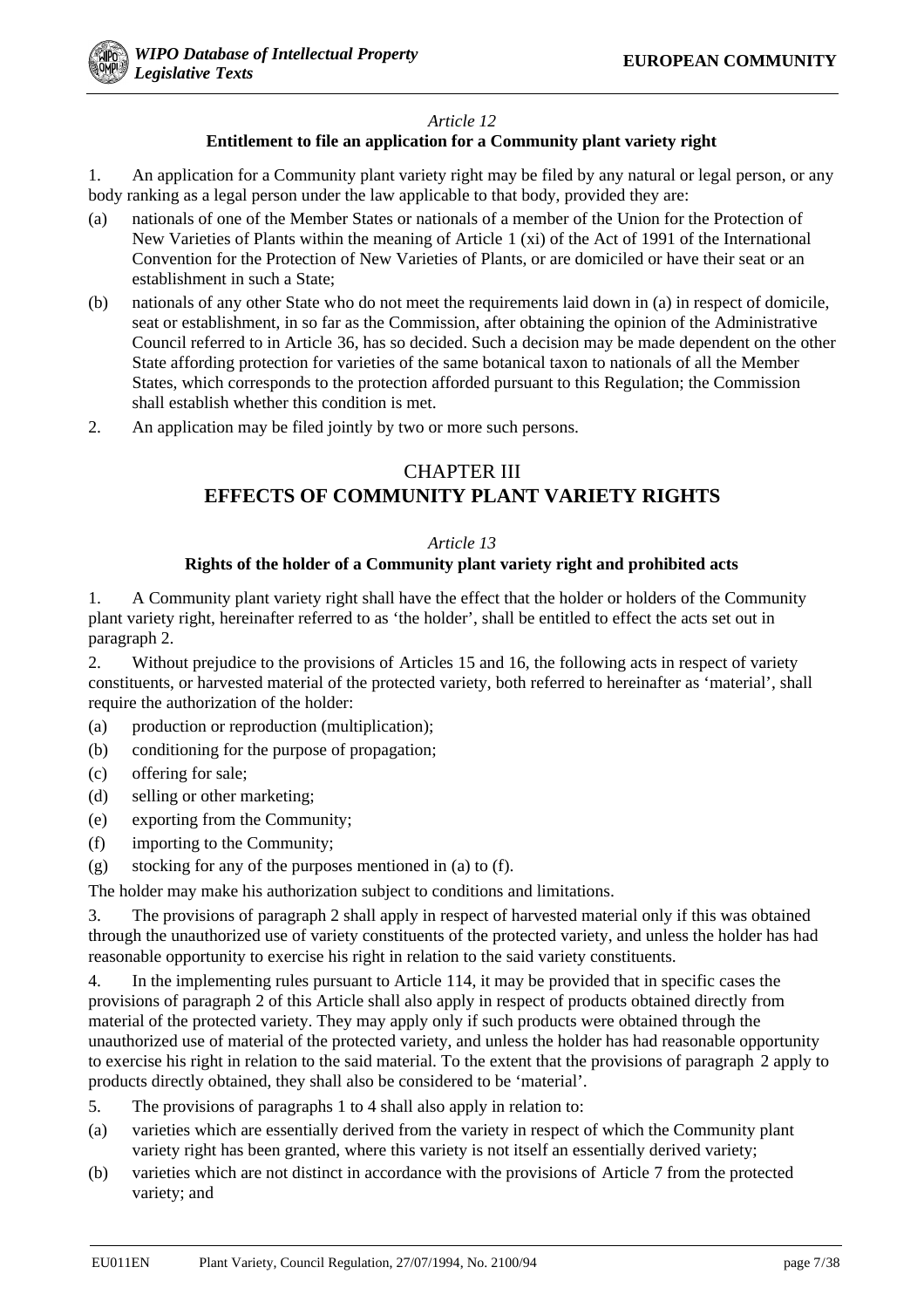#### *Article 12*

## **Entitlement to file an application for a Community plant variety right**

1. An application for a Community plant variety right may be filed by any natural or legal person, or any body ranking as a legal person under the law applicable to that body, provided they are:

- (a) nationals of one of the Member States or nationals of a member of the Union for the Protection of New Varieties of Plants within the meaning of Article 1 (xi) of the Act of 1991 of the International Convention for the Protection of New Varieties of Plants, or are domiciled or have their seat or an establishment in such a State;
- (b) nationals of any other State who do not meet the requirements laid down in (a) in respect of domicile, seat or establishment, in so far as the Commission, after obtaining the opinion of the Administrative Council referred to in Article 36, has so decided. Such a decision may be made dependent on the other State affording protection for varieties of the same botanical taxon to nationals of all the Member States, which corresponds to the protection afforded pursuant to this Regulation; the Commission shall establish whether this condition is met.
- 2. An application may be filed jointly by two or more such persons.

## CHAPTER III **EFFECTS OF COMMUNITY PLANT VARIETY RIGHTS**

#### *Article 13*

#### **Rights of the holder of a Community plant variety right and prohibited acts**

1. A Community plant variety right shall have the effect that the holder or holders of the Community plant variety right, hereinafter referred to as 'the holder', shall be entitled to effect the acts set out in paragraph 2.

2. Without prejudice to the provisions of Articles 15 and 16, the following acts in respect of variety constituents, or harvested material of the protected variety, both referred to hereinafter as 'material', shall require the authorization of the holder:

- (a) production or reproduction (multiplication);
- (b) conditioning for the purpose of propagation;
- (c) offering for sale;
- (d) selling or other marketing;
- (e) exporting from the Community;
- (f) importing to the Community;
- (g) stocking for any of the purposes mentioned in (a) to (f).

The holder may make his authorization subject to conditions and limitations.

3. The provisions of paragraph 2 shall apply in respect of harvested material only if this was obtained through the unauthorized use of variety constituents of the protected variety, and unless the holder has had reasonable opportunity to exercise his right in relation to the said variety constituents.

4. In the implementing rules pursuant to Article 114, it may be provided that in specific cases the provisions of paragraph 2 of this Article shall also apply in respect of products obtained directly from material of the protected variety. They may apply only if such products were obtained through the unauthorized use of material of the protected variety, and unless the holder has had reasonable opportunity to exercise his right in relation to the said material. To the extent that the provisions of paragraph 2 apply to products directly obtained, they shall also be considered to be 'material'.

- 5. The provisions of paragraphs 1 to 4 shall also apply in relation to:
- (a) varieties which are essentially derived from the variety in respect of which the Community plant variety right has been granted, where this variety is not itself an essentially derived variety;
- (b) varieties which are not distinct in accordance with the provisions of Article 7 from the protected variety; and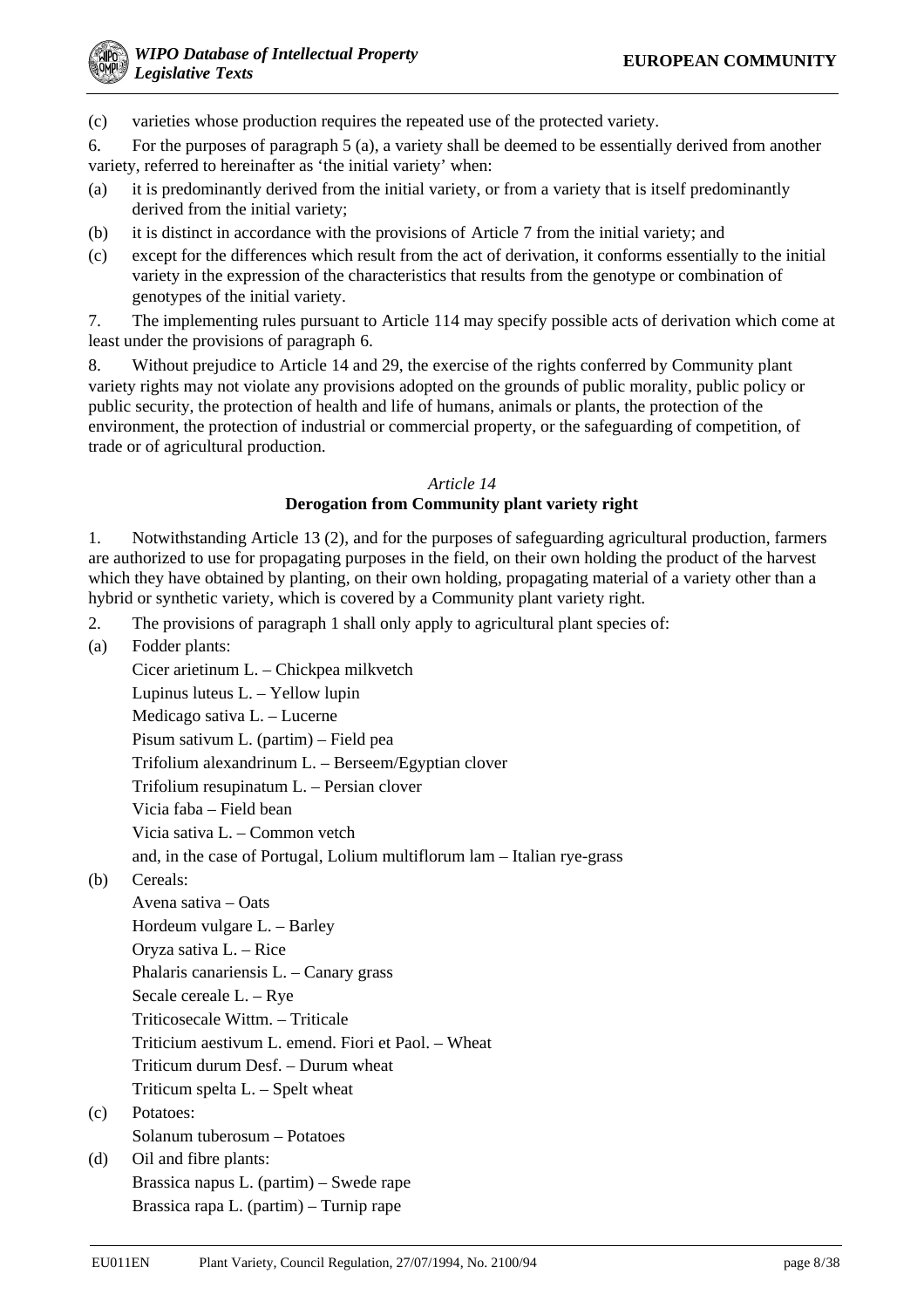(c) varieties whose production requires the repeated use of the protected variety.

6. For the purposes of paragraph 5 (a), a variety shall be deemed to be essentially derived from another variety, referred to hereinafter as 'the initial variety' when:

- (a) it is predominantly derived from the initial variety, or from a variety that is itself predominantly derived from the initial variety;
- (b) it is distinct in accordance with the provisions of Article 7 from the initial variety; and
- (c) except for the differences which result from the act of derivation, it conforms essentially to the initial variety in the expression of the characteristics that results from the genotype or combination of genotypes of the initial variety.

7. The implementing rules pursuant to Article 114 may specify possible acts of derivation which come at least under the provisions of paragraph 6.

8. Without prejudice to Article 14 and 29, the exercise of the rights conferred by Community plant variety rights may not violate any provisions adopted on the grounds of public morality, public policy or public security, the protection of health and life of humans, animals or plants, the protection of the environment, the protection of industrial or commercial property, or the safeguarding of competition, of trade or of agricultural production.

#### *Article 14*

## **Derogation from Community plant variety right**

1. Notwithstanding Article 13 (2), and for the purposes of safeguarding agricultural production, farmers are authorized to use for propagating purposes in the field, on their own holding the product of the harvest which they have obtained by planting, on their own holding, propagating material of a variety other than a hybrid or synthetic variety, which is covered by a Community plant variety right.

2. The provisions of paragraph 1 shall only apply to agricultural plant species of:

(a) Fodder plants:

Cicer arietinum L. – Chickpea milkvetch Lupinus luteus L. – Yellow lupin Medicago sativa L. – Lucerne Pisum sativum L. (partim) – Field pea Trifolium alexandrinum L. – Berseem/Egyptian clover Trifolium resupinatum L. – Persian clover Vicia faba – Field bean Vicia sativa L. – Common vetch and, in the case of Portugal, Lolium multiflorum lam – Italian rye-grass

(b) Cereals:

Avena sativa – Oats Hordeum vulgare L. – Barley Oryza sativa L. – Rice Phalaris canariensis L. – Canary grass Secale cereale L. – Rye Triticosecale Wittm. – Triticale Triticium aestivum L. emend. Fiori et Paol. – Wheat Triticum durum Desf. – Durum wheat Triticum spelta L. – Spelt wheat

- (c) Potatoes: Solanum tuberosum – Potatoes
- (d) Oil and fibre plants: Brassica napus L. (partim) – Swede rape Brassica rapa L. (partim) – Turnip rape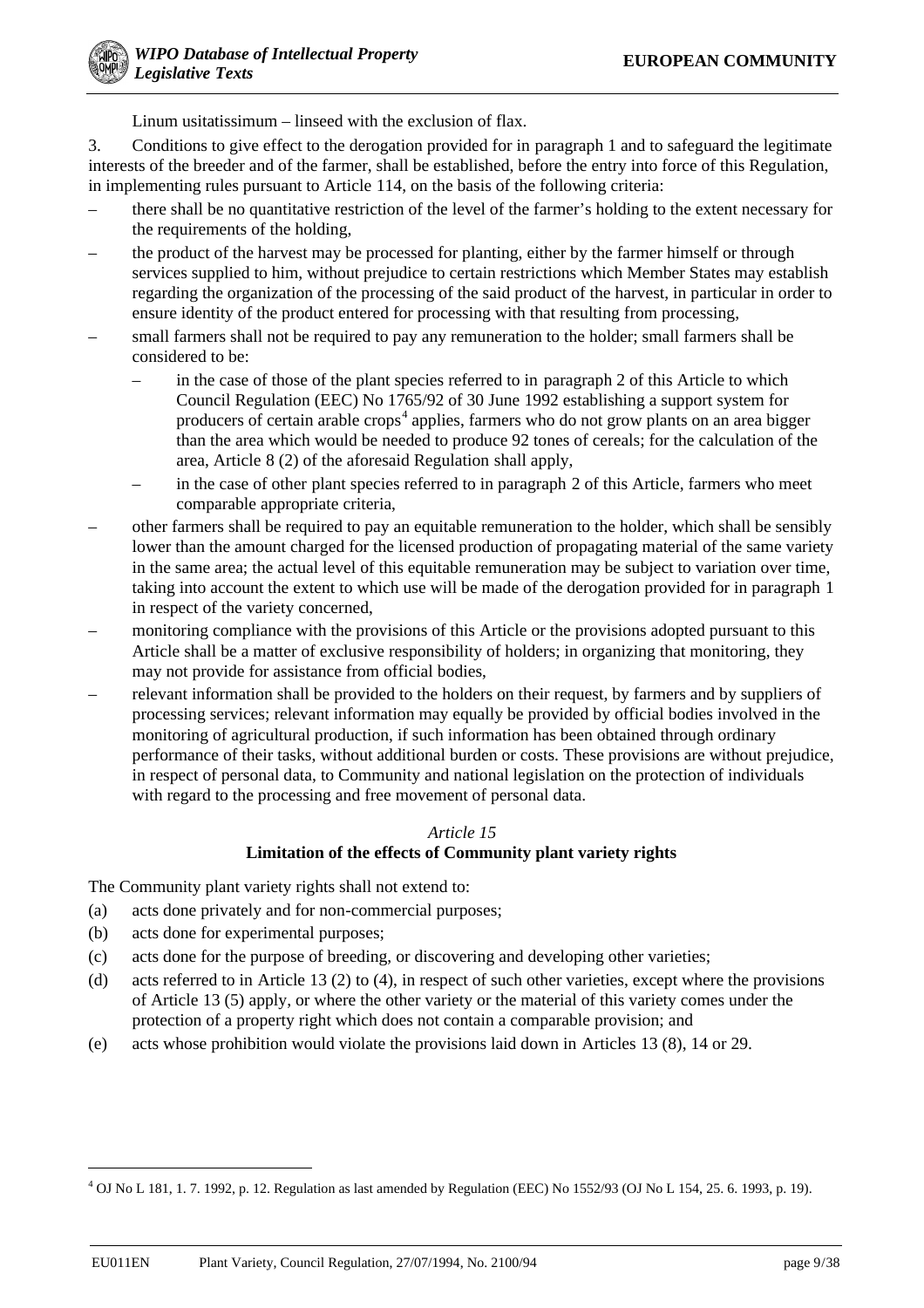Linum usitatissimum – linseed with the exclusion of flax.

3. Conditions to give effect to the derogation provided for in paragraph 1 and to safeguard the legitimate interests of the breeder and of the farmer, shall be established, before the entry into force of this Regulation, in implementing rules pursuant to Article 114, on the basis of the following criteria:

- there shall be no quantitative restriction of the level of the farmer's holding to the extent necessary for the requirements of the holding,
- the product of the harvest may be processed for planting, either by the farmer himself or through services supplied to him, without prejudice to certain restrictions which Member States may establish regarding the organization of the processing of the said product of the harvest, in particular in order to ensure identity of the product entered for processing with that resulting from processing,
- small farmers shall not be required to pay any remuneration to the holder; small farmers shall be considered to be:
	- in the case of those of the plant species referred to in paragraph 2 of this Article to which Council Regulation (EEC) No 1765/92 of 30 June 1992 establishing a support system for producers of certain arable crops<sup>4</sup> applies, farmers who do not grow plants on an area bigger than the area which would be needed to produce 92 tones of cereals; for the calculation of the area, Article 8 (2) of the aforesaid Regulation shall apply,
	- in the case of other plant species referred to in paragraph 2 of this Article, farmers who meet comparable appropriate criteria,
- other farmers shall be required to pay an equitable remuneration to the holder, which shall be sensibly lower than the amount charged for the licensed production of propagating material of the same variety in the same area; the actual level of this equitable remuneration may be subject to variation over time, taking into account the extent to which use will be made of the derogation provided for in paragraph 1 in respect of the variety concerned,
- monitoring compliance with the provisions of this Article or the provisions adopted pursuant to this Article shall be a matter of exclusive responsibility of holders; in organizing that monitoring, they may not provide for assistance from official bodies,
- relevant information shall be provided to the holders on their request, by farmers and by suppliers of processing services; relevant information may equally be provided by official bodies involved in the monitoring of agricultural production, if such information has been obtained through ordinary performance of their tasks, without additional burden or costs. These provisions are without prejudice, in respect of personal data, to Community and national legislation on the protection of individuals with regard to the processing and free movement of personal data.

## *Article 15* **Limitation of the effects of Community plant variety rights**

The Community plant variety rights shall not extend to:

- (a) acts done privately and for non-commercial purposes;
- (b) acts done for experimental purposes;

**.** 

- (c) acts done for the purpose of breeding, or discovering and developing other varieties;
- (d) acts referred to in Article 13 (2) to (4), in respect of such other varieties, except where the provisions of Article 13 (5) apply, or where the other variety or the material of this variety comes under the protection of a property right which does not contain a comparable provision; and
- (e) acts whose prohibition would violate the provisions laid down in Articles 13 (8), 14 or 29.

<sup>4</sup> OJ No L 181, 1. 7. 1992, p. 12. Regulation as last amended by Regulation (EEC) No 1552/93 (OJ No L 154, 25. 6. 1993, p. 19).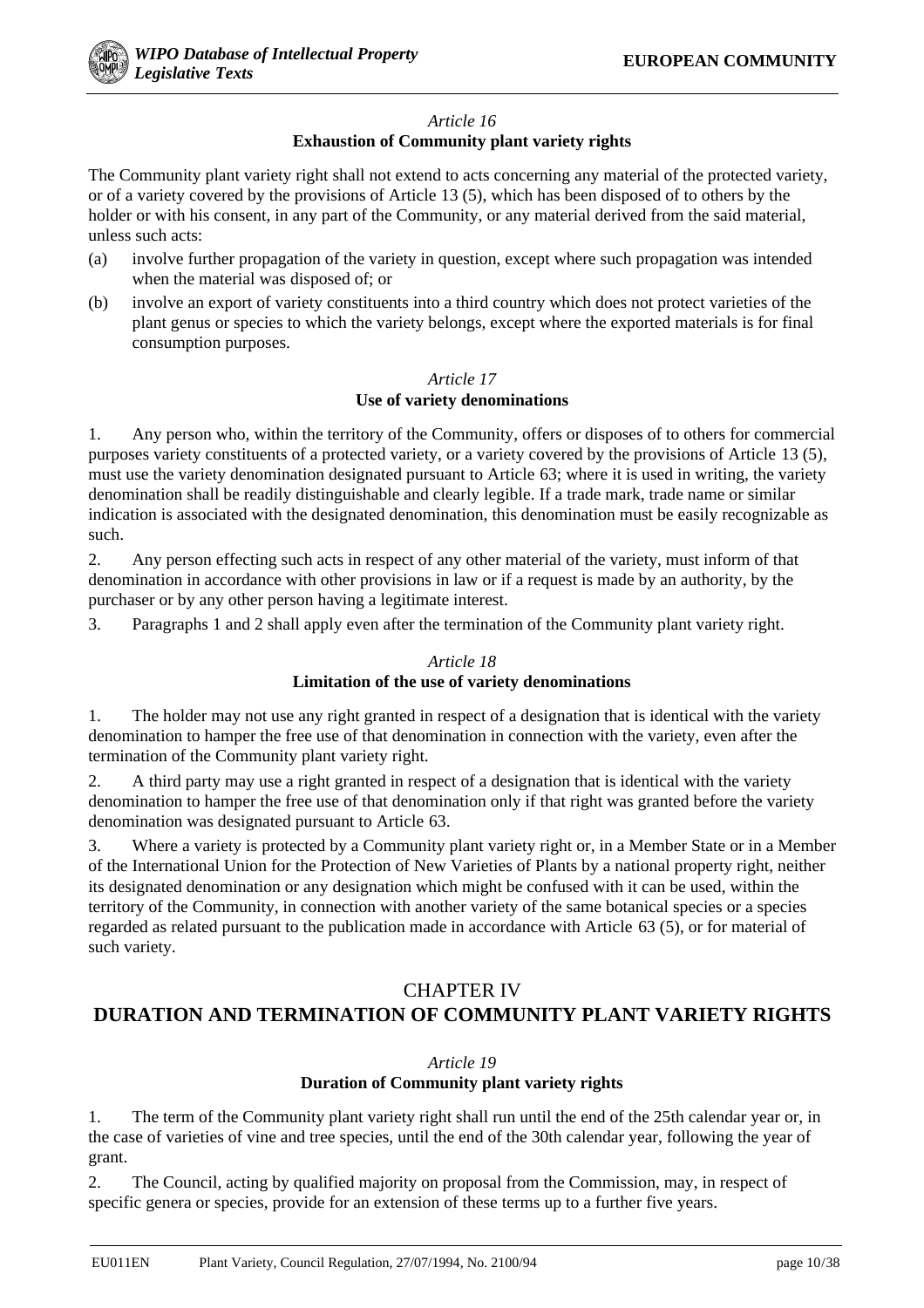#### *Article 16*

## **Exhaustion of Community plant variety rights**

The Community plant variety right shall not extend to acts concerning any material of the protected variety, or of a variety covered by the provisions of Article 13 (5), which has been disposed of to others by the holder or with his consent, in any part of the Community, or any material derived from the said material, unless such acts:

- (a) involve further propagation of the variety in question, except where such propagation was intended when the material was disposed of; or
- (b) involve an export of variety constituents into a third country which does not protect varieties of the plant genus or species to which the variety belongs, except where the exported materials is for final consumption purposes.

## *Article 17*

#### **Use of variety denominations**

1. Any person who, within the territory of the Community, offers or disposes of to others for commercial purposes variety constituents of a protected variety, or a variety covered by the provisions of Article 13 (5), must use the variety denomination designated pursuant to Article 63; where it is used in writing, the variety denomination shall be readily distinguishable and clearly legible. If a trade mark, trade name or similar indication is associated with the designated denomination, this denomination must be easily recognizable as such.

2. Any person effecting such acts in respect of any other material of the variety, must inform of that denomination in accordance with other provisions in law or if a request is made by an authority, by the purchaser or by any other person having a legitimate interest.

3. Paragraphs 1 and 2 shall apply even after the termination of the Community plant variety right.

## *Article 18*

## **Limitation of the use of variety denominations**

1. The holder may not use any right granted in respect of a designation that is identical with the variety denomination to hamper the free use of that denomination in connection with the variety, even after the termination of the Community plant variety right.

2. A third party may use a right granted in respect of a designation that is identical with the variety denomination to hamper the free use of that denomination only if that right was granted before the variety denomination was designated pursuant to Article 63.

3. Where a variety is protected by a Community plant variety right or, in a Member State or in a Member of the International Union for the Protection of New Varieties of Plants by a national property right, neither its designated denomination or any designation which might be confused with it can be used, within the territory of the Community, in connection with another variety of the same botanical species or a species regarded as related pursuant to the publication made in accordance with Article 63 (5), or for material of such variety.

## CHAPTER IV

## **DURATION AND TERMINATION OF COMMUNITY PLANT VARIETY RIGHTS**

## *Article 19*

## **Duration of Community plant variety rights**

1. The term of the Community plant variety right shall run until the end of the 25th calendar year or, in the case of varieties of vine and tree species, until the end of the 30th calendar year, following the year of grant.

2. The Council, acting by qualified majority on proposal from the Commission, may, in respect of specific genera or species, provide for an extension of these terms up to a further five years.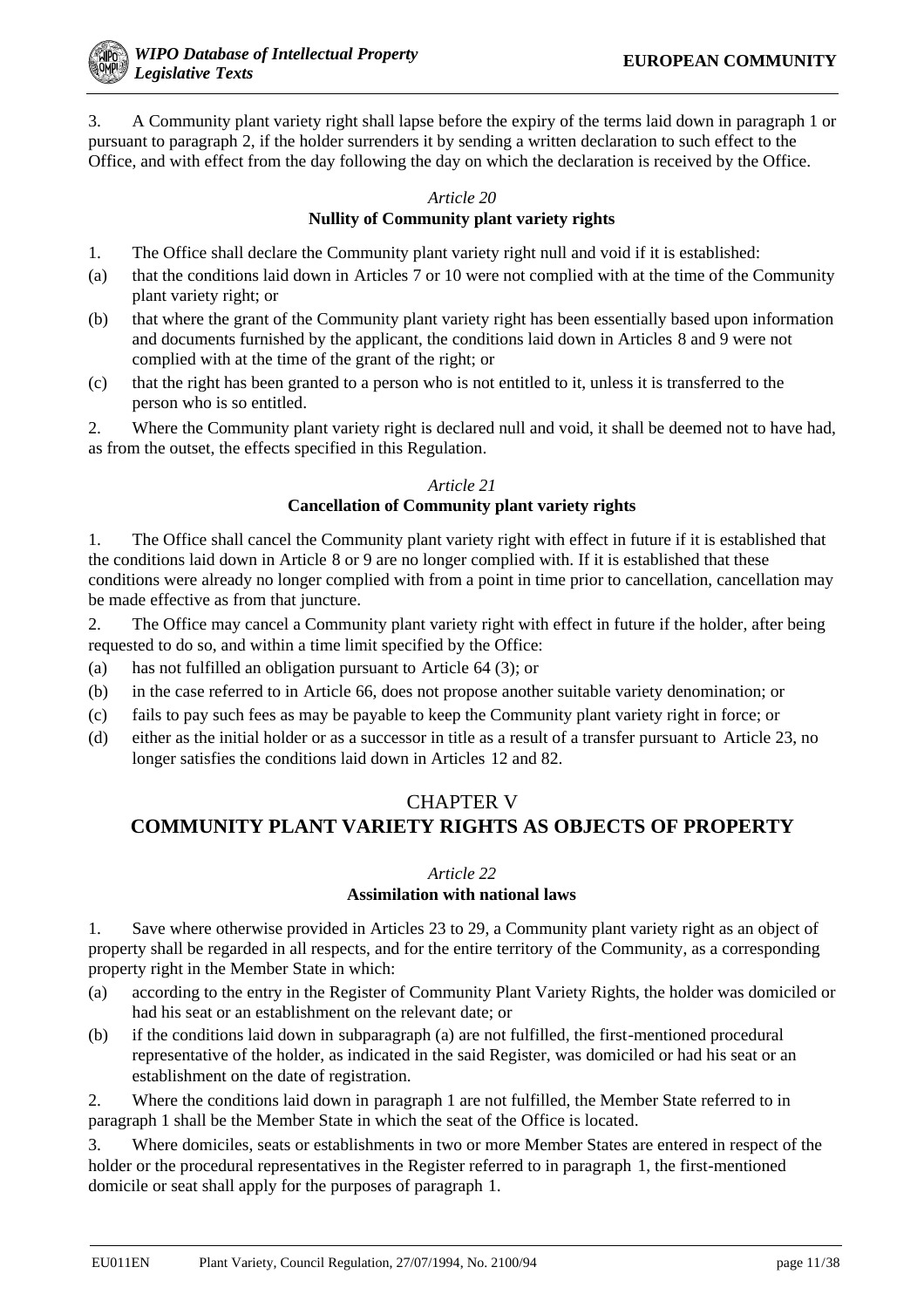3. A Community plant variety right shall lapse before the expiry of the terms laid down in paragraph 1 or pursuant to paragraph 2, if the holder surrenders it by sending a written declaration to such effect to the Office, and with effect from the day following the day on which the declaration is received by the Office.

#### *Article 20* **Nullity of Community plant variety rights**

- 1. The Office shall declare the Community plant variety right null and void if it is established:
- (a) that the conditions laid down in Articles 7 or 10 were not complied with at the time of the Community plant variety right; or
- (b) that where the grant of the Community plant variety right has been essentially based upon information and documents furnished by the applicant, the conditions laid down in Articles 8 and 9 were not complied with at the time of the grant of the right; or
- (c) that the right has been granted to a person who is not entitled to it, unless it is transferred to the person who is so entitled.

2. Where the Community plant variety right is declared null and void, it shall be deemed not to have had, as from the outset, the effects specified in this Regulation.

## *Article 21*

#### **Cancellation of Community plant variety rights**

1. The Office shall cancel the Community plant variety right with effect in future if it is established that the conditions laid down in Article 8 or 9 are no longer complied with. If it is established that these conditions were already no longer complied with from a point in time prior to cancellation, cancellation may be made effective as from that juncture.

2. The Office may cancel a Community plant variety right with effect in future if the holder, after being requested to do so, and within a time limit specified by the Office:

- (a) has not fulfilled an obligation pursuant to Article 64 (3); or
- (b) in the case referred to in Article 66, does not propose another suitable variety denomination; or
- (c) fails to pay such fees as may be payable to keep the Community plant variety right in force; or
- (d) either as the initial holder or as a successor in title as a result of a transfer pursuant to Article 23, no longer satisfies the conditions laid down in Articles 12 and 82.

## CHAPTER V

## **COMMUNITY PLANT VARIETY RIGHTS AS OBJECTS OF PROPERTY**

#### *Article 22*

#### **Assimilation with national laws**

1. Save where otherwise provided in Articles 23 to 29, a Community plant variety right as an object of property shall be regarded in all respects, and for the entire territory of the Community, as a corresponding property right in the Member State in which:

- (a) according to the entry in the Register of Community Plant Variety Rights, the holder was domiciled or had his seat or an establishment on the relevant date; or
- (b) if the conditions laid down in subparagraph (a) are not fulfilled, the first-mentioned procedural representative of the holder, as indicated in the said Register, was domiciled or had his seat or an establishment on the date of registration.

2. Where the conditions laid down in paragraph 1 are not fulfilled, the Member State referred to in paragraph 1 shall be the Member State in which the seat of the Office is located.

3. Where domiciles, seats or establishments in two or more Member States are entered in respect of the holder or the procedural representatives in the Register referred to in paragraph 1, the first-mentioned domicile or seat shall apply for the purposes of paragraph 1.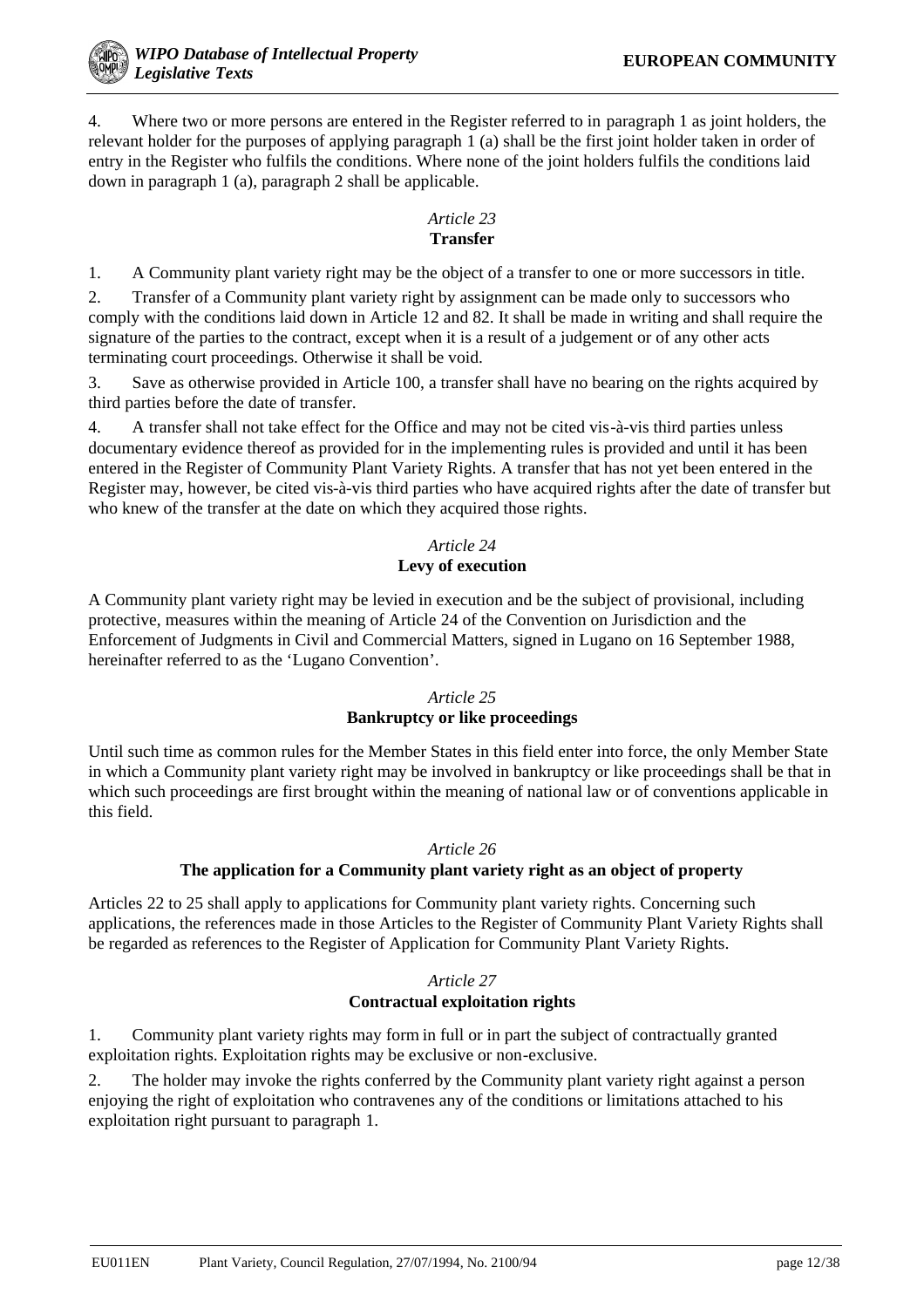4. Where two or more persons are entered in the Register referred to in paragraph 1 as joint holders, the relevant holder for the purposes of applying paragraph 1 (a) shall be the first joint holder taken in order of entry in the Register who fulfils the conditions. Where none of the joint holders fulfils the conditions laid down in paragraph 1 (a), paragraph 2 shall be applicable.

#### *Article 23* **Transfer**

1. A Community plant variety right may be the object of a transfer to one or more successors in title.

2. Transfer of a Community plant variety right by assignment can be made only to successors who comply with the conditions laid down in Article 12 and 82. It shall be made in writing and shall require the signature of the parties to the contract, except when it is a result of a judgement or of any other acts terminating court proceedings. Otherwise it shall be void.

3. Save as otherwise provided in Article 100, a transfer shall have no bearing on the rights acquired by third parties before the date of transfer.

4. A transfer shall not take effect for the Office and may not be cited vis-à-vis third parties unless documentary evidence thereof as provided for in the implementing rules is provided and until it has been entered in the Register of Community Plant Variety Rights. A transfer that has not yet been entered in the Register may, however, be cited vis-à-vis third parties who have acquired rights after the date of transfer but who knew of the transfer at the date on which they acquired those rights.

## *Article 24* **Levy of execution**

A Community plant variety right may be levied in execution and be the subject of provisional, including protective, measures within the meaning of Article 24 of the Convention on Jurisdiction and the Enforcement of Judgments in Civil and Commercial Matters, signed in Lugano on 16 September 1988, hereinafter referred to as the 'Lugano Convention'.

## *Article 25*

## **Bankruptcy or like proceedings**

Until such time as common rules for the Member States in this field enter into force, the only Member State in which a Community plant variety right may be involved in bankruptcy or like proceedings shall be that in which such proceedings are first brought within the meaning of national law or of conventions applicable in this field.

## *Article 26*

## **The application for a Community plant variety right as an object of property**

Articles 22 to 25 shall apply to applications for Community plant variety rights. Concerning such applications, the references made in those Articles to the Register of Community Plant Variety Rights shall be regarded as references to the Register of Application for Community Plant Variety Rights.

#### *Article 27* **Contractual exploitation rights**

1. Community plant variety rights may form in full or in part the subject of contractually granted exploitation rights. Exploitation rights may be exclusive or non-exclusive.

2. The holder may invoke the rights conferred by the Community plant variety right against a person enjoying the right of exploitation who contravenes any of the conditions or limitations attached to his exploitation right pursuant to paragraph 1.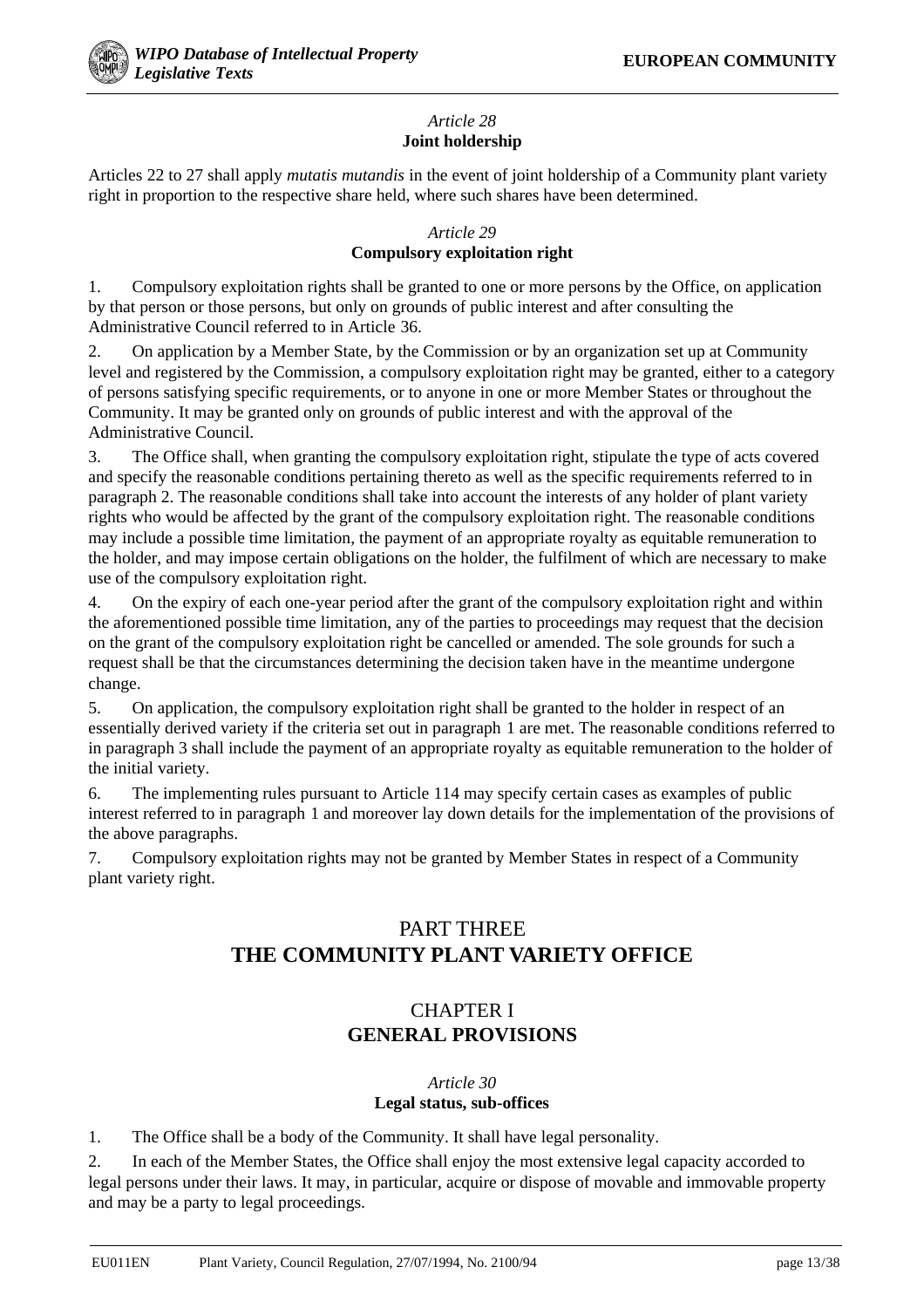

#### *Article 28* **Joint holdership**

Articles 22 to 27 shall apply *mutatis mutandis* in the event of joint holdership of a Community plant variety right in proportion to the respective share held, where such shares have been determined.

## *Article 29*

## **Compulsory exploitation right**

1. Compulsory exploitation rights shall be granted to one or more persons by the Office, on application by that person or those persons, but only on grounds of public interest and after consulting the Administrative Council referred to in Article 36.

2. On application by a Member State, by the Commission or by an organization set up at Community level and registered by the Commission, a compulsory exploitation right may be granted, either to a category of persons satisfying specific requirements, or to anyone in one or more Member States or throughout the Community. It may be granted only on grounds of public interest and with the approval of the Administrative Council.

3. The Office shall, when granting the compulsory exploitation right, stipulate the type of acts covered and specify the reasonable conditions pertaining thereto as well as the specific requirements referred to in paragraph 2. The reasonable conditions shall take into account the interests of any holder of plant variety rights who would be affected by the grant of the compulsory exploitation right. The reasonable conditions may include a possible time limitation, the payment of an appropriate royalty as equitable remuneration to the holder, and may impose certain obligations on the holder, the fulfilment of which are necessary to make use of the compulsory exploitation right.

4. On the expiry of each one-year period after the grant of the compulsory exploitation right and within the aforementioned possible time limitation, any of the parties to proceedings may request that the decision on the grant of the compulsory exploitation right be cancelled or amended. The sole grounds for such a request shall be that the circumstances determining the decision taken have in the meantime undergone change.

5. On application, the compulsory exploitation right shall be granted to the holder in respect of an essentially derived variety if the criteria set out in paragraph 1 are met. The reasonable conditions referred to in paragraph 3 shall include the payment of an appropriate royalty as equitable remuneration to the holder of the initial variety.

6. The implementing rules pursuant to Article 114 may specify certain cases as examples of public interest referred to in paragraph 1 and moreover lay down details for the implementation of the provisions of the above paragraphs.

7. Compulsory exploitation rights may not be granted by Member States in respect of a Community plant variety right.

## PART THREE **THE COMMUNITY PLANT VARIETY OFFICE**

## CHAPTER I **GENERAL PROVISIONS**

#### *Article 30* **Legal status, sub-offices**

1. The Office shall be a body of the Community. It shall have legal personality.

2. In each of the Member States, the Office shall enjoy the most extensive legal capacity accorded to legal persons under their laws. It may, in particular, acquire or dispose of movable and immovable property and may be a party to legal proceedings.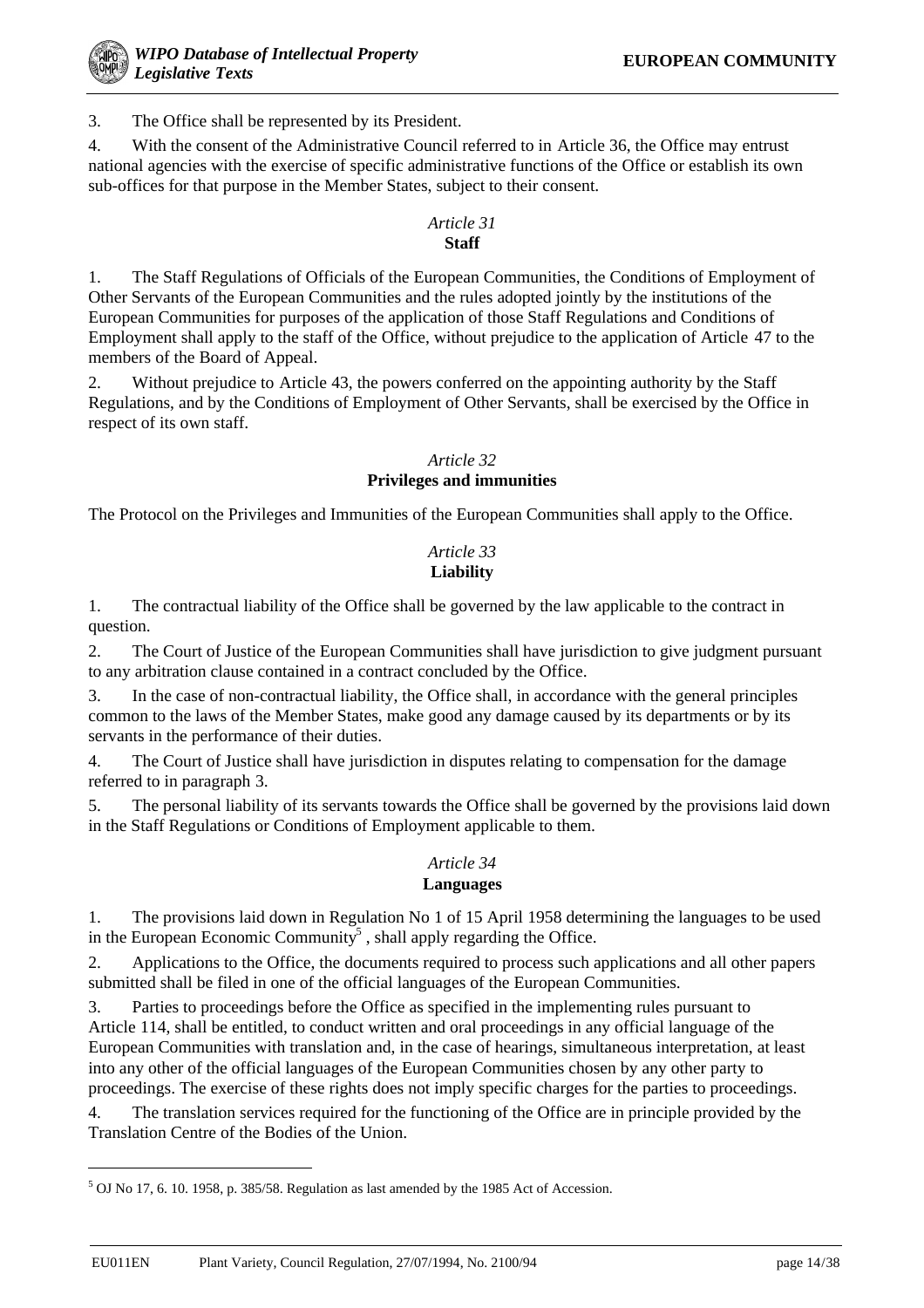**.** 

3. The Office shall be represented by its President.

4. With the consent of the Administrative Council referred to in Article 36, the Office may entrust national agencies with the exercise of specific administrative functions of the Office or establish its own sub-offices for that purpose in the Member States, subject to their consent.

## *Article 31*

## **Staff**

1. The Staff Regulations of Officials of the European Communities, the Conditions of Employment of Other Servants of the European Communities and the rules adopted jointly by the institutions of the European Communities for purposes of the application of those Staff Regulations and Conditions of Employment shall apply to the staff of the Office, without prejudice to the application of Article 47 to the members of the Board of Appeal.

2. Without prejudice to Article 43, the powers conferred on the appointing authority by the Staff Regulations, and by the Conditions of Employment of Other Servants, shall be exercised by the Office in respect of its own staff.

#### *Article 32*

## **Privileges and immunities**

The Protocol on the Privileges and Immunities of the European Communities shall apply to the Office.

#### *Article 33* **Liability**

1. The contractual liability of the Office shall be governed by the law applicable to the contract in question.

2. The Court of Justice of the European Communities shall have jurisdiction to give judgment pursuant to any arbitration clause contained in a contract concluded by the Office.

3. In the case of non-contractual liability, the Office shall, in accordance with the general principles common to the laws of the Member States, make good any damage caused by its departments or by its servants in the performance of their duties.

4. The Court of Justice shall have jurisdiction in disputes relating to compensation for the damage referred to in paragraph 3.

5. The personal liability of its servants towards the Office shall be governed by the provisions laid down in the Staff Regulations or Conditions of Employment applicable to them.

## *Article 34*

## **Languages**

1. The provisions laid down in Regulation No 1 of 15 April 1958 determining the languages to be used in the European Economic Community<sup>5</sup>, shall apply regarding the Office.

2. Applications to the Office, the documents required to process such applications and all other papers submitted shall be filed in one of the official languages of the European Communities.

3. Parties to proceedings before the Office as specified in the implementing rules pursuant to Article 114, shall be entitled, to conduct written and oral proceedings in any official language of the European Communities with translation and, in the case of hearings, simultaneous interpretation, at least into any other of the official languages of the European Communities chosen by any other party to proceedings. The exercise of these rights does not imply specific charges for the parties to proceedings.

4. The translation services required for the functioning of the Office are in principle provided by the Translation Centre of the Bodies of the Union.

<sup>&</sup>lt;sup>5</sup> OJ No 17, 6. 10. 1958, p. 385/58. Regulation as last amended by the 1985 Act of Accession.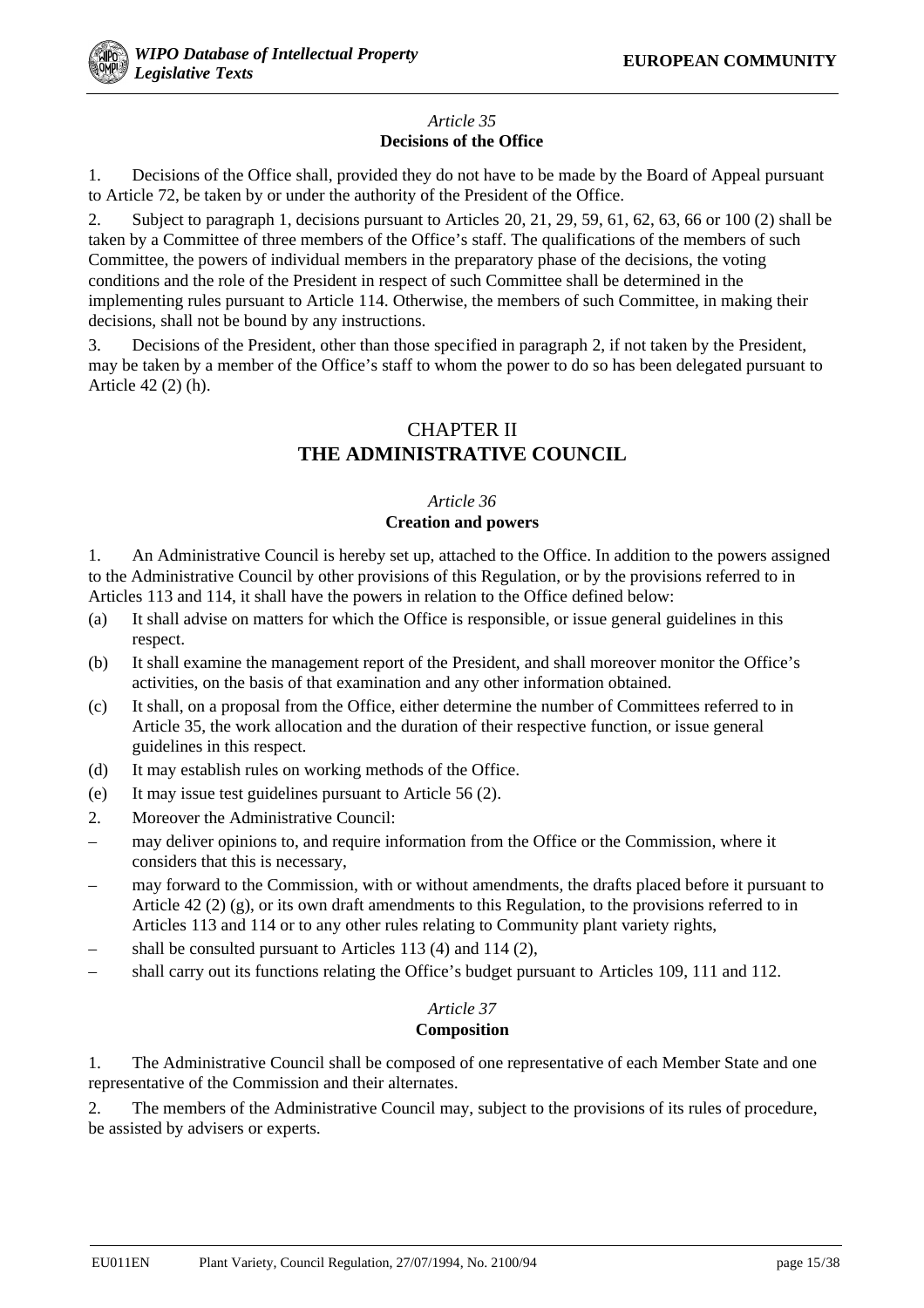#### *Article 35* **Decisions of the Office**

1. Decisions of the Office shall, provided they do not have to be made by the Board of Appeal pursuant to Article 72, be taken by or under the authority of the President of the Office.

2. Subject to paragraph 1, decisions pursuant to Articles 20, 21, 29, 59, 61, 62, 63, 66 or 100 (2) shall be taken by a Committee of three members of the Office's staff. The qualifications of the members of such Committee, the powers of individual members in the preparatory phase of the decisions, the voting conditions and the role of the President in respect of such Committee shall be determined in the implementing rules pursuant to Article 114. Otherwise, the members of such Committee, in making their decisions, shall not be bound by any instructions.

3. Decisions of the President, other than those specified in paragraph 2, if not taken by the President, may be taken by a member of the Office's staff to whom the power to do so has been delegated pursuant to Article 42 (2) (h).

## CHAPTER II **THE ADMINISTRATIVE COUNCIL**

## *Article 36* **Creation and powers**

1. An Administrative Council is hereby set up, attached to the Office. In addition to the powers assigned to the Administrative Council by other provisions of this Regulation, or by the provisions referred to in Articles 113 and 114, it shall have the powers in relation to the Office defined below:

- (a) It shall advise on matters for which the Office is responsible, or issue general guidelines in this respect.
- (b) It shall examine the management report of the President, and shall moreover monitor the Office's activities, on the basis of that examination and any other information obtained.
- (c) It shall, on a proposal from the Office, either determine the number of Committees referred to in Article 35, the work allocation and the duration of their respective function, or issue general guidelines in this respect.
- (d) It may establish rules on working methods of the Office.
- (e) It may issue test guidelines pursuant to Article 56 (2).
- 2. Moreover the Administrative Council:
- may deliver opinions to, and require information from the Office or the Commission, where it considers that this is necessary,
- may forward to the Commission, with or without amendments, the drafts placed before it pursuant to Article 42 (2) (g), or its own draft amendments to this Regulation, to the provisions referred to in Articles 113 and 114 or to any other rules relating to Community plant variety rights,
- shall be consulted pursuant to Articles 113 (4) and 114 (2),
- shall carry out its functions relating the Office's budget pursuant to Articles 109, 111 and 112.

# *Article 37*

## **Composition**

1. The Administrative Council shall be composed of one representative of each Member State and one representative of the Commission and their alternates.

2. The members of the Administrative Council may, subject to the provisions of its rules of procedure, be assisted by advisers or experts.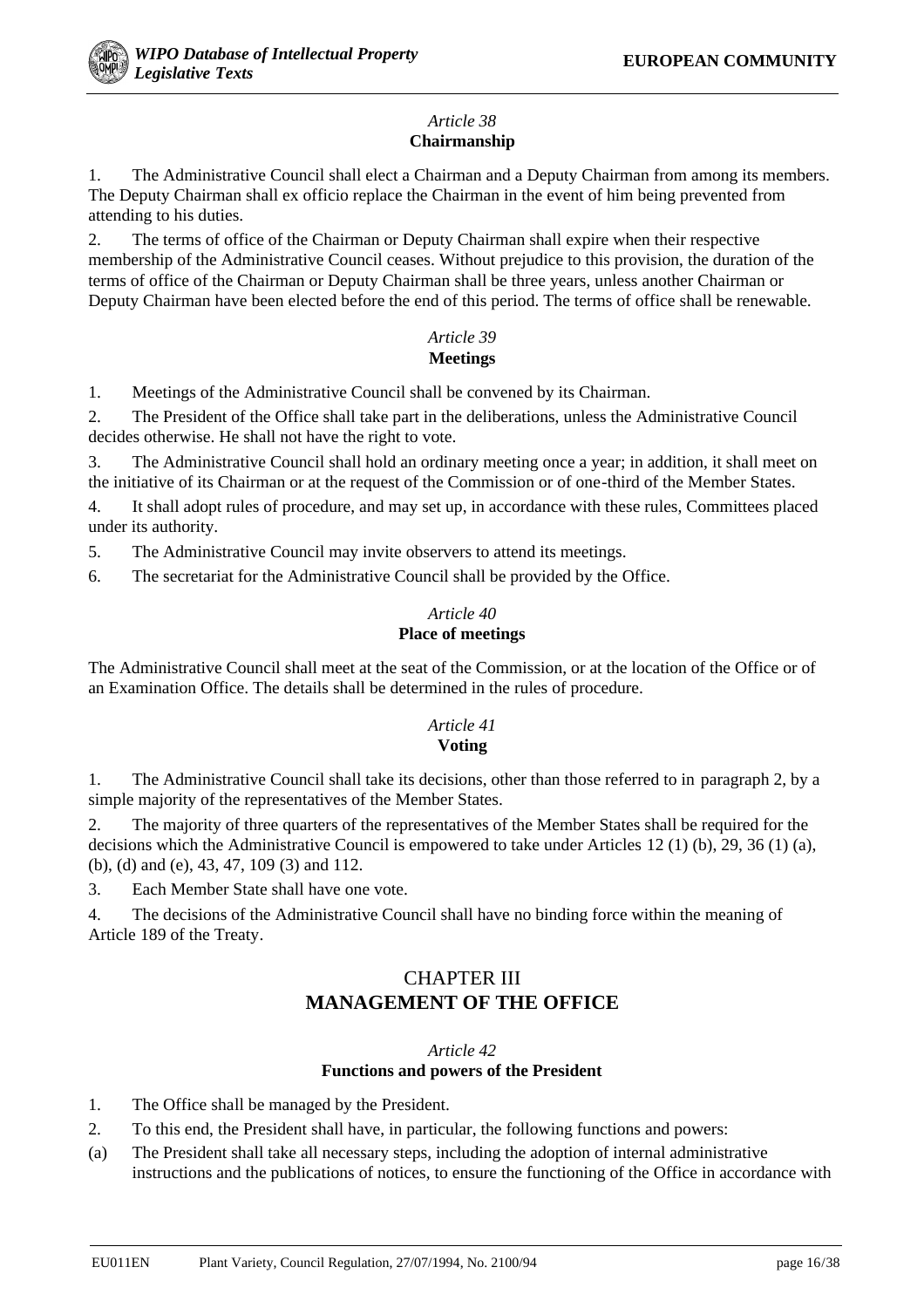#### *Article 38* **Chairmanship**

1. The Administrative Council shall elect a Chairman and a Deputy Chairman from among its members. The Deputy Chairman shall ex officio replace the Chairman in the event of him being prevented from attending to his duties.

2. The terms of office of the Chairman or Deputy Chairman shall expire when their respective membership of the Administrative Council ceases. Without prejudice to this provision, the duration of the terms of office of the Chairman or Deputy Chairman shall be three years, unless another Chairman or Deputy Chairman have been elected before the end of this period. The terms of office shall be renewable.

### *Article 39* **Meetings**

1. Meetings of the Administrative Council shall be convened by its Chairman.

2. The President of the Office shall take part in the deliberations, unless the Administrative Council decides otherwise. He shall not have the right to vote.

3. The Administrative Council shall hold an ordinary meeting once a year; in addition, it shall meet on the initiative of its Chairman or at the request of the Commission or of one-third of the Member States.

4. It shall adopt rules of procedure, and may set up, in accordance with these rules, Committees placed under its authority.

5. The Administrative Council may invite observers to attend its meetings.

6. The secretariat for the Administrative Council shall be provided by the Office.

## *Article 40* **Place of meetings**

The Administrative Council shall meet at the seat of the Commission, or at the location of the Office or of an Examination Office. The details shall be determined in the rules of procedure.

## *Article 41* **Voting**

1. The Administrative Council shall take its decisions, other than those referred to in paragraph 2, by a simple majority of the representatives of the Member States.

2. The majority of three quarters of the representatives of the Member States shall be required for the decisions which the Administrative Council is empowered to take under Articles 12 (1) (b), 29, 36 (1) (a), (b), (d) and (e), 43, 47, 109 (3) and 112.

3. Each Member State shall have one vote.

4. The decisions of the Administrative Council shall have no binding force within the meaning of Article 189 of the Treaty.

## CHAPTER III **MANAGEMENT OF THE OFFICE**

#### *Article 42*

## **Functions and powers of the President**

1. The Office shall be managed by the President.

2. To this end, the President shall have, in particular, the following functions and powers:

(a) The President shall take all necessary steps, including the adoption of internal administrative instructions and the publications of notices, to ensure the functioning of the Office in accordance with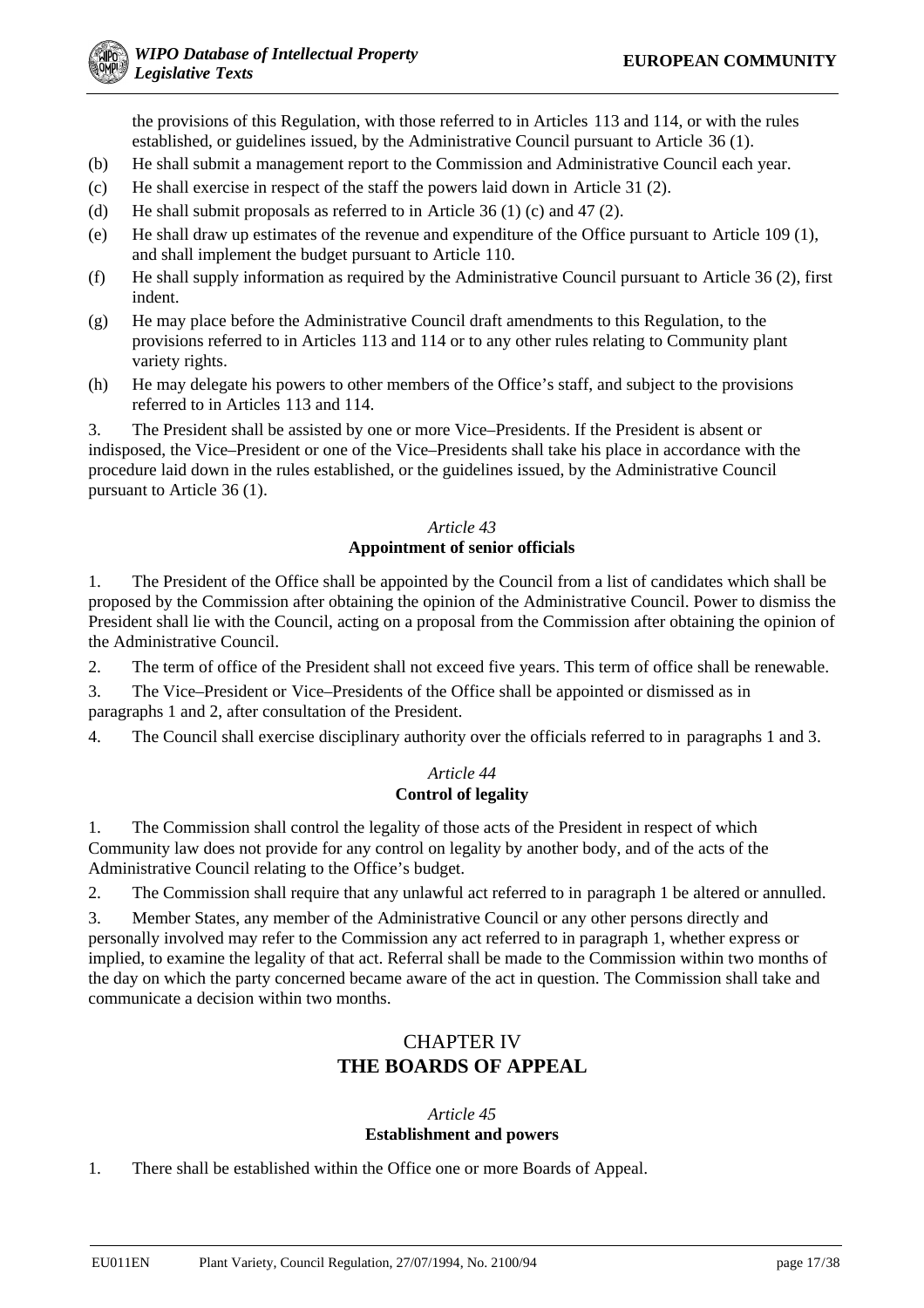the provisions of this Regulation, with those referred to in Articles 113 and 114, or with the rules established, or guidelines issued, by the Administrative Council pursuant to Article 36 (1).

- (b) He shall submit a management report to the Commission and Administrative Council each year.
- (c) He shall exercise in respect of the staff the powers laid down in Article 31 (2).
- (d) He shall submit proposals as referred to in Article 36 (1) (c) and 47 (2).
- (e) He shall draw up estimates of the revenue and expenditure of the Office pursuant to Article 109 (1), and shall implement the budget pursuant to Article 110.
- (f) He shall supply information as required by the Administrative Council pursuant to Article 36 (2), first indent.
- (g) He may place before the Administrative Council draft amendments to this Regulation, to the provisions referred to in Articles 113 and 114 or to any other rules relating to Community plant variety rights.
- (h) He may delegate his powers to other members of the Office's staff, and subject to the provisions referred to in Articles 113 and 114.

3. The President shall be assisted by one or more Vice–Presidents. If the President is absent or indisposed, the Vice–President or one of the Vice–Presidents shall take his place in accordance with the procedure laid down in the rules established, or the guidelines issued, by the Administrative Council pursuant to Article 36 (1).

## *Article 43*

## **Appointment of senior officials**

1. The President of the Office shall be appointed by the Council from a list of candidates which shall be proposed by the Commission after obtaining the opinion of the Administrative Council. Power to dismiss the President shall lie with the Council, acting on a proposal from the Commission after obtaining the opinion of the Administrative Council.

2. The term of office of the President shall not exceed five years. This term of office shall be renewable.

3. The Vice–President or Vice–Presidents of the Office shall be appointed or dismissed as in paragraphs 1 and 2, after consultation of the President.

4. The Council shall exercise disciplinary authority over the officials referred to in paragraphs 1 and 3.

## *Article 44* **Control of legality**

1. The Commission shall control the legality of those acts of the President in respect of which Community law does not provide for any control on legality by another body, and of the acts of the Administrative Council relating to the Office's budget.

2. The Commission shall require that any unlawful act referred to in paragraph 1 be altered or annulled.

3. Member States, any member of the Administrative Council or any other persons directly and personally involved may refer to the Commission any act referred to in paragraph 1, whether express or implied, to examine the legality of that act. Referral shall be made to the Commission within two months of the day on which the party concerned became aware of the act in question. The Commission shall take and communicate a decision within two months.

## CHAPTER IV **THE BOARDS OF APPEAL**

#### *Article 45*

## **Establishment and powers**

1. There shall be established within the Office one or more Boards of Appeal.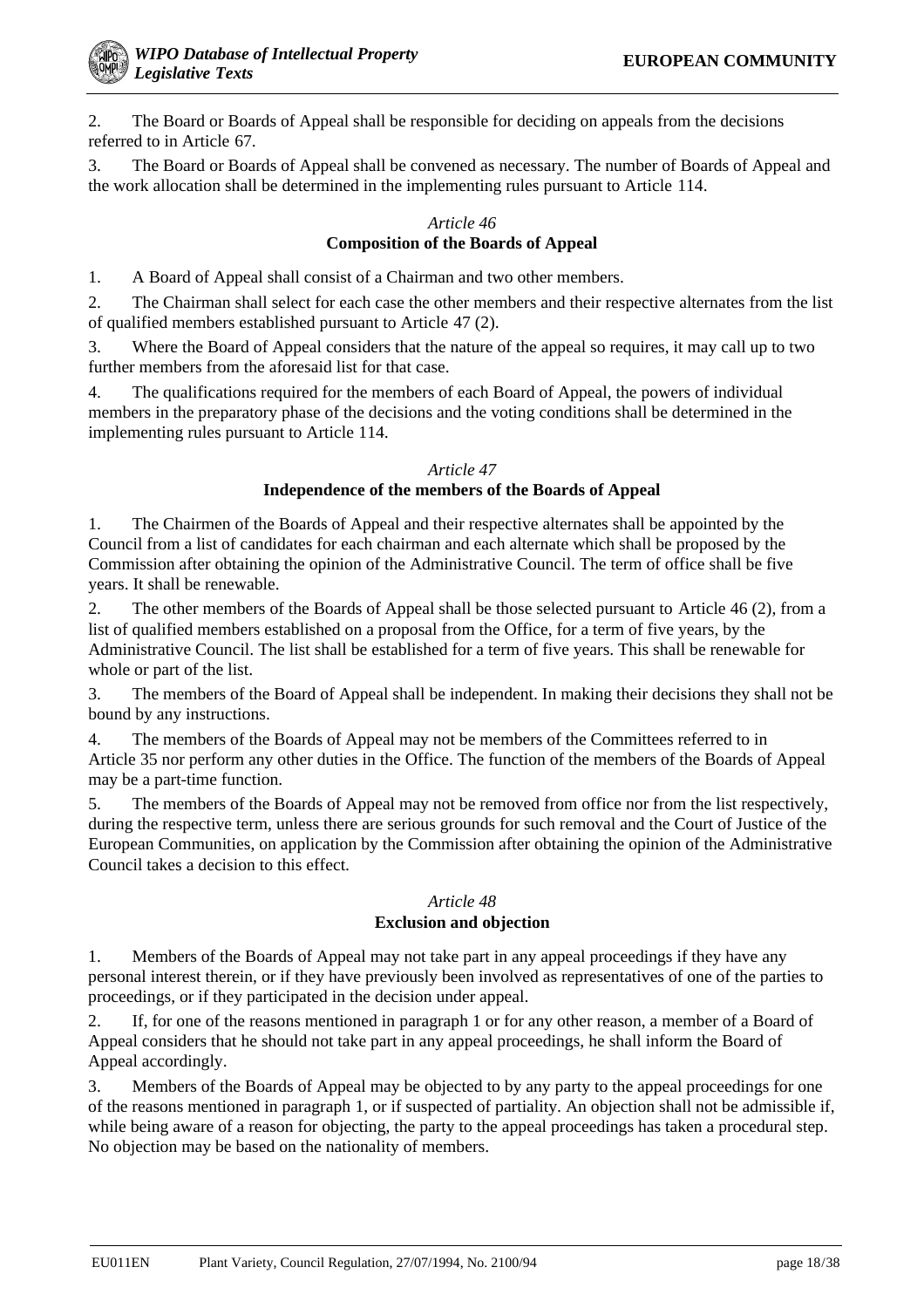2. The Board or Boards of Appeal shall be responsible for deciding on appeals from the decisions referred to in Article 67.

3. The Board or Boards of Appeal shall be convened as necessary. The number of Boards of Appeal and the work allocation shall be determined in the implementing rules pursuant to Article 114.

## *Article 46*

## **Composition of the Boards of Appeal**

1. A Board of Appeal shall consist of a Chairman and two other members.

2. The Chairman shall select for each case the other members and their respective alternates from the list of qualified members established pursuant to Article 47 (2).

3. Where the Board of Appeal considers that the nature of the appeal so requires, it may call up to two further members from the aforesaid list for that case.

4. The qualifications required for the members of each Board of Appeal, the powers of individual members in the preparatory phase of the decisions and the voting conditions shall be determined in the implementing rules pursuant to Article 114.

#### *Article 47*

#### **Independence of the members of the Boards of Appeal**

1. The Chairmen of the Boards of Appeal and their respective alternates shall be appointed by the Council from a list of candidates for each chairman and each alternate which shall be proposed by the Commission after obtaining the opinion of the Administrative Council. The term of office shall be five years. It shall be renewable.

2. The other members of the Boards of Appeal shall be those selected pursuant to Article 46 (2), from a list of qualified members established on a proposal from the Office, for a term of five years, by the Administrative Council. The list shall be established for a term of five years. This shall be renewable for whole or part of the list.

3. The members of the Board of Appeal shall be independent. In making their decisions they shall not be bound by any instructions.

4. The members of the Boards of Appeal may not be members of the Committees referred to in Article 35 nor perform any other duties in the Office. The function of the members of the Boards of Appeal may be a part-time function.

5. The members of the Boards of Appeal may not be removed from office nor from the list respectively, during the respective term, unless there are serious grounds for such removal and the Court of Justice of the European Communities, on application by the Commission after obtaining the opinion of the Administrative Council takes a decision to this effect.

#### *Article 48*

#### **Exclusion and objection**

1. Members of the Boards of Appeal may not take part in any appeal proceedings if they have any personal interest therein, or if they have previously been involved as representatives of one of the parties to proceedings, or if they participated in the decision under appeal.

2. If, for one of the reasons mentioned in paragraph 1 or for any other reason, a member of a Board of Appeal considers that he should not take part in any appeal proceedings, he shall inform the Board of Appeal accordingly.

3. Members of the Boards of Appeal may be objected to by any party to the appeal proceedings for one of the reasons mentioned in paragraph 1, or if suspected of partiality. An objection shall not be admissible if, while being aware of a reason for objecting, the party to the appeal proceedings has taken a procedural step. No objection may be based on the nationality of members.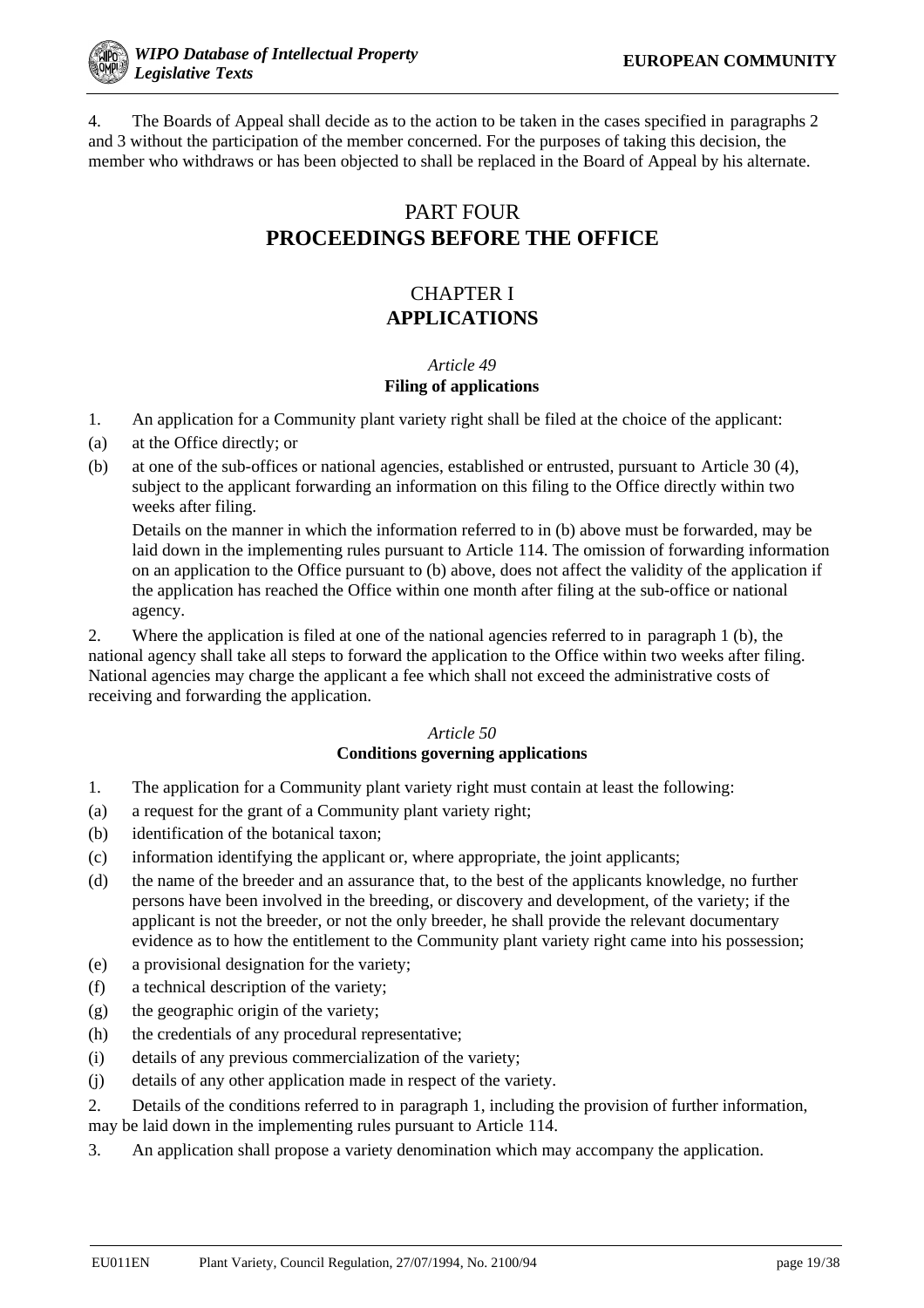4. The Boards of Appeal shall decide as to the action to be taken in the cases specified in paragraphs 2 and 3 without the participation of the member concerned. For the purposes of taking this decision, the member who withdraws or has been objected to shall be replaced in the Board of Appeal by his alternate.

## PART FOUR **PROCEEDINGS BEFORE THE OFFICE**

## CHAPTER I **APPLICATIONS**

## *Article 49* **Filing of applications**

- 1. An application for a Community plant variety right shall be filed at the choice of the applicant:
- (a) at the Office directly; or
- (b) at one of the sub-offices or national agencies, established or entrusted, pursuant to Article 30 (4), subject to the applicant forwarding an information on this filing to the Office directly within two weeks after filing.

Details on the manner in which the information referred to in (b) above must be forwarded, may be laid down in the implementing rules pursuant to Article 114. The omission of forwarding information on an application to the Office pursuant to (b) above, does not affect the validity of the application if the application has reached the Office within one month after filing at the sub-office or national agency.

2. Where the application is filed at one of the national agencies referred to in paragraph 1 (b), the national agency shall take all steps to forward the application to the Office within two weeks after filing. National agencies may charge the applicant a fee which shall not exceed the administrative costs of receiving and forwarding the application.

## *Article 50*

#### **Conditions governing applications**

- 1. The application for a Community plant variety right must contain at least the following:
- (a) a request for the grant of a Community plant variety right;
- (b) identification of the botanical taxon;
- (c) information identifying the applicant or, where appropriate, the joint applicants;
- (d) the name of the breeder and an assurance that, to the best of the applicants knowledge, no further persons have been involved in the breeding, or discovery and development, of the variety; if the applicant is not the breeder, or not the only breeder, he shall provide the relevant documentary evidence as to how the entitlement to the Community plant variety right came into his possession;
- (e) a provisional designation for the variety;
- (f) a technical description of the variety;
- (g) the geographic origin of the variety;
- (h) the credentials of any procedural representative;
- (i) details of any previous commercialization of the variety;
- (j) details of any other application made in respect of the variety.

2. Details of the conditions referred to in paragraph 1, including the provision of further information, may be laid down in the implementing rules pursuant to Article 114.

3. An application shall propose a variety denomination which may accompany the application.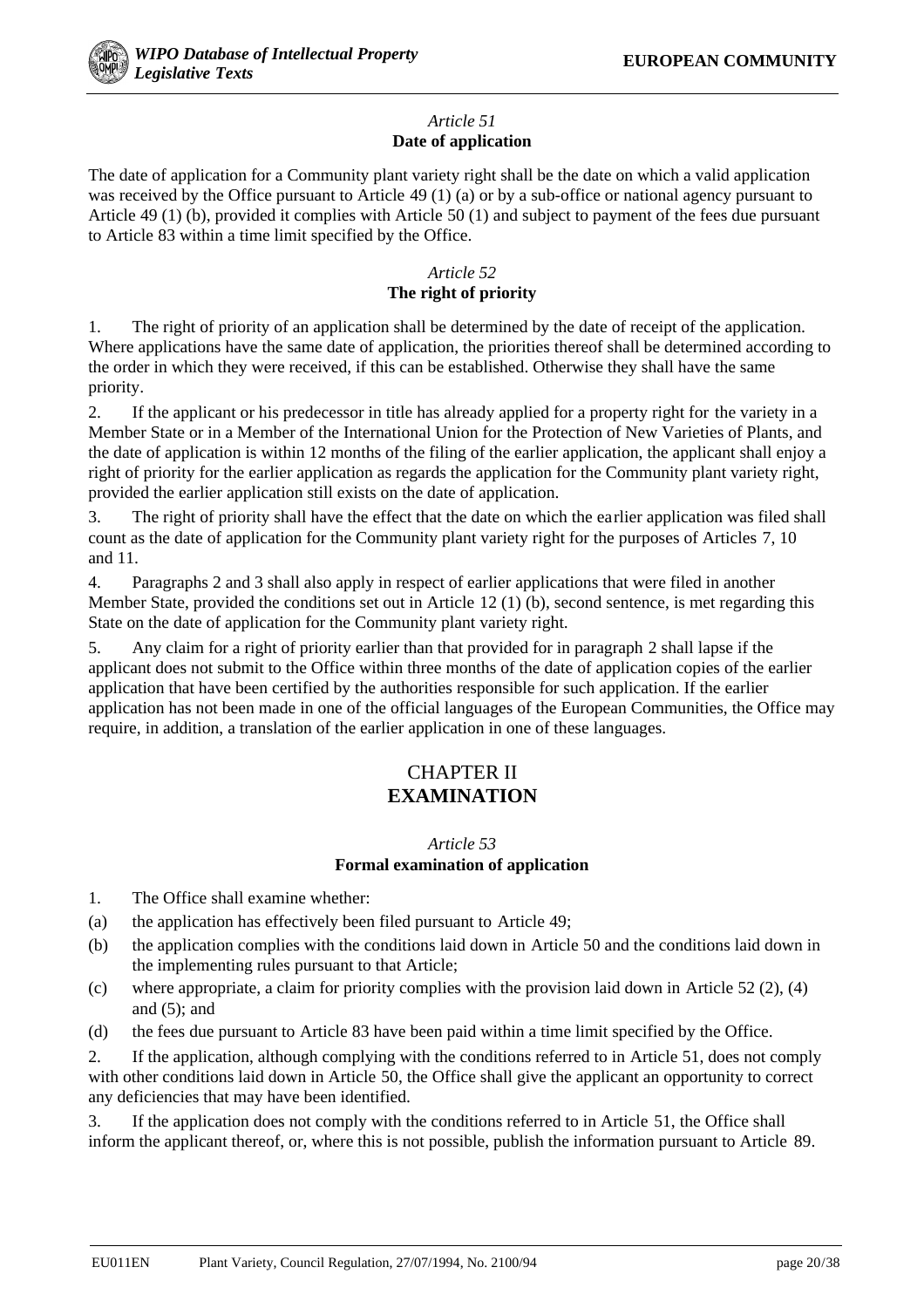

#### *Article 51* **Date of application**

The date of application for a Community plant variety right shall be the date on which a valid application was received by the Office pursuant to Article 49 (1) (a) or by a sub-office or national agency pursuant to Article 49 (1) (b), provided it complies with Article 50 (1) and subject to payment of the fees due pursuant to Article 83 within a time limit specified by the Office.

## *Article 52* **The right of priority**

1. The right of priority of an application shall be determined by the date of receipt of the application. Where applications have the same date of application, the priorities thereof shall be determined according to the order in which they were received, if this can be established. Otherwise they shall have the same priority.

2. If the applicant or his predecessor in title has already applied for a property right for the variety in a Member State or in a Member of the International Union for the Protection of New Varieties of Plants, and the date of application is within 12 months of the filing of the earlier application, the applicant shall enjoy a right of priority for the earlier application as regards the application for the Community plant variety right, provided the earlier application still exists on the date of application.

3. The right of priority shall have the effect that the date on which the earlier application was filed shall count as the date of application for the Community plant variety right for the purposes of Articles 7, 10 and 11.

4. Paragraphs 2 and 3 shall also apply in respect of earlier applications that were filed in another Member State, provided the conditions set out in Article 12 (1) (b), second sentence, is met regarding this State on the date of application for the Community plant variety right.

5. Any claim for a right of priority earlier than that provided for in paragraph 2 shall lapse if the applicant does not submit to the Office within three months of the date of application copies of the earlier application that have been certified by the authorities responsible for such application. If the earlier application has not been made in one of the official languages of the European Communities, the Office may require, in addition, a translation of the earlier application in one of these languages.

## CHAPTER II **EXAMINATION**

## *Article 53* **Formal examination of application**

- 1. The Office shall examine whether:
- (a) the application has effectively been filed pursuant to Article 49;
- (b) the application complies with the conditions laid down in Article 50 and the conditions laid down in the implementing rules pursuant to that Article;
- (c) where appropriate, a claim for priority complies with the provision laid down in Article 52 (2), (4) and (5); and
- (d) the fees due pursuant to Article 83 have been paid within a time limit specified by the Office.

2. If the application, although complying with the conditions referred to in Article 51, does not comply with other conditions laid down in Article 50, the Office shall give the applicant an opportunity to correct any deficiencies that may have been identified.

3. If the application does not comply with the conditions referred to in Article 51, the Office shall inform the applicant thereof, or, where this is not possible, publish the information pursuant to Article 89.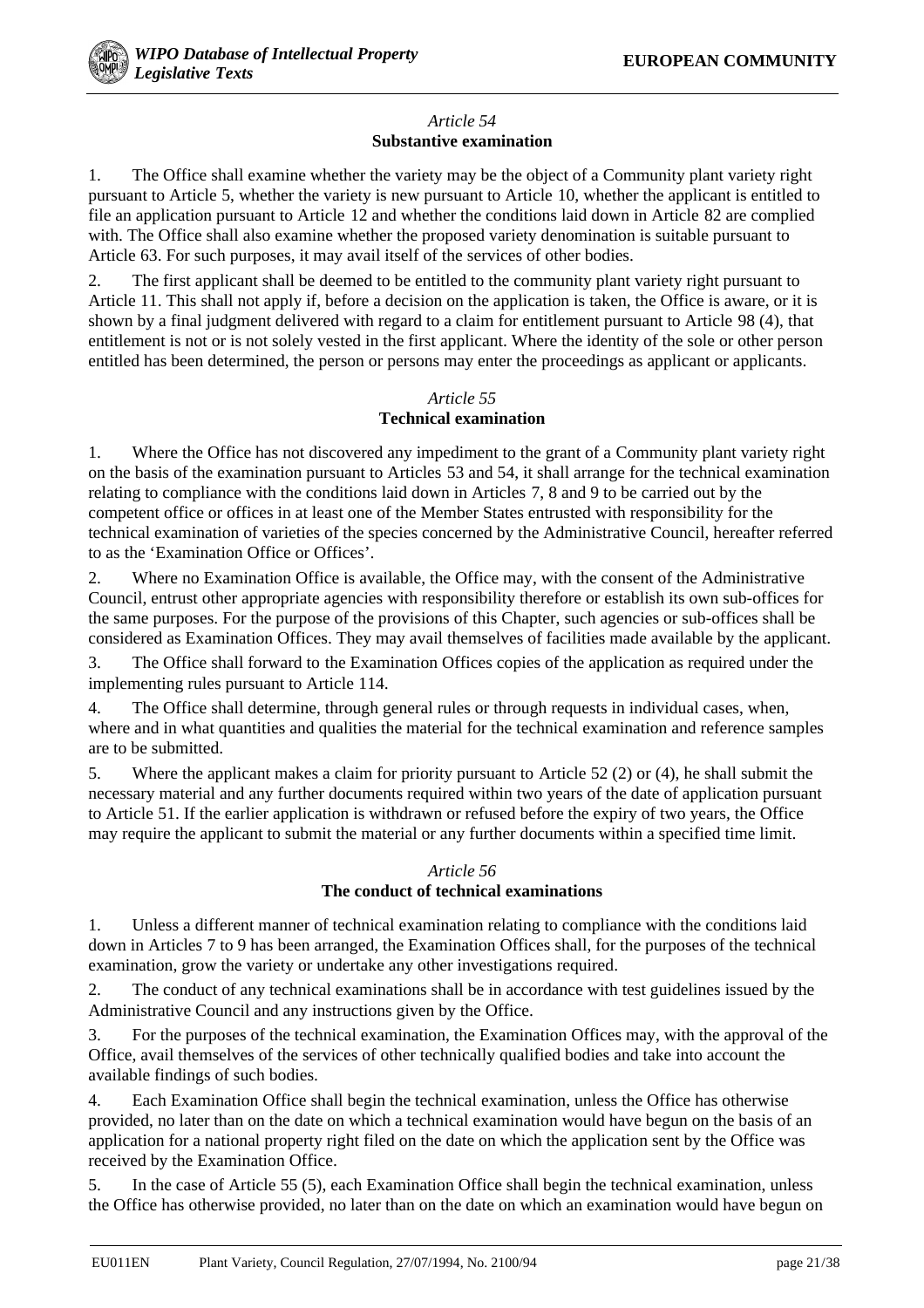### *Article 54* **Substantive examination**

1. The Office shall examine whether the variety may be the object of a Community plant variety right pursuant to Article 5, whether the variety is new pursuant to Article 10, whether the applicant is entitled to file an application pursuant to Article 12 and whether the conditions laid down in Article 82 are complied with. The Office shall also examine whether the proposed variety denomination is suitable pursuant to Article 63. For such purposes, it may avail itself of the services of other bodies.

2. The first applicant shall be deemed to be entitled to the community plant variety right pursuant to Article 11. This shall not apply if, before a decision on the application is taken, the Office is aware, or it is shown by a final judgment delivered with regard to a claim for entitlement pursuant to Article 98 (4), that entitlement is not or is not solely vested in the first applicant. Where the identity of the sole or other person entitled has been determined, the person or persons may enter the proceedings as applicant or applicants.

## *Article 55* **Technical examination**

1. Where the Office has not discovered any impediment to the grant of a Community plant variety right on the basis of the examination pursuant to Articles 53 and 54, it shall arrange for the technical examination relating to compliance with the conditions laid down in Articles 7, 8 and 9 to be carried out by the competent office or offices in at least one of the Member States entrusted with responsibility for the technical examination of varieties of the species concerned by the Administrative Council, hereafter referred to as the 'Examination Office or Offices'.

2. Where no Examination Office is available, the Office may, with the consent of the Administrative Council, entrust other appropriate agencies with responsibility therefore or establish its own sub-offices for the same purposes. For the purpose of the provisions of this Chapter, such agencies or sub-offices shall be considered as Examination Offices. They may avail themselves of facilities made available by the applicant.

3. The Office shall forward to the Examination Offices copies of the application as required under the implementing rules pursuant to Article 114.

4. The Office shall determine, through general rules or through requests in individual cases, when, where and in what quantities and qualities the material for the technical examination and reference samples are to be submitted.

5. Where the applicant makes a claim for priority pursuant to Article 52 (2) or (4), he shall submit the necessary material and any further documents required within two years of the date of application pursuant to Article 51. If the earlier application is withdrawn or refused before the expiry of two years, the Office may require the applicant to submit the material or any further documents within a specified time limit.

## *Article 56* **The conduct of technical examinations**

1. Unless a different manner of technical examination relating to compliance with the conditions laid down in Articles 7 to 9 has been arranged, the Examination Offices shall, for the purposes of the technical examination, grow the variety or undertake any other investigations required.

2. The conduct of any technical examinations shall be in accordance with test guidelines issued by the Administrative Council and any instructions given by the Office.

3. For the purposes of the technical examination, the Examination Offices may, with the approval of the Office, avail themselves of the services of other technically qualified bodies and take into account the available findings of such bodies.

4. Each Examination Office shall begin the technical examination, unless the Office has otherwise provided, no later than on the date on which a technical examination would have begun on the basis of an application for a national property right filed on the date on which the application sent by the Office was received by the Examination Office.

5. In the case of Article 55 (5), each Examination Office shall begin the technical examination, unless the Office has otherwise provided, no later than on the date on which an examination would have begun on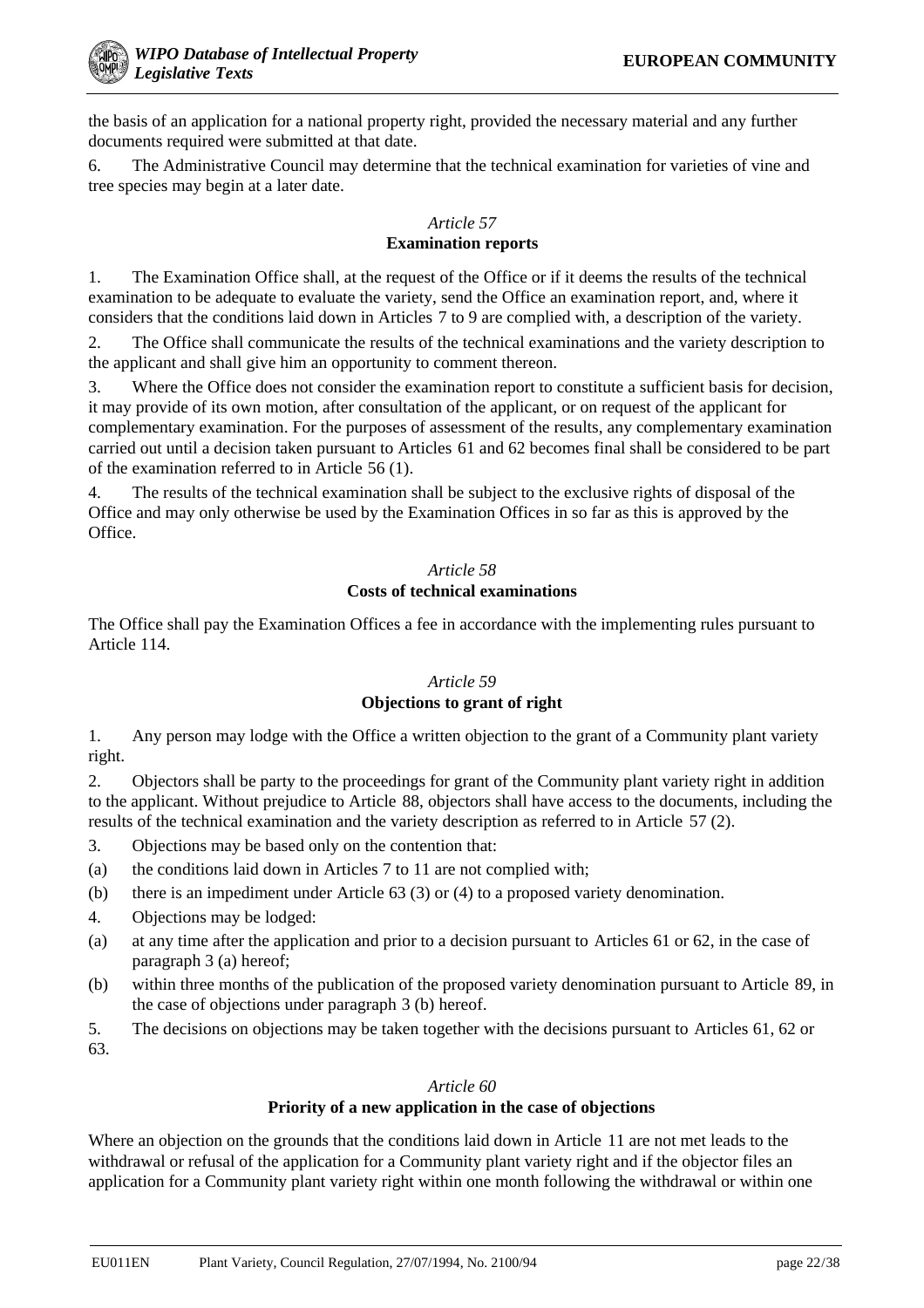the basis of an application for a national property right, provided the necessary material and any further documents required were submitted at that date.

6. The Administrative Council may determine that the technical examination for varieties of vine and tree species may begin at a later date.

## *Article 57*

### **Examination reports**

1. The Examination Office shall, at the request of the Office or if it deems the results of the technical examination to be adequate to evaluate the variety, send the Office an examination report, and, where it considers that the conditions laid down in Articles 7 to 9 are complied with, a description of the variety.

2. The Office shall communicate the results of the technical examinations and the variety description to the applicant and shall give him an opportunity to comment thereon.

3. Where the Office does not consider the examination report to constitute a sufficient basis for decision, it may provide of its own motion, after consultation of the applicant, or on request of the applicant for complementary examination. For the purposes of assessment of the results, any complementary examination carried out until a decision taken pursuant to Articles 61 and 62 becomes final shall be considered to be part of the examination referred to in Article 56 (1).

4. The results of the technical examination shall be subject to the exclusive rights of disposal of the Office and may only otherwise be used by the Examination Offices in so far as this is approved by the Office.

## *Article 58* **Costs of technical examinations**

The Office shall pay the Examination Offices a fee in accordance with the implementing rules pursuant to Article 114.

## *Article 59*

## **Objections to grant of right**

1. Any person may lodge with the Office a written objection to the grant of a Community plant variety right.

2. Objectors shall be party to the proceedings for grant of the Community plant variety right in addition to the applicant. Without prejudice to Article 88, objectors shall have access to the documents, including the results of the technical examination and the variety description as referred to in Article 57 (2).

- 3. Objections may be based only on the contention that:
- (a) the conditions laid down in Articles 7 to 11 are not complied with;
- (b) there is an impediment under Article 63 (3) or (4) to a proposed variety denomination.
- 4. Objections may be lodged:
- (a) at any time after the application and prior to a decision pursuant to Articles 61 or 62, in the case of paragraph 3 (a) hereof;
- (b) within three months of the publication of the proposed variety denomination pursuant to Article 89, in the case of objections under paragraph 3 (b) hereof.
- 5. The decisions on objections may be taken together with the decisions pursuant to Articles 61, 62 or 63.

## *Article 60*

## **Priority of a new application in the case of objections**

Where an objection on the grounds that the conditions laid down in Article 11 are not met leads to the withdrawal or refusal of the application for a Community plant variety right and if the objector files an application for a Community plant variety right within one month following the withdrawal or within one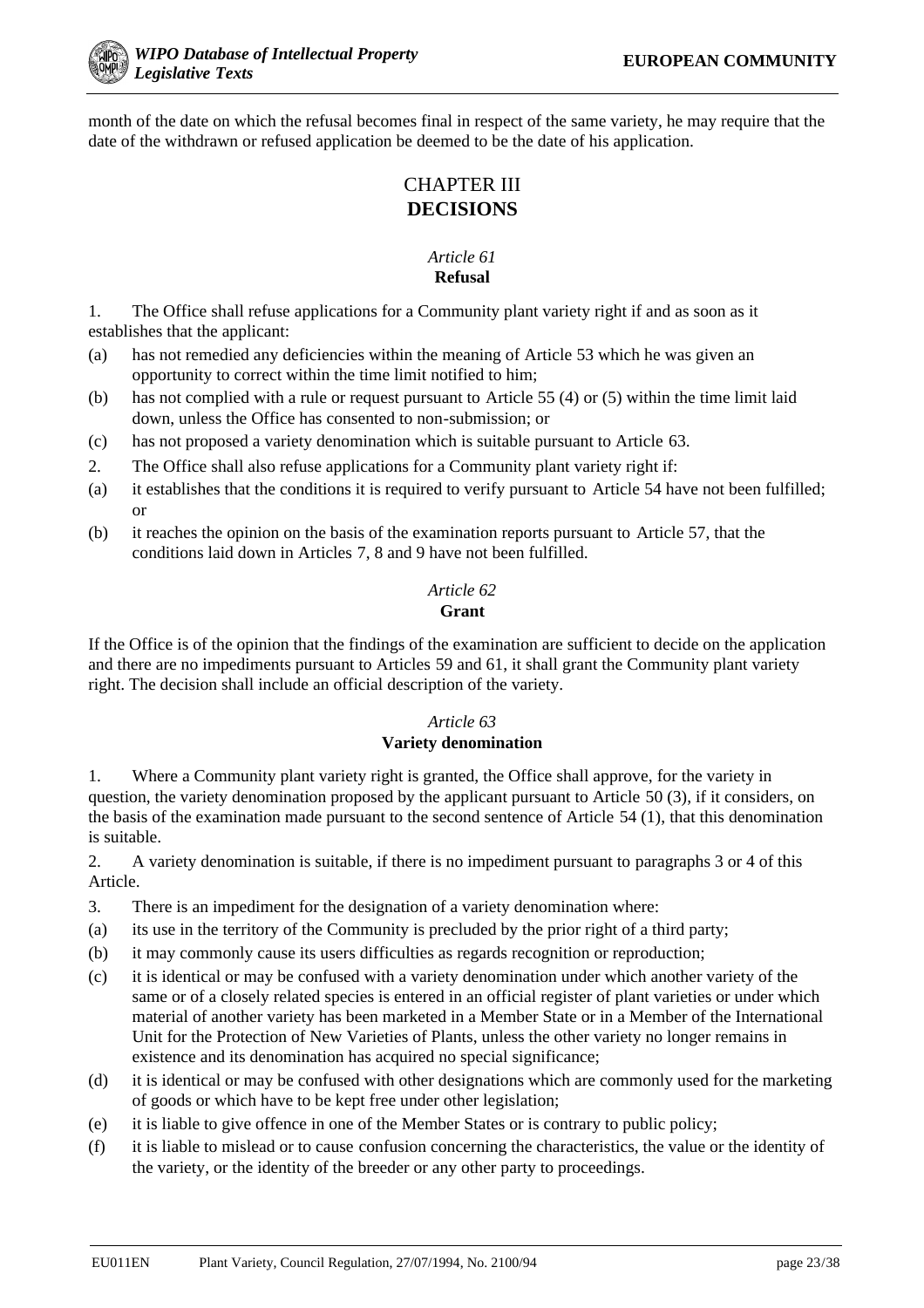month of the date on which the refusal becomes final in respect of the same variety, he may require that the date of the withdrawn or refused application be deemed to be the date of his application.

## CHAPTER III **DECISIONS**

*Article 61* **Refusal**

1. The Office shall refuse applications for a Community plant variety right if and as soon as it establishes that the applicant:

- (a) has not remedied any deficiencies within the meaning of Article 53 which he was given an opportunity to correct within the time limit notified to him;
- (b) has not complied with a rule or request pursuant to Article 55 (4) or (5) within the time limit laid down, unless the Office has consented to non-submission; or
- (c) has not proposed a variety denomination which is suitable pursuant to Article 63.
- 2. The Office shall also refuse applications for a Community plant variety right if:
- (a) it establishes that the conditions it is required to verify pursuant to Article 54 have not been fulfilled; or
- (b) it reaches the opinion on the basis of the examination reports pursuant to Article 57, that the conditions laid down in Articles 7, 8 and 9 have not been fulfilled.

#### *Article 62* **Grant**

If the Office is of the opinion that the findings of the examination are sufficient to decide on the application and there are no impediments pursuant to Articles 59 and 61, it shall grant the Community plant variety right. The decision shall include an official description of the variety.

## *Article 63* **Variety denomination**

1. Where a Community plant variety right is granted, the Office shall approve, for the variety in question, the variety denomination proposed by the applicant pursuant to Article 50 (3), if it considers, on the basis of the examination made pursuant to the second sentence of Article 54 (1), that this denomination is suitable.

2. A variety denomination is suitable, if there is no impediment pursuant to paragraphs 3 or 4 of this Article.

- 3. There is an impediment for the designation of a variety denomination where:
- (a) its use in the territory of the Community is precluded by the prior right of a third party;
- (b) it may commonly cause its users difficulties as regards recognition or reproduction;
- (c) it is identical or may be confused with a variety denomination under which another variety of the same or of a closely related species is entered in an official register of plant varieties or under which material of another variety has been marketed in a Member State or in a Member of the International Unit for the Protection of New Varieties of Plants, unless the other variety no longer remains in existence and its denomination has acquired no special significance;
- (d) it is identical or may be confused with other designations which are commonly used for the marketing of goods or which have to be kept free under other legislation;
- (e) it is liable to give offence in one of the Member States or is contrary to public policy;
- (f) it is liable to mislead or to cause confusion concerning the characteristics, the value or the identity of the variety, or the identity of the breeder or any other party to proceedings.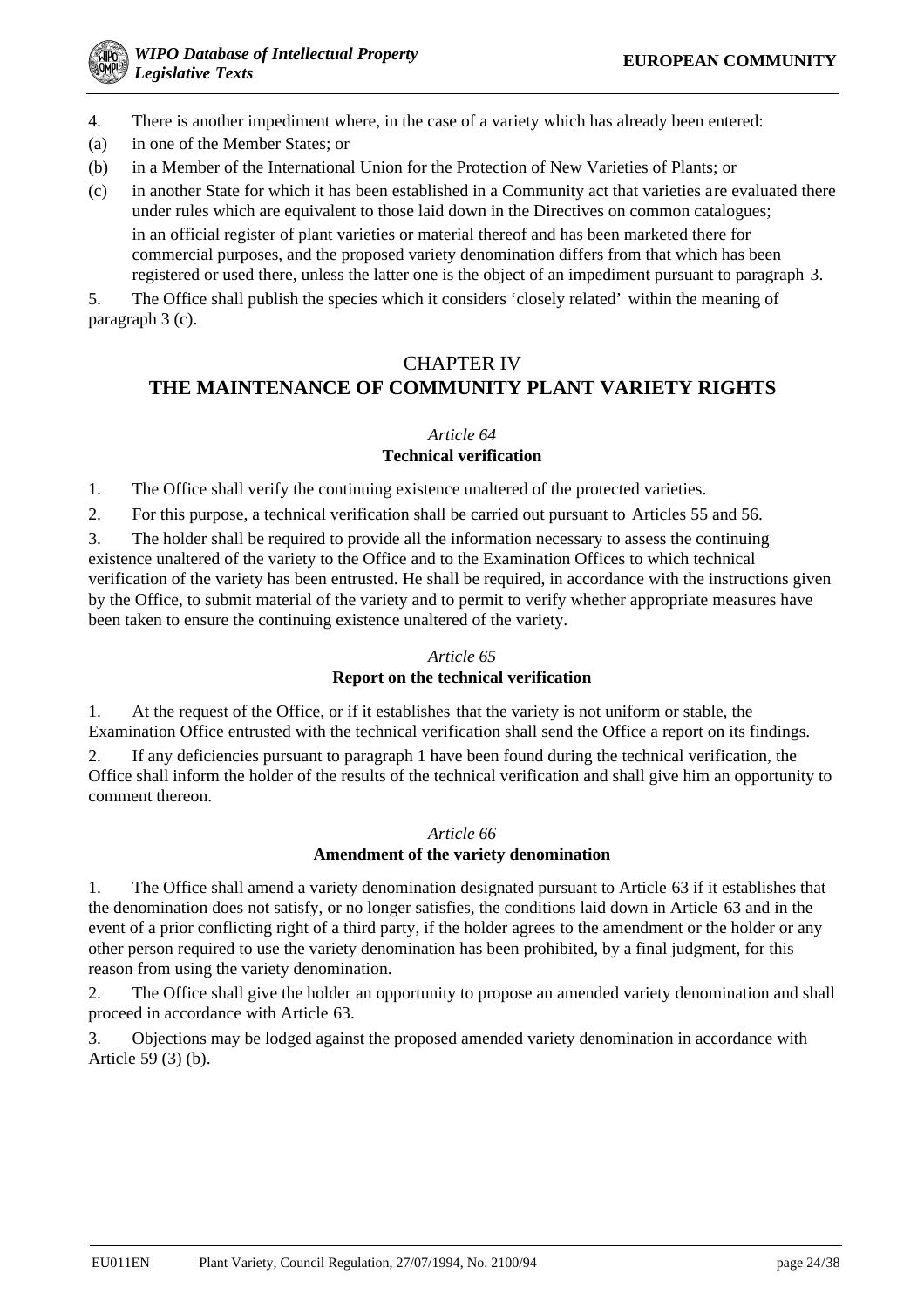- 4. There is another impediment where, in the case of a variety which has already been entered:
- (a) in one of the Member States; or
- (b) in a Member of the International Union for the Protection of New Varieties of Plants; or
- (c) in another State for which it has been established in a Community act that varieties are evaluated there under rules which are equivalent to those laid down in the Directives on common catalogues; in an official register of plant varieties or material thereof and has been marketed there for commercial purposes, and the proposed variety denomination differs from that which has been registered or used there, unless the latter one is the object of an impediment pursuant to paragraph 3.

5. The Office shall publish the species which it considers 'closely related' within the meaning of paragraph 3 (c).

## CHAPTER IV **THE MAINTENANCE OF COMMUNITY PLANT VARIETY RIGHTS**

## *Article 64*

## **Technical verification**

- 1. The Office shall verify the continuing existence unaltered of the protected varieties.
- 2. For this purpose, a technical verification shall be carried out pursuant to Articles 55 and 56.

3. The holder shall be required to provide all the information necessary to assess the continuing existence unaltered of the variety to the Office and to the Examination Offices to which technical verification of the variety has been entrusted. He shall be required, in accordance with the instructions given by the Office, to submit material of the variety and to permit to verify whether appropriate measures have been taken to ensure the continuing existence unaltered of the variety.

#### *Article 65*

#### **Report on the technical verification**

1. At the request of the Office, or if it establishes that the variety is not uniform or stable, the Examination Office entrusted with the technical verification shall send the Office a report on its findings.

2. If any deficiencies pursuant to paragraph 1 have been found during the technical verification, the Office shall inform the holder of the results of the technical verification and shall give him an opportunity to comment thereon.

## *Article 66*

## **Amendment of the variety denomination**

1. The Office shall amend a variety denomination designated pursuant to Article 63 if it establishes that the denomination does not satisfy, or no longer satisfies, the conditions laid down in Article 63 and in the event of a prior conflicting right of a third party, if the holder agrees to the amendment or the holder or any other person required to use the variety denomination has been prohibited, by a final judgment, for this reason from using the variety denomination.

2. The Office shall give the holder an opportunity to propose an amended variety denomination and shall proceed in accordance with Article 63.

3. Objections may be lodged against the proposed amended variety denomination in accordance with Article 59 (3) (b).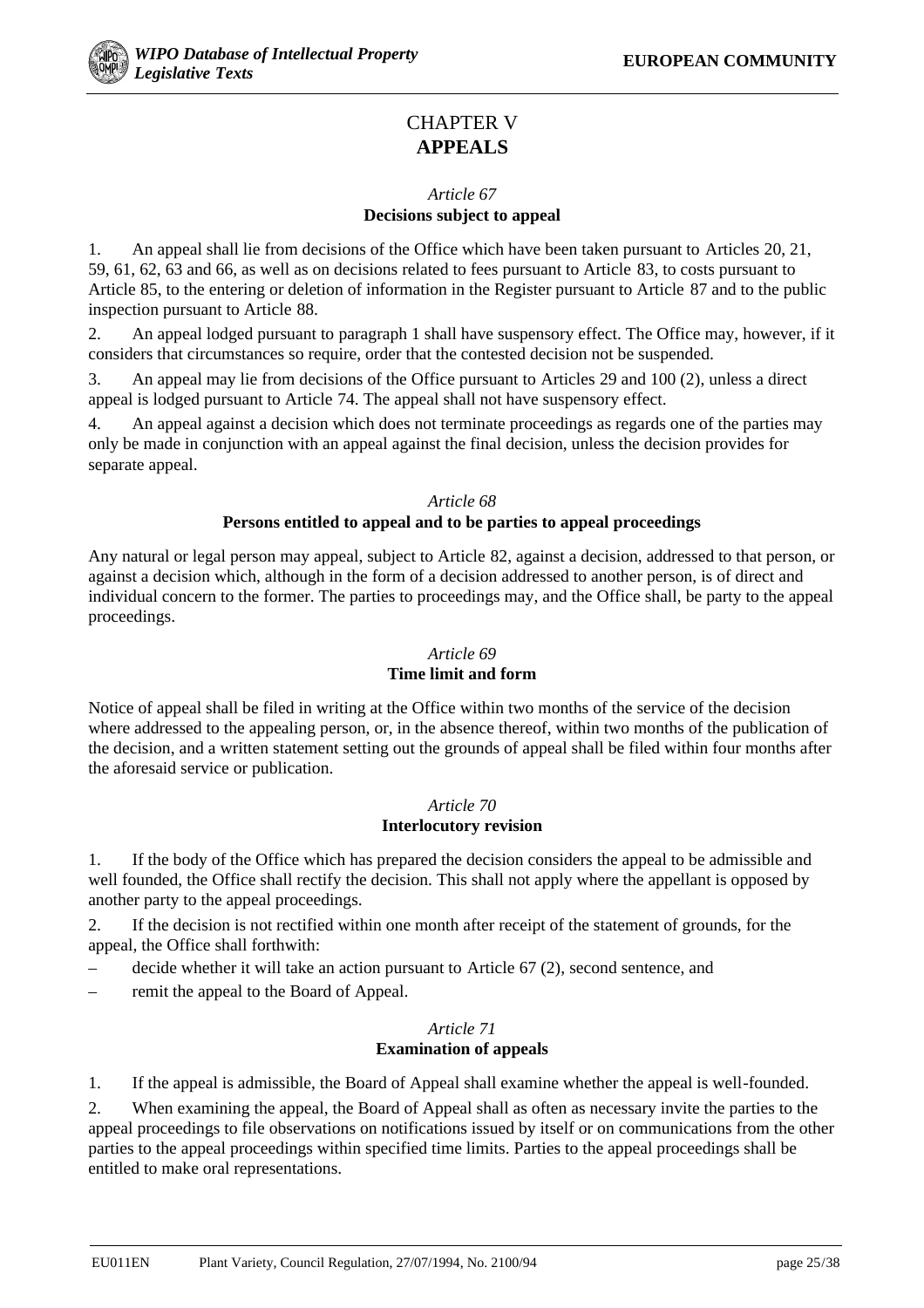## CHAPTER V **APPEALS**

#### *Article 67*

#### **Decisions subject to appeal**

1. An appeal shall lie from decisions of the Office which have been taken pursuant to Articles 20, 21, 59, 61, 62, 63 and 66, as well as on decisions related to fees pursuant to Article 83, to costs pursuant to Article 85, to the entering or deletion of information in the Register pursuant to Article 87 and to the public inspection pursuant to Article 88.

2. An appeal lodged pursuant to paragraph 1 shall have suspensory effect. The Office may, however, if it considers that circumstances so require, order that the contested decision not be suspended.

3. An appeal may lie from decisions of the Office pursuant to Articles 29 and 100 (2), unless a direct appeal is lodged pursuant to Article 74. The appeal shall not have suspensory effect.

4. An appeal against a decision which does not terminate proceedings as regards one of the parties may only be made in conjunction with an appeal against the final decision, unless the decision provides for separate appeal.

#### *Article 68*

#### **Persons entitled to appeal and to be parties to appeal proceedings**

Any natural or legal person may appeal, subject to Article 82, against a decision, addressed to that person, or against a decision which, although in the form of a decision addressed to another person, is of direct and individual concern to the former. The parties to proceedings may, and the Office shall, be party to the appeal proceedings.

#### *Article 69*

#### **Time limit and form**

Notice of appeal shall be filed in writing at the Office within two months of the service of the decision where addressed to the appealing person, or, in the absence thereof, within two months of the publication of the decision, and a written statement setting out the grounds of appeal shall be filed within four months after the aforesaid service or publication.

## *Article 70* **Interlocutory revision**

1. If the body of the Office which has prepared the decision considers the appeal to be admissible and well founded, the Office shall rectify the decision. This shall not apply where the appellant is opposed by another party to the appeal proceedings.

2. If the decision is not rectified within one month after receipt of the statement of grounds, for the appeal, the Office shall forthwith:

– decide whether it will take an action pursuant to Article 67 (2), second sentence, and

– remit the appeal to the Board of Appeal.

#### *Article 71* **Examination of appeals**

1. If the appeal is admissible, the Board of Appeal shall examine whether the appeal is well-founded.

2. When examining the appeal, the Board of Appeal shall as often as necessary invite the parties to the appeal proceedings to file observations on notifications issued by itself or on communications from the other parties to the appeal proceedings within specified time limits. Parties to the appeal proceedings shall be entitled to make oral representations.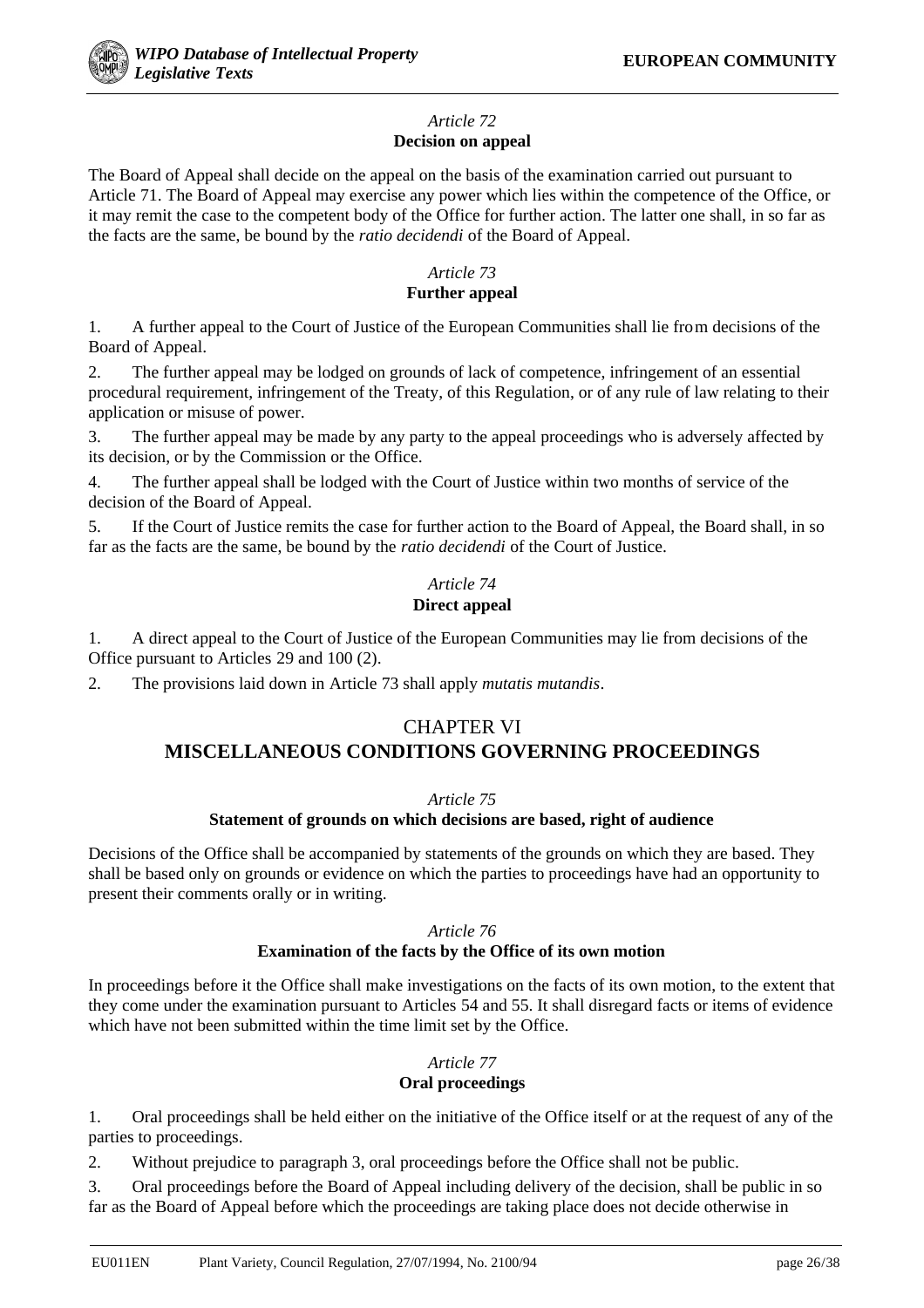#### *Article 72* **Decision on appeal**

The Board of Appeal shall decide on the appeal on the basis of the examination carried out pursuant to Article 71. The Board of Appeal may exercise any power which lies within the competence of the Office, or it may remit the case to the competent body of the Office for further action. The latter one shall, in so far as the facts are the same, be bound by the *ratio decidendi* of the Board of Appeal.

### *Article 73*

#### **Further appeal**

1. A further appeal to the Court of Justice of the European Communities shall lie from decisions of the Board of Appeal.

2. The further appeal may be lodged on grounds of lack of competence, infringement of an essential procedural requirement, infringement of the Treaty, of this Regulation, or of any rule of law relating to their application or misuse of power.

3. The further appeal may be made by any party to the appeal proceedings who is adversely affected by its decision, or by the Commission or the Office.

4. The further appeal shall be lodged with the Court of Justice within two months of service of the decision of the Board of Appeal.

5. If the Court of Justice remits the case for further action to the Board of Appeal, the Board shall, in so far as the facts are the same, be bound by the *ratio decidendi* of the Court of Justice.

## *Article 74* **Direct appeal**

1. A direct appeal to the Court of Justice of the European Communities may lie from decisions of the Office pursuant to Articles 29 and 100 (2).

2. The provisions laid down in Article 73 shall apply *mutatis mutandis*.

## CHAPTER VI

## **MISCELLANEOUS CONDITIONS GOVERNING PROCEEDINGS**

## *Article 75*

#### **Statement of grounds on which decisions are based, right of audience**

Decisions of the Office shall be accompanied by statements of the grounds on which they are based. They shall be based only on grounds or evidence on which the parties to proceedings have had an opportunity to present their comments orally or in writing.

#### *Article 76*

## **Examination of the facts by the Office of its own motion**

In proceedings before it the Office shall make investigations on the facts of its own motion, to the extent that they come under the examination pursuant to Articles 54 and 55. It shall disregard facts or items of evidence which have not been submitted within the time limit set by the Office.

## *Article 77*

## **Oral proceedings**

1. Oral proceedings shall be held either on the initiative of the Office itself or at the request of any of the parties to proceedings.

2. Without prejudice to paragraph 3, oral proceedings before the Office shall not be public.

3. Oral proceedings before the Board of Appeal including delivery of the decision, shall be public in so far as the Board of Appeal before which the proceedings are taking place does not decide otherwise in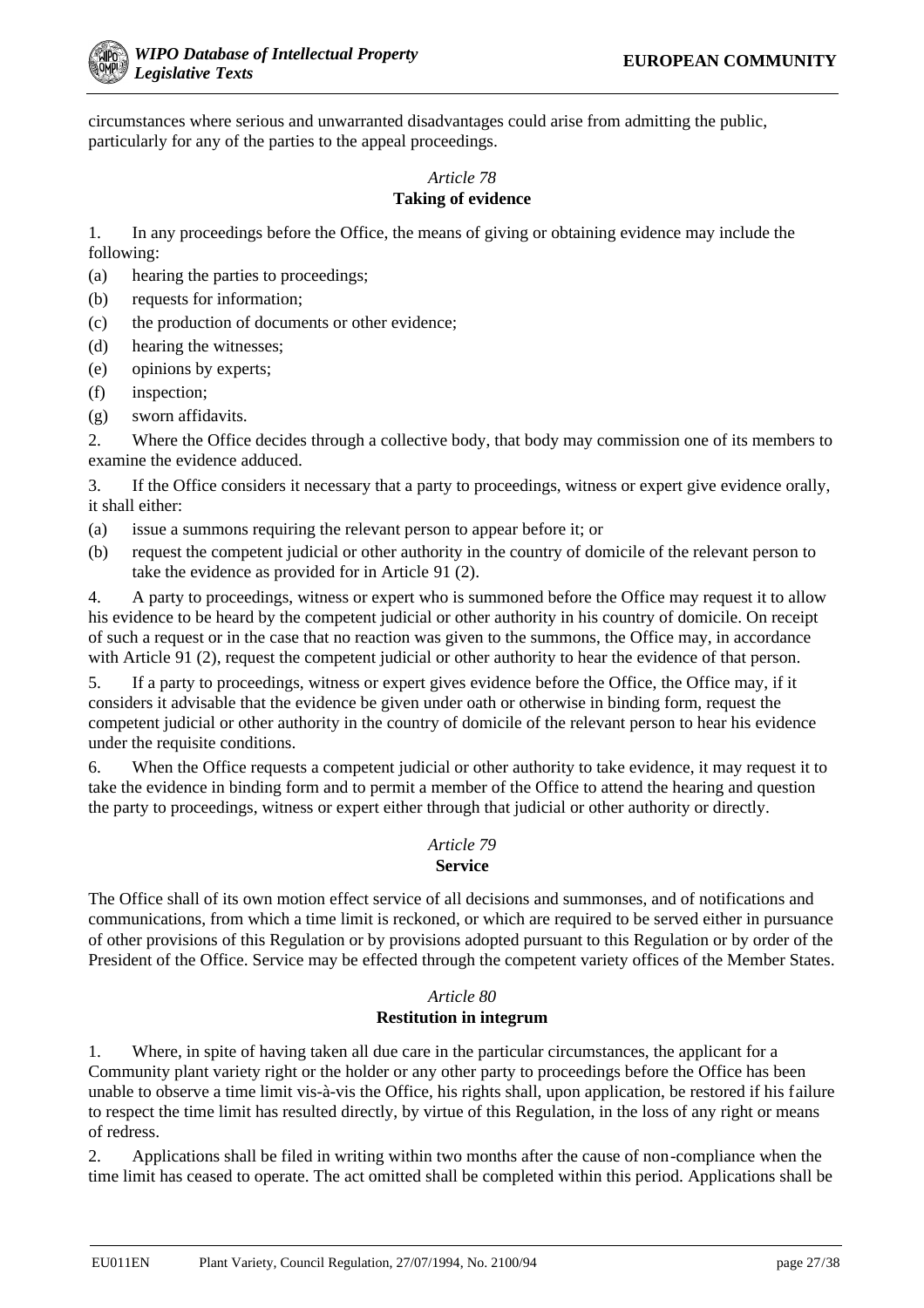circumstances where serious and unwarranted disadvantages could arise from admitting the public, particularly for any of the parties to the appeal proceedings.

## *Article 78* **Taking of evidence**

1. In any proceedings before the Office, the means of giving or obtaining evidence may include the following:

- (a) hearing the parties to proceedings;
- (b) requests for information;
- (c) the production of documents or other evidence;
- (d) hearing the witnesses;
- (e) opinions by experts;
- (f) inspection;
- (g) sworn affidavits.

2. Where the Office decides through a collective body, that body may commission one of its members to examine the evidence adduced.

3. If the Office considers it necessary that a party to proceedings, witness or expert give evidence orally, it shall either:

- (a) issue a summons requiring the relevant person to appear before it; or
- (b) request the competent judicial or other authority in the country of domicile of the relevant person to take the evidence as provided for in Article 91 (2).

4. A party to proceedings, witness or expert who is summoned before the Office may request it to allow his evidence to be heard by the competent judicial or other authority in his country of domicile. On receipt of such a request or in the case that no reaction was given to the summons, the Office may, in accordance with Article 91 (2), request the competent judicial or other authority to hear the evidence of that person.

5. If a party to proceedings, witness or expert gives evidence before the Office, the Office may, if it considers it advisable that the evidence be given under oath or otherwise in binding form, request the competent judicial or other authority in the country of domicile of the relevant person to hear his evidence under the requisite conditions.

6. When the Office requests a competent judicial or other authority to take evidence, it may request it to take the evidence in binding form and to permit a member of the Office to attend the hearing and question the party to proceedings, witness or expert either through that judicial or other authority or directly.

## *Article 79*

## **Service**

The Office shall of its own motion effect service of all decisions and summonses, and of notifications and communications, from which a time limit is reckoned, or which are required to be served either in pursuance of other provisions of this Regulation or by provisions adopted pursuant to this Regulation or by order of the President of the Office. Service may be effected through the competent variety offices of the Member States.

#### *Article 80* **Restitution in integrum**

1. Where, in spite of having taken all due care in the particular circumstances, the applicant for a Community plant variety right or the holder or any other party to proceedings before the Office has been unable to observe a time limit vis-à-vis the Office, his rights shall, upon application, be restored if his failure to respect the time limit has resulted directly, by virtue of this Regulation, in the loss of any right or means of redress.

2. Applications shall be filed in writing within two months after the cause of non-compliance when the time limit has ceased to operate. The act omitted shall be completed within this period. Applications shall be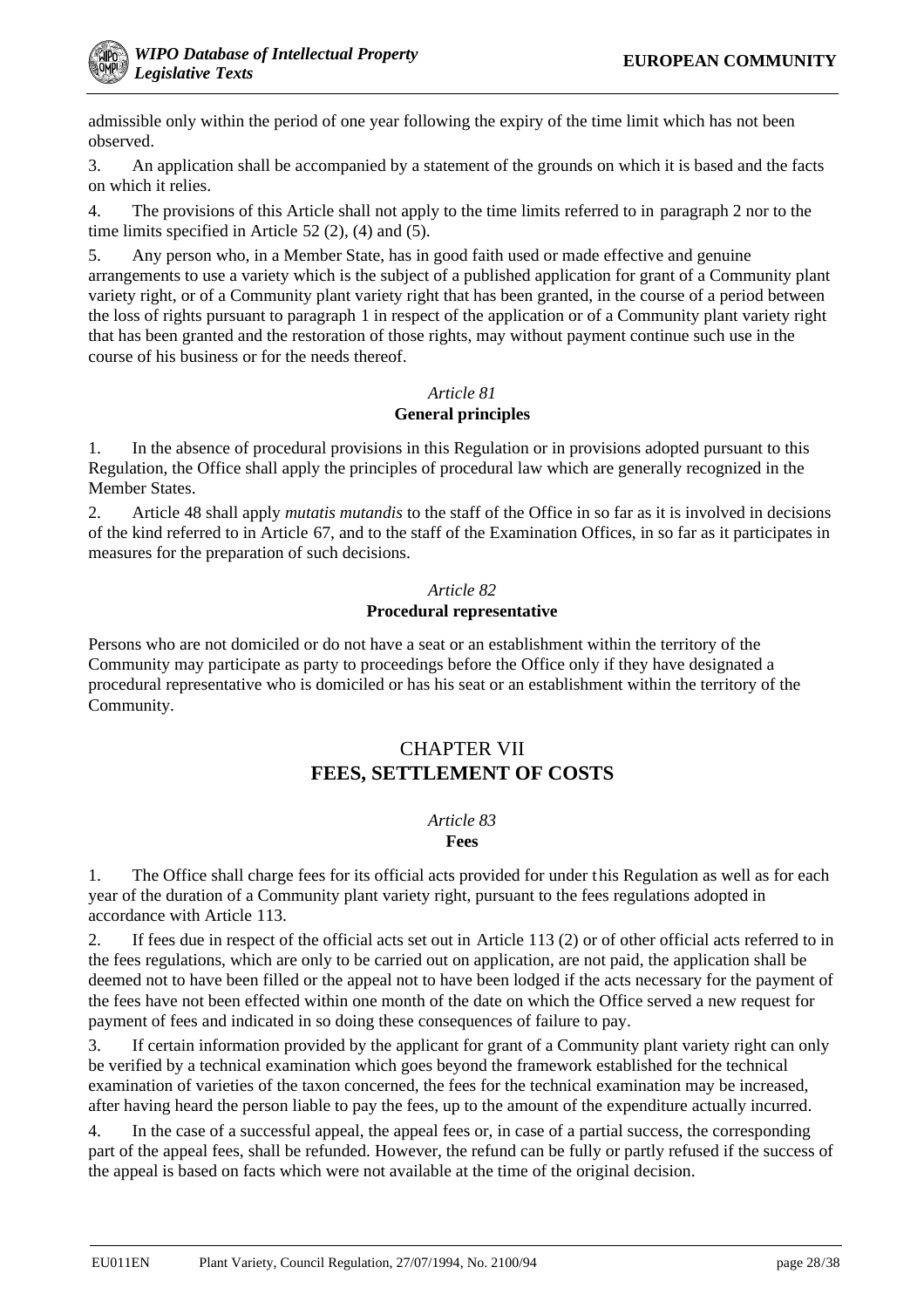admissible only within the period of one year following the expiry of the time limit which has not been observed.

3. An application shall be accompanied by a statement of the grounds on which it is based and the facts on which it relies.

4. The provisions of this Article shall not apply to the time limits referred to in paragraph 2 nor to the time limits specified in Article 52 (2), (4) and (5).

5. Any person who, in a Member State, has in good faith used or made effective and genuine arrangements to use a variety which is the subject of a published application for grant of a Community plant variety right, or of a Community plant variety right that has been granted, in the course of a period between the loss of rights pursuant to paragraph 1 in respect of the application or of a Community plant variety right that has been granted and the restoration of those rights, may without payment continue such use in the course of his business or for the needs thereof.

## *Article 81* **General principles**

1. In the absence of procedural provisions in this Regulation or in provisions adopted pursuant to this Regulation, the Office shall apply the principles of procedural law which are generally recognized in the Member States.

2. Article 48 shall apply *mutatis mutandis* to the staff of the Office in so far as it is involved in decisions of the kind referred to in Article 67, and to the staff of the Examination Offices, in so far as it participates in measures for the preparation of such decisions.

## *Article 82* **Procedural representative**

Persons who are not domiciled or do not have a seat or an establishment within the territory of the Community may participate as party to proceedings before the Office only if they have designated a procedural representative who is domiciled or has his seat or an establishment within the territory of the Community.

## CHAPTER VII **FEES, SETTLEMENT OF COSTS**

# *Article 83*

## **Fees**

1. The Office shall charge fees for its official acts provided for under this Regulation as well as for each year of the duration of a Community plant variety right, pursuant to the fees regulations adopted in accordance with Article 113.

2. If fees due in respect of the official acts set out in Article 113 (2) or of other official acts referred to in the fees regulations, which are only to be carried out on application, are not paid, the application shall be deemed not to have been filled or the appeal not to have been lodged if the acts necessary for the payment of the fees have not been effected within one month of the date on which the Office served a new request for payment of fees and indicated in so doing these consequences of failure to pay.

3. If certain information provided by the applicant for grant of a Community plant variety right can only be verified by a technical examination which goes beyond the framework established for the technical examination of varieties of the taxon concerned, the fees for the technical examination may be increased, after having heard the person liable to pay the fees, up to the amount of the expenditure actually incurred.

4. In the case of a successful appeal, the appeal fees or, in case of a partial success, the corresponding part of the appeal fees, shall be refunded. However, the refund can be fully or partly refused if the success of the appeal is based on facts which were not available at the time of the original decision.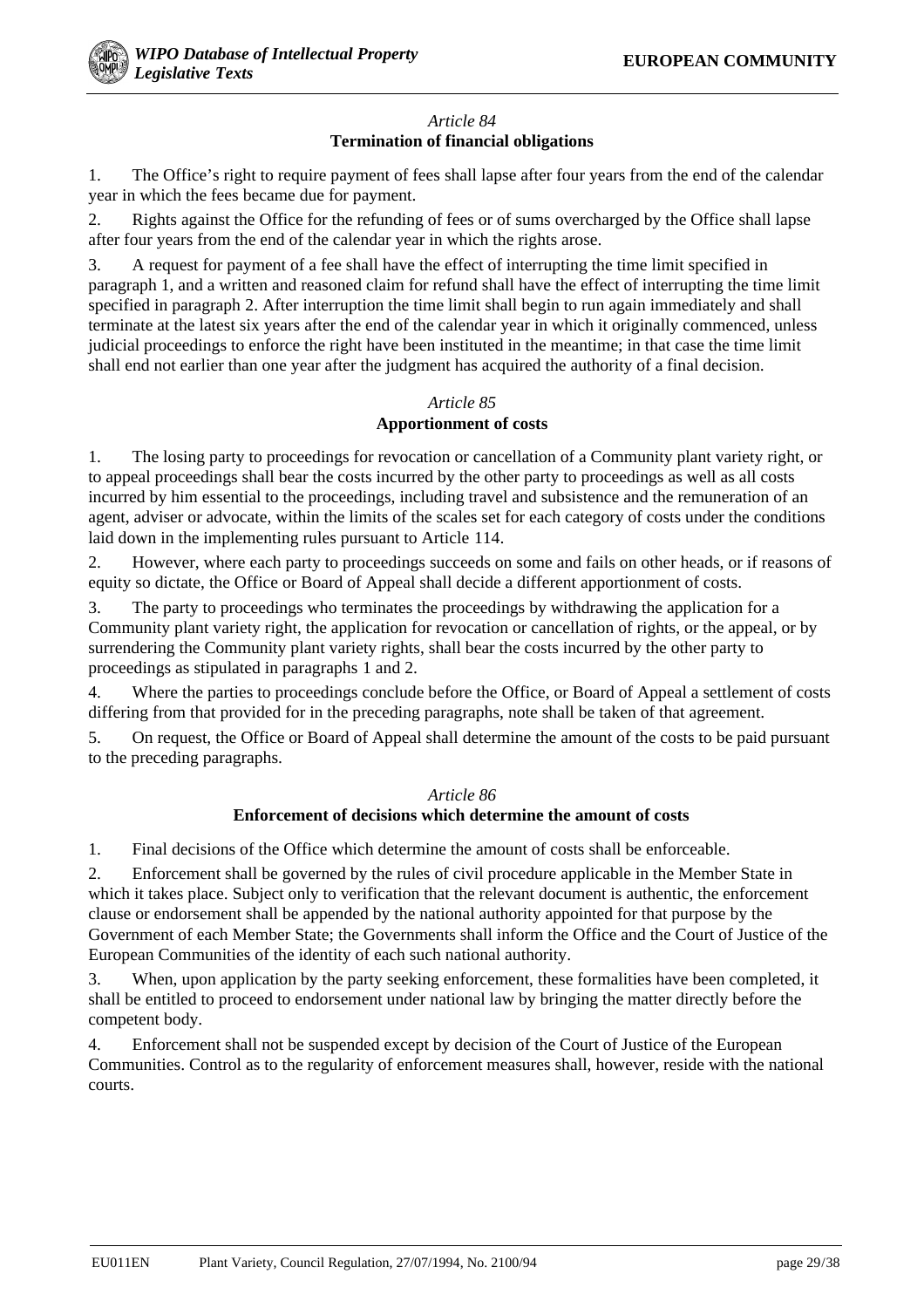### *Article 84* **Termination of financial obligations**

1. The Office's right to require payment of fees shall lapse after four years from the end of the calendar year in which the fees became due for payment.

2. Rights against the Office for the refunding of fees or of sums overcharged by the Office shall lapse after four years from the end of the calendar year in which the rights arose.

3. A request for payment of a fee shall have the effect of interrupting the time limit specified in paragraph 1, and a written and reasoned claim for refund shall have the effect of interrupting the time limit specified in paragraph 2. After interruption the time limit shall begin to run again immediately and shall terminate at the latest six years after the end of the calendar year in which it originally commenced, unless judicial proceedings to enforce the right have been instituted in the meantime; in that case the time limit shall end not earlier than one year after the judgment has acquired the authority of a final decision.

## *Article 85* **Apportionment of costs**

1. The losing party to proceedings for revocation or cancellation of a Community plant variety right, or to appeal proceedings shall bear the costs incurred by the other party to proceedings as well as all costs incurred by him essential to the proceedings, including travel and subsistence and the remuneration of an agent, adviser or advocate, within the limits of the scales set for each category of costs under the conditions laid down in the implementing rules pursuant to Article 114.

2. However, where each party to proceedings succeeds on some and fails on other heads, or if reasons of equity so dictate, the Office or Board of Appeal shall decide a different apportionment of costs.

3. The party to proceedings who terminates the proceedings by withdrawing the application for a Community plant variety right, the application for revocation or cancellation of rights, or the appeal, or by surrendering the Community plant variety rights, shall bear the costs incurred by the other party to proceedings as stipulated in paragraphs 1 and 2.

4. Where the parties to proceedings conclude before the Office, or Board of Appeal a settlement of costs differing from that provided for in the preceding paragraphs, note shall be taken of that agreement.

5. On request, the Office or Board of Appeal shall determine the amount of the costs to be paid pursuant to the preceding paragraphs.

#### *Article 86* **Enforcement of decisions which determine the amount of costs**

1. Final decisions of the Office which determine the amount of costs shall be enforceable.

2. Enforcement shall be governed by the rules of civil procedure applicable in the Member State in which it takes place. Subject only to verification that the relevant document is authentic, the enforcement clause or endorsement shall be appended by the national authority appointed for that purpose by the Government of each Member State; the Governments shall inform the Office and the Court of Justice of the European Communities of the identity of each such national authority.

3. When, upon application by the party seeking enforcement, these formalities have been completed, it shall be entitled to proceed to endorsement under national law by bringing the matter directly before the competent body.

4. Enforcement shall not be suspended except by decision of the Court of Justice of the European Communities. Control as to the regularity of enforcement measures shall, however, reside with the national courts.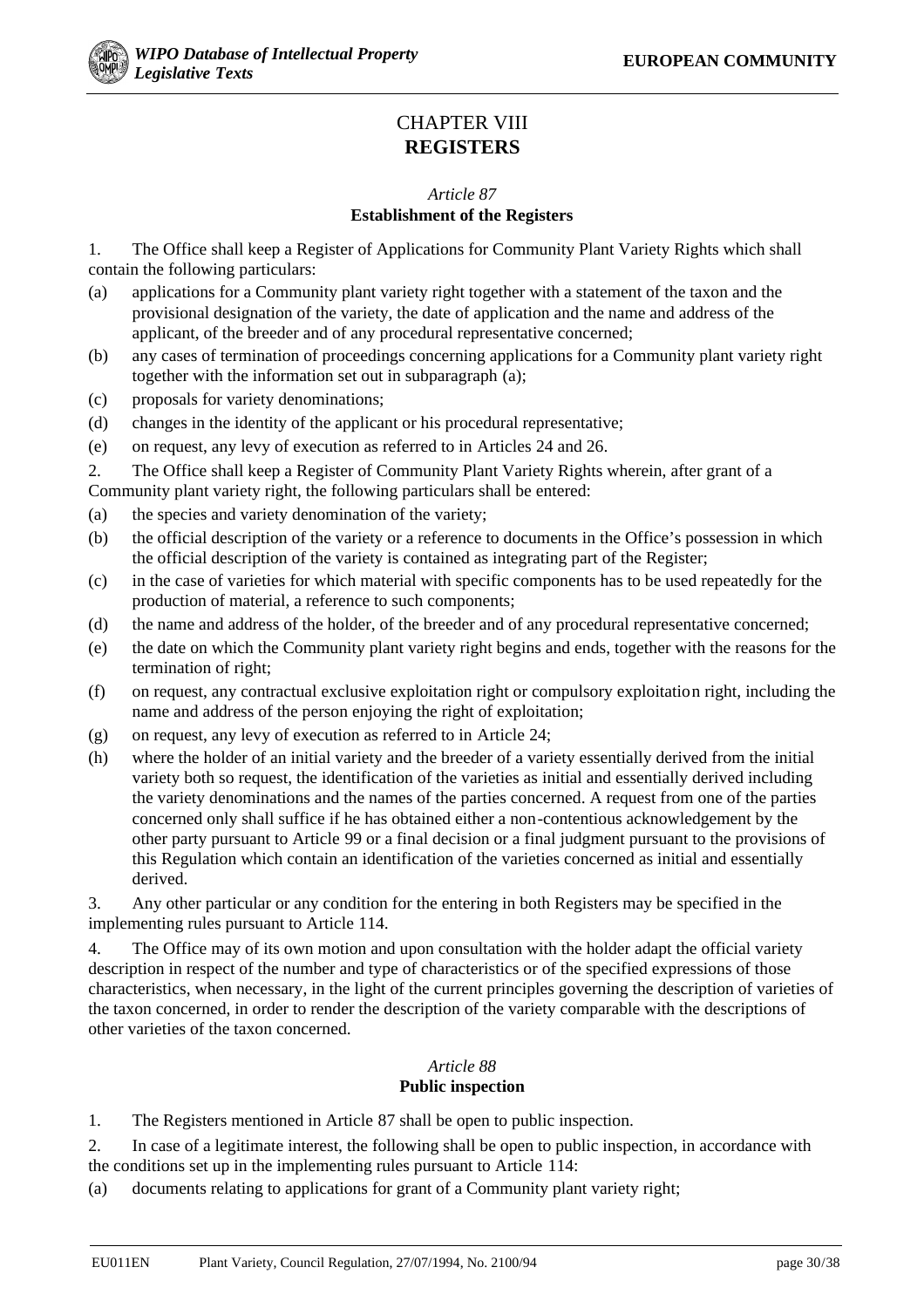## CHAPTER VIII **REGISTERS**

### *Article 87*

## **Establishment of the Registers**

1. The Office shall keep a Register of Applications for Community Plant Variety Rights which shall contain the following particulars:

- (a) applications for a Community plant variety right together with a statement of the taxon and the provisional designation of the variety, the date of application and the name and address of the applicant, of the breeder and of any procedural representative concerned;
- (b) any cases of termination of proceedings concerning applications for a Community plant variety right together with the information set out in subparagraph (a);
- (c) proposals for variety denominations;
- (d) changes in the identity of the applicant or his procedural representative;
- (e) on request, any levy of execution as referred to in Articles 24 and 26.
- 2. The Office shall keep a Register of Community Plant Variety Rights wherein, after grant of a Community plant variety right, the following particulars shall be entered:
- (a) the species and variety denomination of the variety;
- (b) the official description of the variety or a reference to documents in the Office's possession in which the official description of the variety is contained as integrating part of the Register;
- (c) in the case of varieties for which material with specific components has to be used repeatedly for the production of material, a reference to such components;
- (d) the name and address of the holder, of the breeder and of any procedural representative concerned;
- (e) the date on which the Community plant variety right begins and ends, together with the reasons for the termination of right;
- (f) on request, any contractual exclusive exploitation right or compulsory exploitation right, including the name and address of the person enjoying the right of exploitation;
- (g) on request, any levy of execution as referred to in Article 24;
- (h) where the holder of an initial variety and the breeder of a variety essentially derived from the initial variety both so request, the identification of the varieties as initial and essentially derived including the variety denominations and the names of the parties concerned. A request from one of the parties concerned only shall suffice if he has obtained either a non-contentious acknowledgement by the other party pursuant to Article 99 or a final decision or a final judgment pursuant to the provisions of this Regulation which contain an identification of the varieties concerned as initial and essentially derived.

3. Any other particular or any condition for the entering in both Registers may be specified in the implementing rules pursuant to Article 114.

4. The Office may of its own motion and upon consultation with the holder adapt the official variety description in respect of the number and type of characteristics or of the specified expressions of those characteristics, when necessary, in the light of the current principles governing the description of varieties of the taxon concerned, in order to render the description of the variety comparable with the descriptions of other varieties of the taxon concerned.

## *Article 88*

#### **Public inspection**

- 1. The Registers mentioned in Article 87 shall be open to public inspection.
- 2. In case of a legitimate interest, the following shall be open to public inspection, in accordance with the conditions set up in the implementing rules pursuant to Article 114:
- (a) documents relating to applications for grant of a Community plant variety right;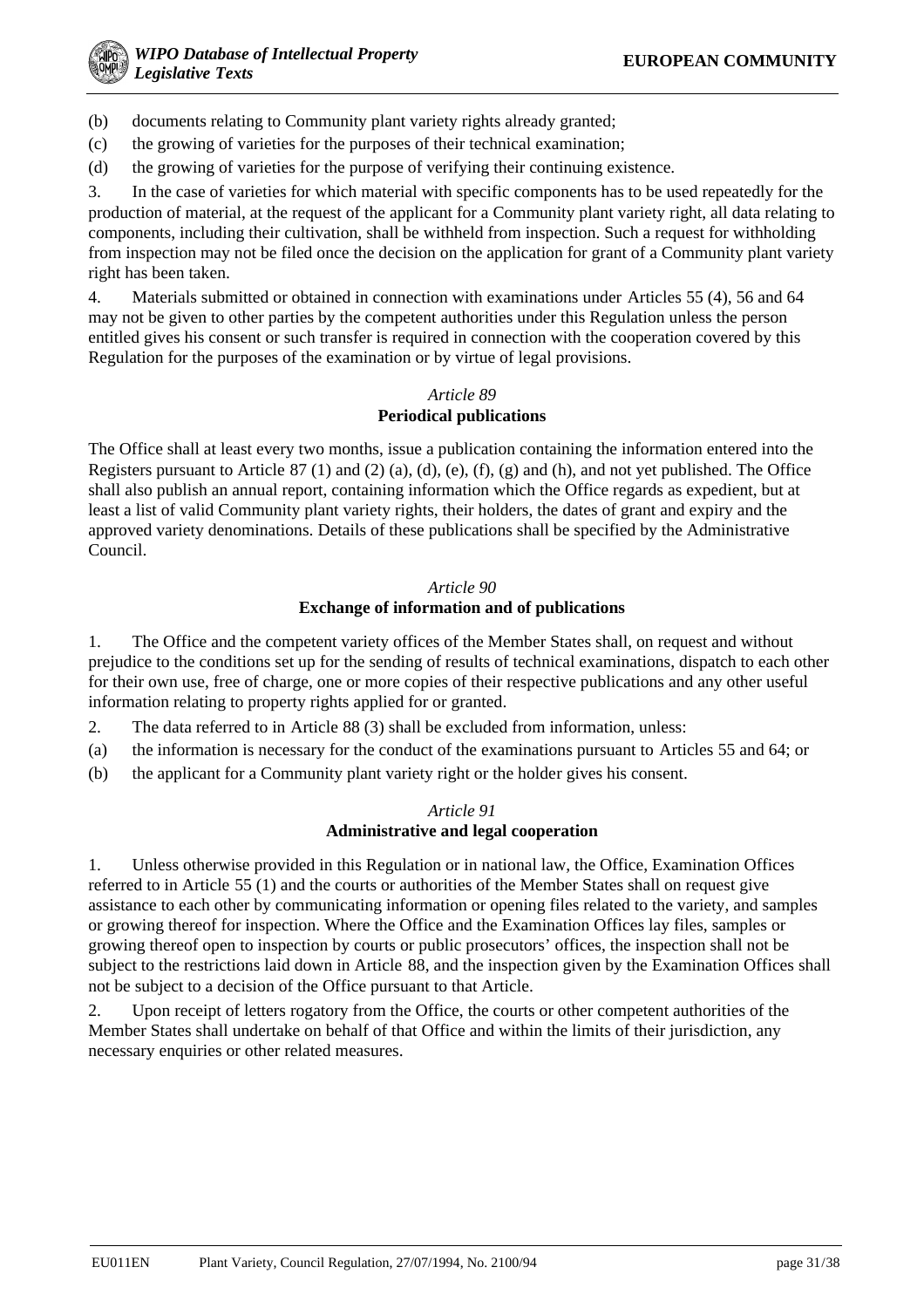

(b) documents relating to Community plant variety rights already granted;

- (c) the growing of varieties for the purposes of their technical examination;
- (d) the growing of varieties for the purpose of verifying their continuing existence.

3. In the case of varieties for which material with specific components has to be used repeatedly for the production of material, at the request of the applicant for a Community plant variety right, all data relating to components, including their cultivation, shall be withheld from inspection. Such a request for withholding from inspection may not be filed once the decision on the application for grant of a Community plant variety right has been taken.

4. Materials submitted or obtained in connection with examinations under Articles 55 (4), 56 and 64 may not be given to other parties by the competent authorities under this Regulation unless the person entitled gives his consent or such transfer is required in connection with the cooperation covered by this Regulation for the purposes of the examination or by virtue of legal provisions.

## *Article 89*

## **Periodical publications**

The Office shall at least every two months, issue a publication containing the information entered into the Registers pursuant to Article 87 (1) and (2) (a), (d), (e), (f), (g) and (h), and not yet published. The Office shall also publish an annual report, containing information which the Office regards as expedient, but at least a list of valid Community plant variety rights, their holders, the dates of grant and expiry and the approved variety denominations. Details of these publications shall be specified by the Administrative Council.

#### *Article 90*

#### **Exchange of information and of publications**

1. The Office and the competent variety offices of the Member States shall, on request and without prejudice to the conditions set up for the sending of results of technical examinations, dispatch to each other for their own use, free of charge, one or more copies of their respective publications and any other useful information relating to property rights applied for or granted.

2. The data referred to in Article 88 (3) shall be excluded from information, unless:

(a) the information is necessary for the conduct of the examinations pursuant to Articles 55 and 64; or

(b) the applicant for a Community plant variety right or the holder gives his consent.

#### *Article 91*

#### **Administrative and legal cooperation**

1. Unless otherwise provided in this Regulation or in national law, the Office, Examination Offices referred to in Article 55 (1) and the courts or authorities of the Member States shall on request give assistance to each other by communicating information or opening files related to the variety, and samples or growing thereof for inspection. Where the Office and the Examination Offices lay files, samples or growing thereof open to inspection by courts or public prosecutors' offices, the inspection shall not be subject to the restrictions laid down in Article 88, and the inspection given by the Examination Offices shall not be subject to a decision of the Office pursuant to that Article.

2. Upon receipt of letters rogatory from the Office, the courts or other competent authorities of the Member States shall undertake on behalf of that Office and within the limits of their jurisdiction, any necessary enquiries or other related measures.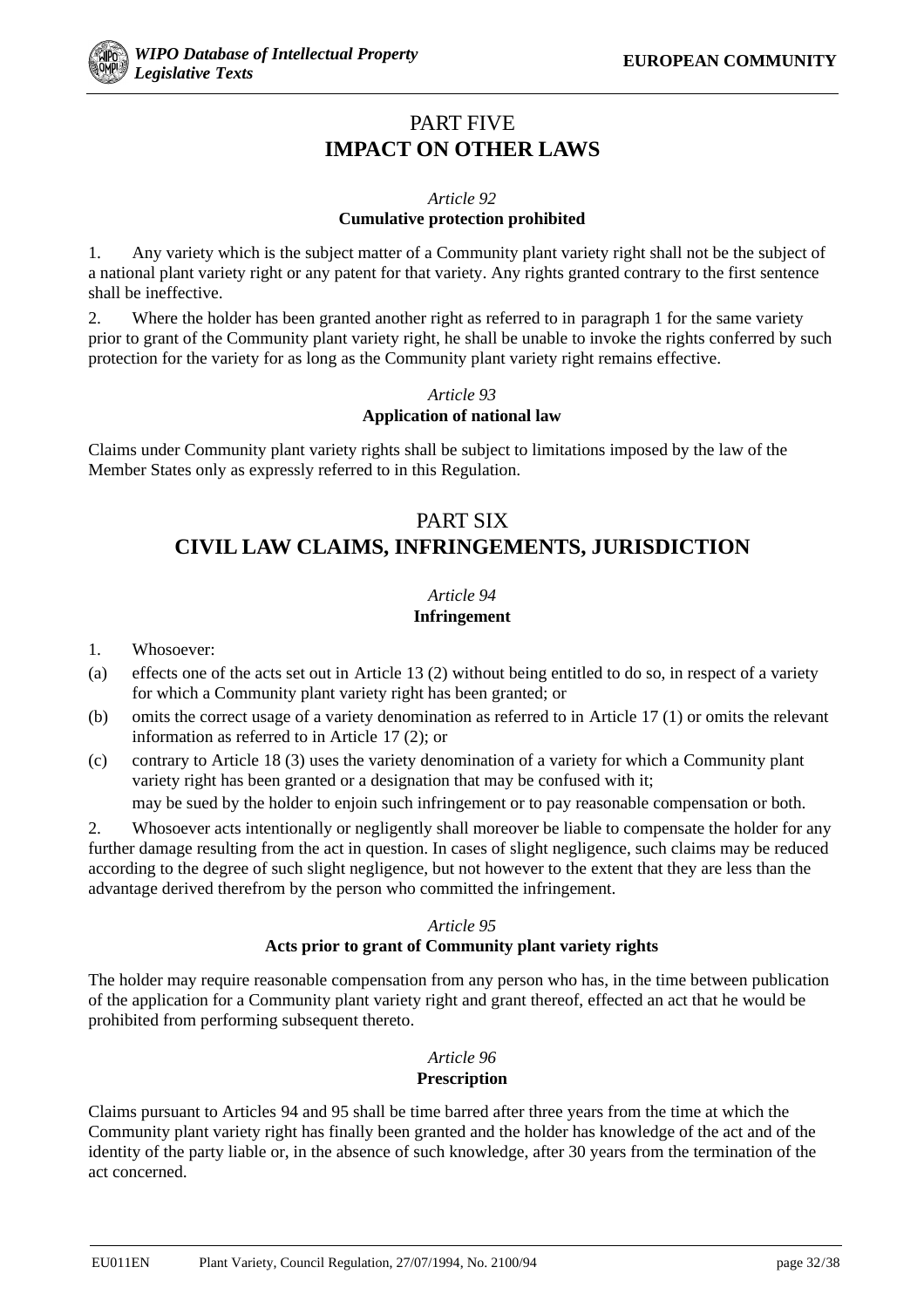

## PART FIVE **IMPACT ON OTHER LAWS**

## *Article 92*

#### **Cumulative protection prohibited**

1. Any variety which is the subject matter of a Community plant variety right shall not be the subject of a national plant variety right or any patent for that variety. Any rights granted contrary to the first sentence shall be ineffective.

2. Where the holder has been granted another right as referred to in paragraph 1 for the same variety prior to grant of the Community plant variety right, he shall be unable to invoke the rights conferred by such protection for the variety for as long as the Community plant variety right remains effective.

## *Article 93*

## **Application of national law**

Claims under Community plant variety rights shall be subject to limitations imposed by the law of the Member States only as expressly referred to in this Regulation.

## PART SIX **CIVIL LAW CLAIMS, INFRINGEMENTS, JURISDICTION**

#### *Article 94* **Infringement**

1. Whosoever:

- (a) effects one of the acts set out in Article 13 (2) without being entitled to do so, in respect of a variety for which a Community plant variety right has been granted; or
- (b) omits the correct usage of a variety denomination as referred to in Article 17 (1) or omits the relevant information as referred to in Article 17 (2); or
- (c) contrary to Article 18 (3) uses the variety denomination of a variety for which a Community plant variety right has been granted or a designation that may be confused with it; may be sued by the holder to enjoin such infringement or to pay reasonable compensation or both.

2. Whosoever acts intentionally or negligently shall moreover be liable to compensate the holder for any further damage resulting from the act in question. In cases of slight negligence, such claims may be reduced according to the degree of such slight negligence, but not however to the extent that they are less than the advantage derived therefrom by the person who committed the infringement.

#### *Article 95* **Acts prior to grant of Community plant variety rights**

The holder may require reasonable compensation from any person who has, in the time between publication of the application for a Community plant variety right and grant thereof, effected an act that he would be prohibited from performing subsequent thereto.

#### *Article 96* **Prescription**

Claims pursuant to Articles 94 and 95 shall be time barred after three years from the time at which the Community plant variety right has finally been granted and the holder has knowledge of the act and of the identity of the party liable or, in the absence of such knowledge, after 30 years from the termination of the act concerned.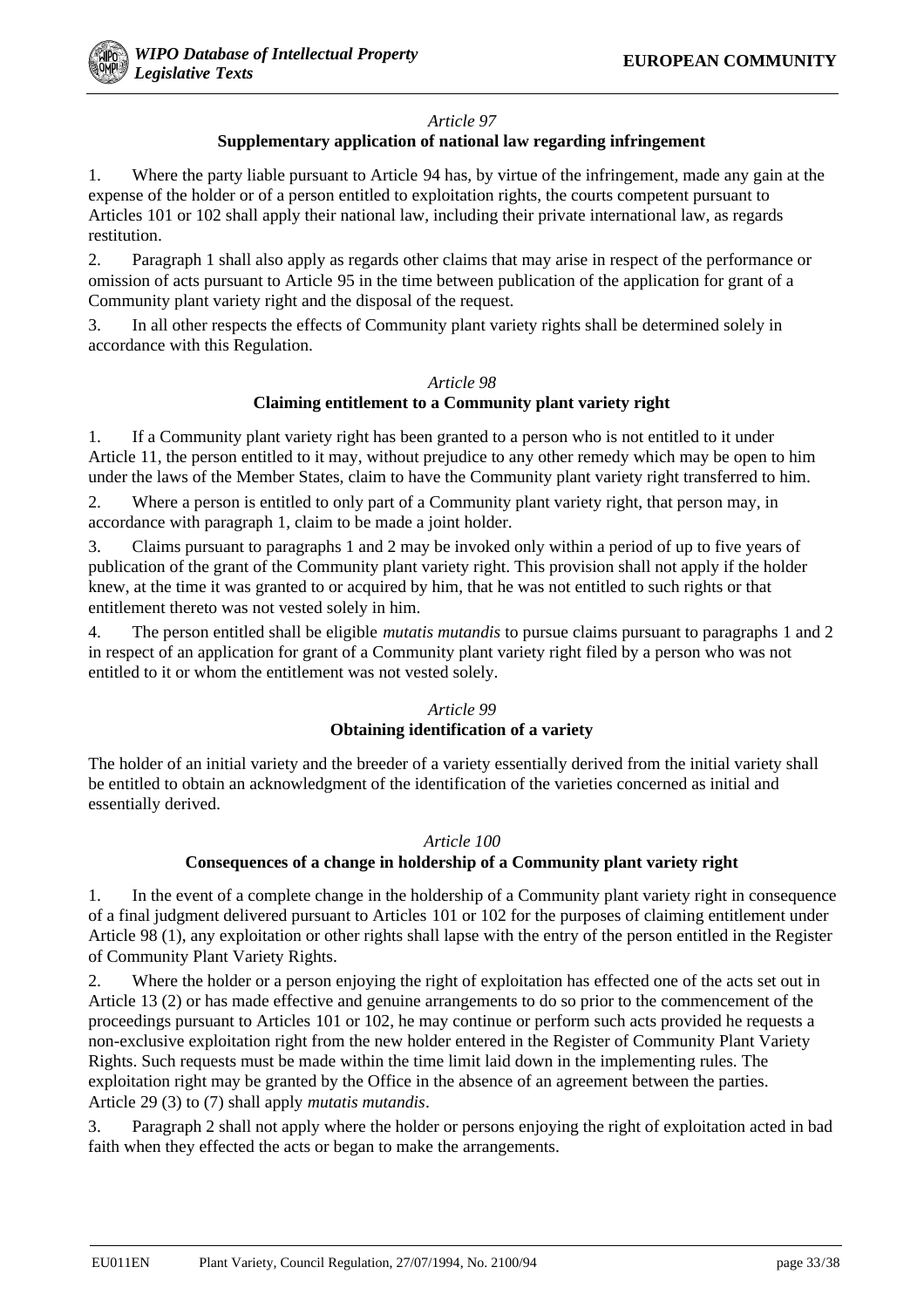## *Article 97*

## **Supplementary application of national law regarding infringement**

1. Where the party liable pursuant to Article 94 has, by virtue of the infringement, made any gain at the expense of the holder or of a person entitled to exploitation rights, the courts competent pursuant to Articles 101 or 102 shall apply their national law, including their private international law, as regards restitution.

2. Paragraph 1 shall also apply as regards other claims that may arise in respect of the performance or omission of acts pursuant to Article 95 in the time between publication of the application for grant of a Community plant variety right and the disposal of the request.

3. In all other respects the effects of Community plant variety rights shall be determined solely in accordance with this Regulation.

#### *Article 98* **Claiming entitlement to a Community plant variety right**

1. If a Community plant variety right has been granted to a person who is not entitled to it under Article 11, the person entitled to it may, without prejudice to any other remedy which may be open to him under the laws of the Member States, claim to have the Community plant variety right transferred to him.

2. Where a person is entitled to only part of a Community plant variety right, that person may, in accordance with paragraph 1, claim to be made a joint holder.

3. Claims pursuant to paragraphs 1 and 2 may be invoked only within a period of up to five years of publication of the grant of the Community plant variety right. This provision shall not apply if the holder knew, at the time it was granted to or acquired by him, that he was not entitled to such rights or that entitlement thereto was not vested solely in him.

4. The person entitled shall be eligible *mutatis mutandis* to pursue claims pursuant to paragraphs 1 and 2 in respect of an application for grant of a Community plant variety right filed by a person who was not entitled to it or whom the entitlement was not vested solely.

## *Article 99* **Obtaining identification of a variety**

The holder of an initial variety and the breeder of a variety essentially derived from the initial variety shall be entitled to obtain an acknowledgment of the identification of the varieties concerned as initial and essentially derived.

## *Article 100*

## **Consequences of a change in holdership of a Community plant variety right**

1. In the event of a complete change in the holdership of a Community plant variety right in consequence of a final judgment delivered pursuant to Articles 101 or 102 for the purposes of claiming entitlement under Article 98 (1), any exploitation or other rights shall lapse with the entry of the person entitled in the Register of Community Plant Variety Rights.

2. Where the holder or a person enjoying the right of exploitation has effected one of the acts set out in Article 13 (2) or has made effective and genuine arrangements to do so prior to the commencement of the proceedings pursuant to Articles 101 or 102, he may continue or perform such acts provided he requests a non-exclusive exploitation right from the new holder entered in the Register of Community Plant Variety Rights. Such requests must be made within the time limit laid down in the implementing rules. The exploitation right may be granted by the Office in the absence of an agreement between the parties. Article 29 (3) to (7) shall apply *mutatis mutandis*.

3. Paragraph 2 shall not apply where the holder or persons enjoying the right of exploitation acted in bad faith when they effected the acts or began to make the arrangements.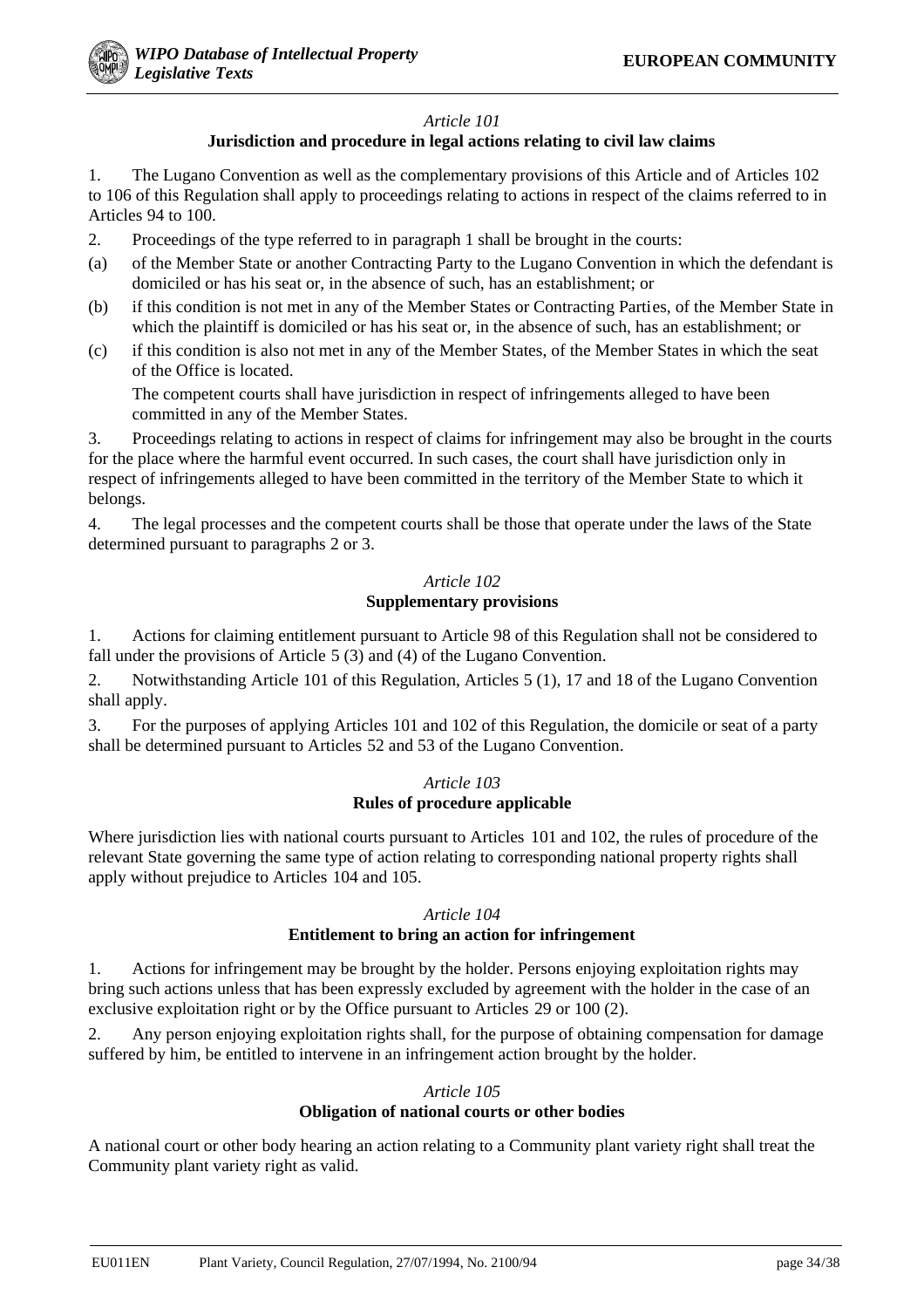#### *Article 101*

## **Jurisdiction and procedure in legal actions relating to civil law claims**

1. The Lugano Convention as well as the complementary provisions of this Article and of Articles 102 to 106 of this Regulation shall apply to proceedings relating to actions in respect of the claims referred to in Articles 94 to 100.

- 2. Proceedings of the type referred to in paragraph 1 shall be brought in the courts:
- (a) of the Member State or another Contracting Party to the Lugano Convention in which the defendant is domiciled or has his seat or, in the absence of such, has an establishment; or
- (b) if this condition is not met in any of the Member States or Contracting Parties, of the Member State in which the plaintiff is domiciled or has his seat or, in the absence of such, has an establishment; or
- (c) if this condition is also not met in any of the Member States, of the Member States in which the seat of the Office is located.

The competent courts shall have jurisdiction in respect of infringements alleged to have been committed in any of the Member States.

3. Proceedings relating to actions in respect of claims for infringement may also be brought in the courts for the place where the harmful event occurred. In such cases, the court shall have jurisdiction only in respect of infringements alleged to have been committed in the territory of the Member State to which it belongs.

4. The legal processes and the competent courts shall be those that operate under the laws of the State determined pursuant to paragraphs 2 or 3.

## *Article 102*

#### **Supplementary provisions**

1. Actions for claiming entitlement pursuant to Article 98 of this Regulation shall not be considered to fall under the provisions of Article 5 (3) and (4) of the Lugano Convention.

2. Notwithstanding Article 101 of this Regulation, Articles 5 (1), 17 and 18 of the Lugano Convention shall apply.

3. For the purposes of applying Articles 101 and 102 of this Regulation, the domicile or seat of a party shall be determined pursuant to Articles 52 and 53 of the Lugano Convention.

## *Article 103* **Rules of procedure applicable**

Where jurisdiction lies with national courts pursuant to Articles 101 and 102, the rules of procedure of the relevant State governing the same type of action relating to corresponding national property rights shall apply without prejudice to Articles 104 and 105.

#### *Article 104*

## **Entitlement to bring an action for infringement**

1. Actions for infringement may be brought by the holder. Persons enjoying exploitation rights may bring such actions unless that has been expressly excluded by agreement with the holder in the case of an exclusive exploitation right or by the Office pursuant to Articles 29 or 100 (2).

2. Any person enjoying exploitation rights shall, for the purpose of obtaining compensation for damage suffered by him, be entitled to intervene in an infringement action brought by the holder.

#### *Article 105*

## **Obligation of national courts or other bodies**

A national court or other body hearing an action relating to a Community plant variety right shall treat the Community plant variety right as valid.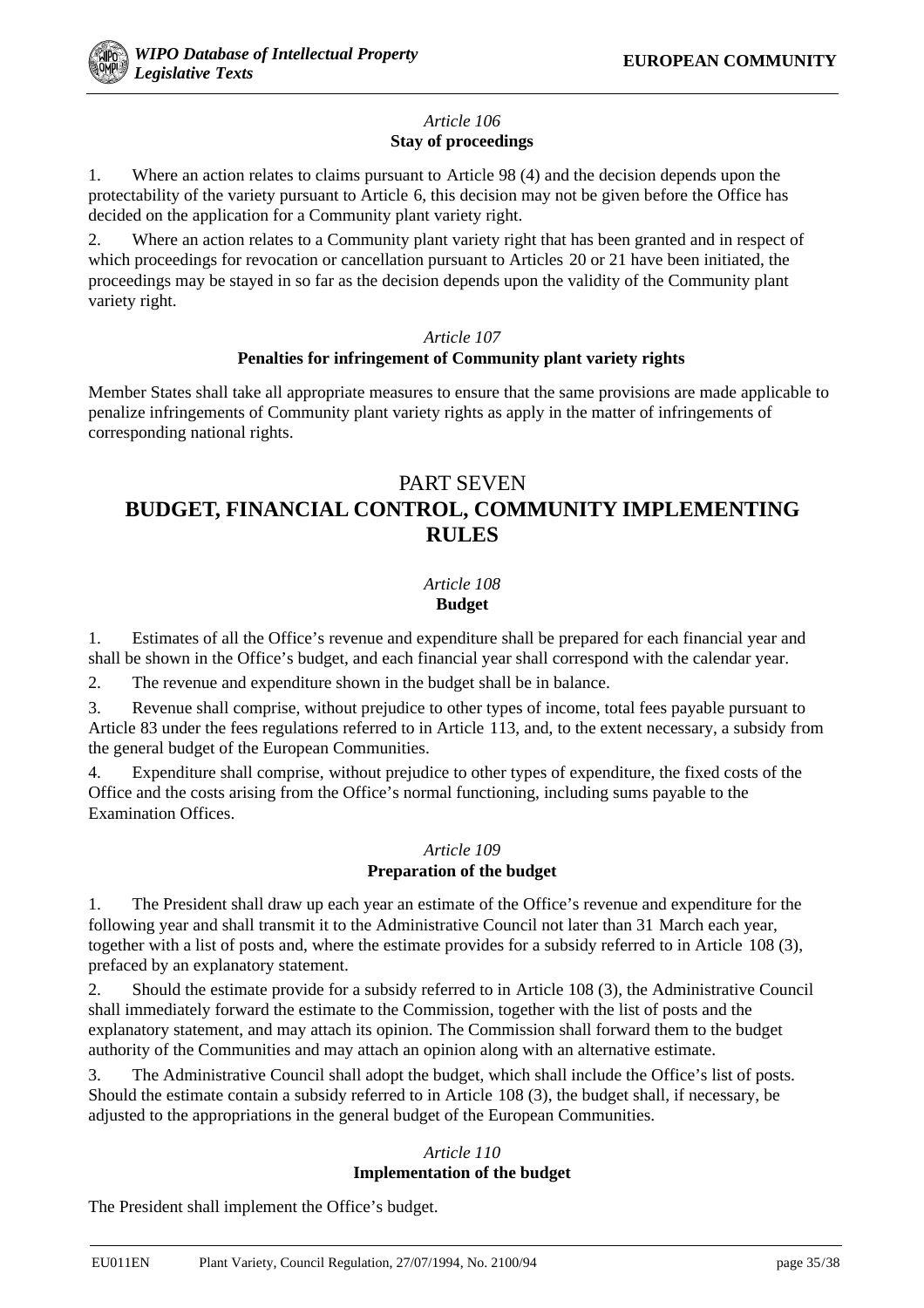## *Article 106* **Stay of proceedings**

1. Where an action relates to claims pursuant to Article 98 (4) and the decision depends upon the protectability of the variety pursuant to Article 6, this decision may not be given before the Office has decided on the application for a Community plant variety right.

Where an action relates to a Community plant variety right that has been granted and in respect of which proceedings for revocation or cancellation pursuant to Articles 20 or 21 have been initiated, the proceedings may be stayed in so far as the decision depends upon the validity of the Community plant variety right.

## *Article 107*

## **Penalties for infringement of Community plant variety rights**

Member States shall take all appropriate measures to ensure that the same provisions are made applicable to penalize infringements of Community plant variety rights as apply in the matter of infringements of corresponding national rights.

## PART SEVEN **BUDGET, FINANCIAL CONTROL, COMMUNITY IMPLEMENTING RULES**

# *Article 108*

## **Budget**

1. Estimates of all the Office's revenue and expenditure shall be prepared for each financial year and shall be shown in the Office's budget, and each financial year shall correspond with the calendar year.

2. The revenue and expenditure shown in the budget shall be in balance.

3. Revenue shall comprise, without prejudice to other types of income, total fees payable pursuant to Article 83 under the fees regulations referred to in Article 113, and, to the extent necessary, a subsidy from the general budget of the European Communities.

4. Expenditure shall comprise, without prejudice to other types of expenditure, the fixed costs of the Office and the costs arising from the Office's normal functioning, including sums payable to the Examination Offices.

## *Article 109*

## **Preparation of the budget**

1. The President shall draw up each year an estimate of the Office's revenue and expenditure for the following year and shall transmit it to the Administrative Council not later than 31 March each year, together with a list of posts and, where the estimate provides for a subsidy referred to in Article 108 (3), prefaced by an explanatory statement.

2. Should the estimate provide for a subsidy referred to in Article 108 (3), the Administrative Council shall immediately forward the estimate to the Commission, together with the list of posts and the explanatory statement, and may attach its opinion. The Commission shall forward them to the budget authority of the Communities and may attach an opinion along with an alternative estimate.

3. The Administrative Council shall adopt the budget, which shall include the Office's list of posts. Should the estimate contain a subsidy referred to in Article 108 (3), the budget shall, if necessary, be adjusted to the appropriations in the general budget of the European Communities.

## *Article 110* **Implementation of the budget**

The President shall implement the Office's budget.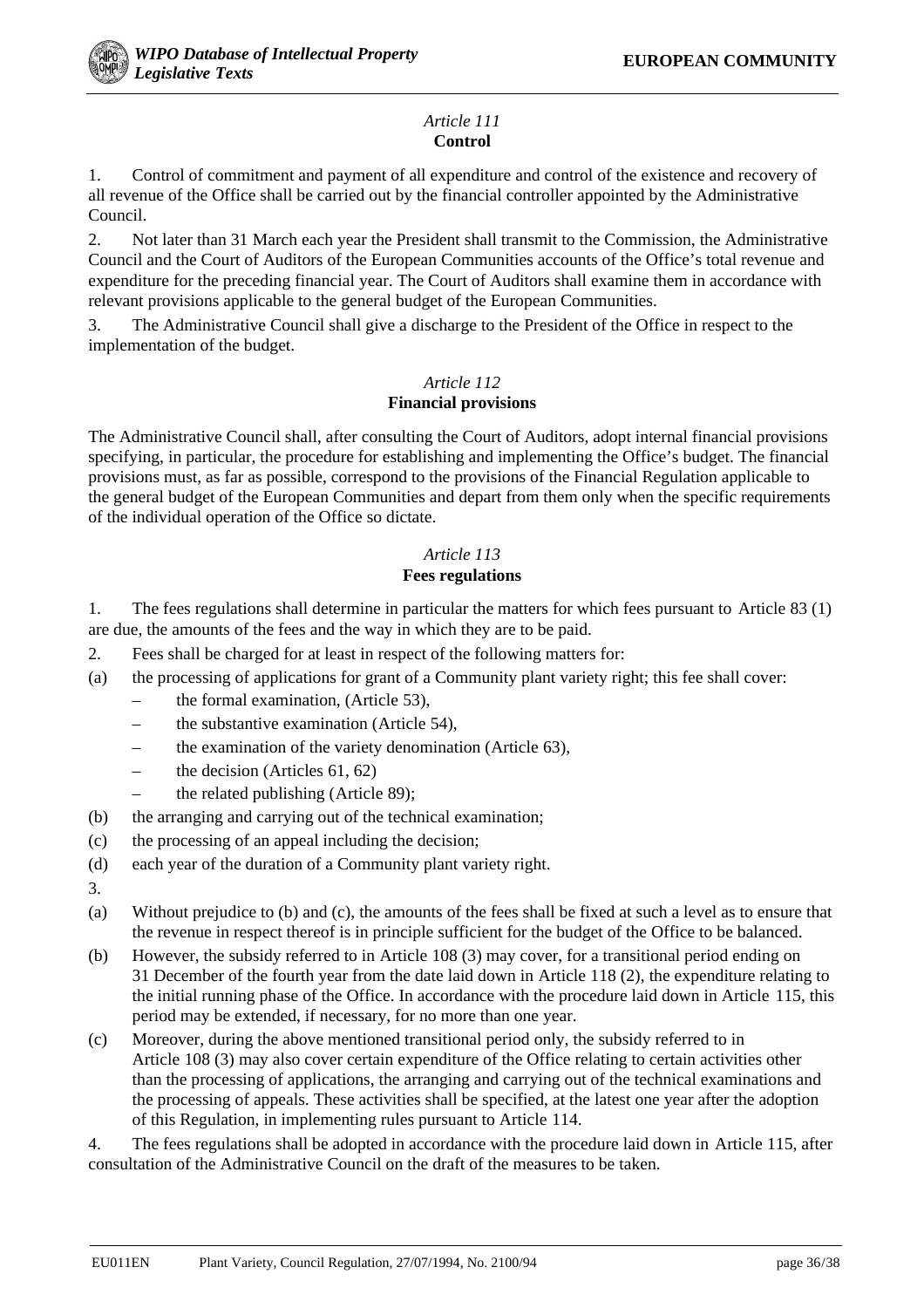#### *Article 111* **Control**

1. Control of commitment and payment of all expenditure and control of the existence and recovery of all revenue of the Office shall be carried out by the financial controller appointed by the Administrative Council.

2. Not later than 31 March each year the President shall transmit to the Commission, the Administrative Council and the Court of Auditors of the European Communities accounts of the Office's total revenue and expenditure for the preceding financial year. The Court of Auditors shall examine them in accordance with relevant provisions applicable to the general budget of the European Communities.

3. The Administrative Council shall give a discharge to the President of the Office in respect to the implementation of the budget.

## *Article 112* **Financial provisions**

The Administrative Council shall, after consulting the Court of Auditors, adopt internal financial provisions specifying, in particular, the procedure for establishing and implementing the Office's budget. The financial provisions must, as far as possible, correspond to the provisions of the Financial Regulation applicable to the general budget of the European Communities and depart from them only when the specific requirements of the individual operation of the Office so dictate.

## *Article 113* **Fees regulations**

1. The fees regulations shall determine in particular the matters for which fees pursuant to Article 83 (1) are due, the amounts of the fees and the way in which they are to be paid.

- 2. Fees shall be charged for at least in respect of the following matters for:
- (a) the processing of applications for grant of a Community plant variety right; this fee shall cover:
	- the formal examination, (Article 53),
	- the substantive examination (Article 54),
	- the examination of the variety denomination (Article 63),
	- $-$  the decision (Articles 61, 62)
	- the related publishing (Article 89);
- (b) the arranging and carrying out of the technical examination;
- (c) the processing of an appeal including the decision;
- (d) each year of the duration of a Community plant variety right.
- 3.
- (a) Without prejudice to (b) and (c), the amounts of the fees shall be fixed at such a level as to ensure that the revenue in respect thereof is in principle sufficient for the budget of the Office to be balanced.
- (b) However, the subsidy referred to in Article 108 (3) may cover, for a transitional period ending on 31 December of the fourth year from the date laid down in Article 118 (2), the expenditure relating to the initial running phase of the Office. In accordance with the procedure laid down in Article 115, this period may be extended, if necessary, for no more than one year.
- (c) Moreover, during the above mentioned transitional period only, the subsidy referred to in Article 108 (3) may also cover certain expenditure of the Office relating to certain activities other than the processing of applications, the arranging and carrying out of the technical examinations and the processing of appeals. These activities shall be specified, at the latest one year after the adoption of this Regulation, in implementing rules pursuant to Article 114.

4. The fees regulations shall be adopted in accordance with the procedure laid down in Article 115, after consultation of the Administrative Council on the draft of the measures to be taken.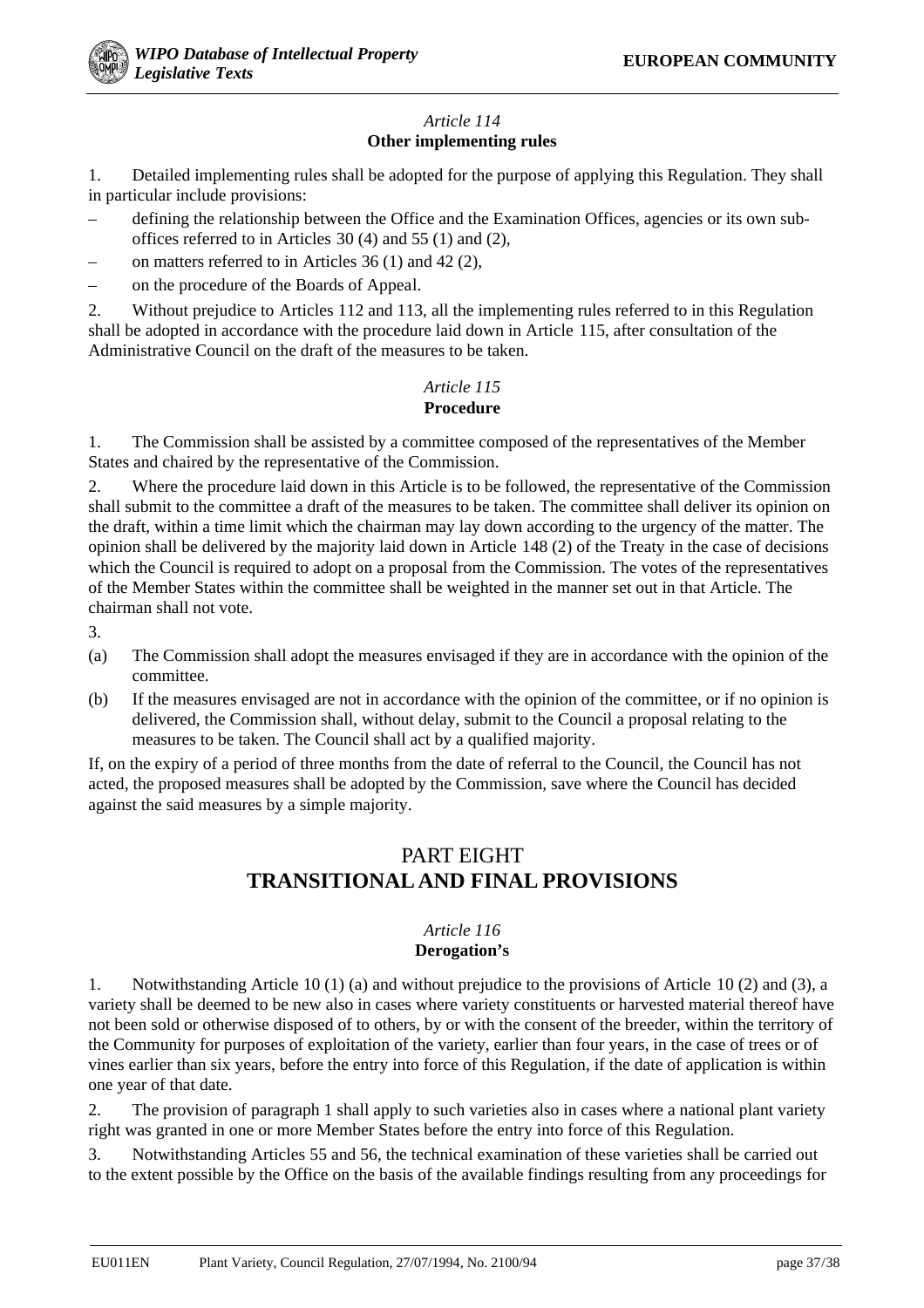## *Article 114* **Other implementing rules**

1. Detailed implementing rules shall be adopted for the purpose of applying this Regulation. They shall in particular include provisions:

- defining the relationship between the Office and the Examination Offices, agencies or its own suboffices referred to in Articles 30 (4) and 55 (1) and (2),
- on matters referred to in Articles 36 (1) and 42 (2),
- on the procedure of the Boards of Appeal.

2. Without prejudice to Articles 112 and 113, all the implementing rules referred to in this Regulation shall be adopted in accordance with the procedure laid down in Article 115, after consultation of the Administrative Council on the draft of the measures to be taken.

# *Article 115*

# **Procedure**

1. The Commission shall be assisted by a committee composed of the representatives of the Member States and chaired by the representative of the Commission.

2. Where the procedure laid down in this Article is to be followed, the representative of the Commission shall submit to the committee a draft of the measures to be taken. The committee shall deliver its opinion on the draft, within a time limit which the chairman may lay down according to the urgency of the matter. The opinion shall be delivered by the majority laid down in Article 148 (2) of the Treaty in the case of decisions which the Council is required to adopt on a proposal from the Commission. The votes of the representatives of the Member States within the committee shall be weighted in the manner set out in that Article. The chairman shall not vote.

3.

- (a) The Commission shall adopt the measures envisaged if they are in accordance with the opinion of the committee.
- (b) If the measures envisaged are not in accordance with the opinion of the committee, or if no opinion is delivered, the Commission shall, without delay, submit to the Council a proposal relating to the measures to be taken. The Council shall act by a qualified majority.

If, on the expiry of a period of three months from the date of referral to the Council, the Council has not acted, the proposed measures shall be adopted by the Commission, save where the Council has decided against the said measures by a simple majority.

## PART EIGHT **TRANSITIONAL AND FINAL PROVISIONS**

#### *Article 116* **Derogation's**

1. Notwithstanding Article 10 (1) (a) and without prejudice to the provisions of Article 10 (2) and (3), a variety shall be deemed to be new also in cases where variety constituents or harvested material thereof have not been sold or otherwise disposed of to others, by or with the consent of the breeder, within the territory of the Community for purposes of exploitation of the variety, earlier than four years, in the case of trees or of vines earlier than six years, before the entry into force of this Regulation, if the date of application is within one year of that date.

2. The provision of paragraph 1 shall apply to such varieties also in cases where a national plant variety right was granted in one or more Member States before the entry into force of this Regulation.

3. Notwithstanding Articles 55 and 56, the technical examination of these varieties shall be carried out to the extent possible by the Office on the basis of the available findings resulting from any proceedings for